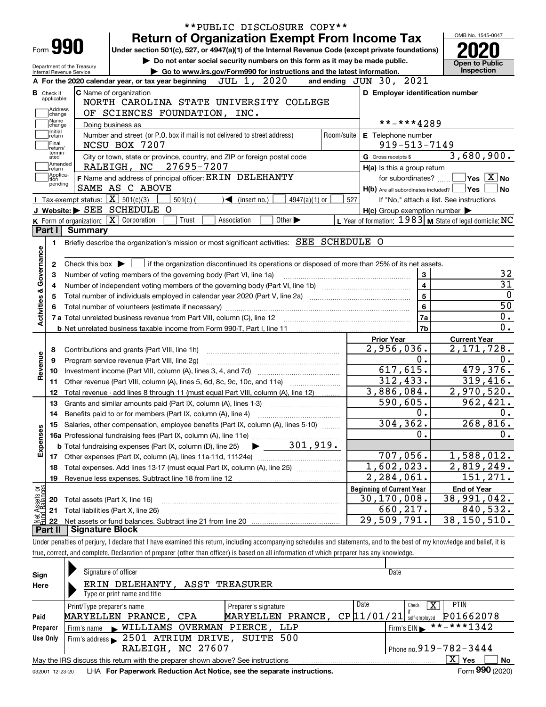|                                 |                                                   |                                                                                                                                                                            |                               | **PUBLIC DISCLOSURE COPY**                                                  |            |                                                         |                                                           |
|---------------------------------|---------------------------------------------------|----------------------------------------------------------------------------------------------------------------------------------------------------------------------------|-------------------------------|-----------------------------------------------------------------------------|------------|---------------------------------------------------------|-----------------------------------------------------------|
|                                 |                                                   | <b>Return of Organization Exempt From Income Tax</b>                                                                                                                       |                               |                                                                             |            |                                                         | OMB No. 1545-0047                                         |
| Form 990                        |                                                   | Under section 501(c), 527, or 4947(a)(1) of the Internal Revenue Code (except private foundations)                                                                         |                               |                                                                             |            |                                                         |                                                           |
| Department of the Treasury      |                                                   |                                                                                                                                                                            |                               | Do not enter social security numbers on this form as it may be made public. |            |                                                         | <b>Open to Public</b><br>Inspection                       |
| Internal Revenue Service        |                                                   | A For the 2020 calendar year, or tax year beginning                                                                                                                        | JUL 1, 2020                   | Go to www.irs.gov/Form990 for instructions and the latest information.      |            | and ending JUN 30, 2021                                 |                                                           |
| <b>B</b> Check if               |                                                   | C Name of organization                                                                                                                                                     |                               |                                                                             |            | D Employer identification number                        |                                                           |
| applicable:                     |                                                   | NORTH CAROLINA STATE UNIVERSITY COLLEGE                                                                                                                                    |                               |                                                                             |            |                                                         |                                                           |
| Address<br>change               |                                                   | OF SCIENCES FOUNDATION, INC.                                                                                                                                               |                               |                                                                             |            |                                                         |                                                           |
| Name<br>change                  |                                                   | Doing business as                                                                                                                                                          |                               |                                                                             |            | **-***4289                                              |                                                           |
| Initial<br>return               |                                                   | Number and street (or P.O. box if mail is not delivered to street address)                                                                                                 |                               |                                                                             | Room/suite | E Telephone number                                      |                                                           |
| Final<br>return/                |                                                   | NCSU BOX 7207                                                                                                                                                              |                               |                                                                             |            | $919 - 513 - 7149$                                      |                                                           |
| termin-<br>ated                 |                                                   | City or town, state or province, country, and ZIP or foreign postal code                                                                                                   |                               |                                                                             |            | G Gross receipts \$                                     | 3,680,900.                                                |
| Amended<br> return<br> Applica- |                                                   | 27695-7207<br>RALEIGH, NC                                                                                                                                                  |                               |                                                                             |            | H(a) Is this a group return                             |                                                           |
| tion<br>pending                 |                                                   | F Name and address of principal officer: ERIN DELEHANTY                                                                                                                    |                               |                                                                             |            | for subordinates? $\Box$                                | $\overline{\ }$ Yes $\overline{\phantom{X}}$ No           |
|                                 |                                                   | SAME AS C ABOVE                                                                                                                                                            |                               |                                                                             |            | $H(b)$ Are all subordinates included? $\Box$ Yes $\Box$ | ∣No                                                       |
|                                 | Tax-exempt status: $\boxed{\mathbf{X}}$ 501(c)(3) | $501(c)$ (                                                                                                                                                                 | $\sqrt{\bullet}$ (insert no.) | $4947(a)(1)$ or                                                             | 527        |                                                         | If "No," attach a list. See instructions                  |
|                                 |                                                   | J Website: SEE SCHEDULE O<br>K Form of organization: X Corporation<br>Trust                                                                                                | Association                   | Other $\blacktriangleright$                                                 |            | $H(c)$ Group exemption number $\blacktriangleright$     | L Year of formation: $1983$ M State of legal domicile: NC |
| Part I                          | <b>Summary</b>                                    |                                                                                                                                                                            |                               |                                                                             |            |                                                         |                                                           |
| 1.                              |                                                   | Briefly describe the organization's mission or most significant activities: SEE SCHEDULE O                                                                                 |                               |                                                                             |            |                                                         |                                                           |
|                                 |                                                   |                                                                                                                                                                            |                               |                                                                             |            |                                                         |                                                           |
| 2                               |                                                   | Check this box $\blacktriangleright$ $\Box$ if the organization discontinued its operations or disposed of more than 25% of its net assets.                                |                               |                                                                             |            |                                                         |                                                           |
| з                               |                                                   | Number of voting members of the governing body (Part VI, line 1a)                                                                                                          |                               |                                                                             |            | 3                                                       | 32                                                        |
| 4                               |                                                   |                                                                                                                                                                            |                               |                                                                             |            | $\overline{4}$                                          | $\overline{31}$                                           |
| 5                               |                                                   |                                                                                                                                                                            |                               |                                                                             |            | $\overline{5}$                                          | $\overline{0}$                                            |
|                                 |                                                   |                                                                                                                                                                            |                               |                                                                             |            | 6                                                       | $\overline{50}$                                           |
| Activities & Governance         |                                                   |                                                                                                                                                                            |                               |                                                                             |            | 7a                                                      | $\overline{0}$ .                                          |
|                                 |                                                   |                                                                                                                                                                            |                               |                                                                             |            | 7b                                                      | 0.                                                        |
|                                 |                                                   |                                                                                                                                                                            |                               |                                                                             |            | <b>Prior Year</b>                                       | <b>Current Year</b>                                       |
| 8                               |                                                   | Contributions and grants (Part VIII, line 1h)                                                                                                                              |                               |                                                                             |            | 2,956,036.                                              | $\overline{2,171,728}$ .                                  |
| 9                               |                                                   | Program service revenue (Part VIII, line 2g)                                                                                                                               |                               |                                                                             |            | 0.                                                      | 0.                                                        |
| Revenue<br>10                   |                                                   |                                                                                                                                                                            |                               |                                                                             |            | 617,615.                                                | 479,376.                                                  |
| 11                              |                                                   |                                                                                                                                                                            |                               |                                                                             |            | 312, 433.                                               | 319,416.                                                  |
| 12                              |                                                   | Total revenue - add lines 8 through 11 (must equal Part VIII, column (A), line 12)                                                                                         |                               |                                                                             |            | 3,886,084.                                              | 2,970,520.                                                |
| 13                              |                                                   | Grants and similar amounts paid (Part IX, column (A), lines 1-3)                                                                                                           |                               |                                                                             |            | 590,605.                                                | 962,421.                                                  |
|                                 |                                                   | 14 Benefits paid to or for members (Part IX, column (A), line 4)                                                                                                           |                               |                                                                             |            | 0.                                                      | 0.                                                        |
|                                 |                                                   | 15 Salaries, other compensation, employee benefits (Part IX, column (A), lines 5-10)                                                                                       |                               |                                                                             |            | 304, 362.                                               | 268, 816.                                                 |
| Expenses                        |                                                   |                                                                                                                                                                            |                               |                                                                             |            | Ο.                                                      | 0.                                                        |
|                                 |                                                   | <b>b</b> Total fundraising expenses (Part IX, column (D), line 25)                                                                                                         |                               | 301,919.                                                                    |            |                                                         |                                                           |
|                                 |                                                   |                                                                                                                                                                            |                               |                                                                             |            | 707,056.                                                | 1,588,012.                                                |
| 18                              |                                                   | Total expenses. Add lines 13-17 (must equal Part IX, column (A), line 25)                                                                                                  |                               |                                                                             |            | 1,602,023.                                              | 2,819,249.                                                |
| 19                              |                                                   | Revenue less expenses. Subtract line 18 from line 12                                                                                                                       |                               |                                                                             |            | $\overline{2}$ , 284, 061.                              | 151,271.                                                  |
|                                 |                                                   |                                                                                                                                                                            |                               |                                                                             |            | <b>Beginning of Current Year</b>                        | <b>End of Year</b>                                        |
| : Assets or<br>dBalances<br>20  |                                                   | Total assets (Part X, line 16)                                                                                                                                             |                               |                                                                             |            | 30, 170, 008.                                           | 38,991,042.                                               |
| 21                              |                                                   | Total liabilities (Part X, line 26)                                                                                                                                        |                               |                                                                             |            | 660, 217.                                               | 840,532.                                                  |
| 혏<br>22                         |                                                   |                                                                                                                                                                            |                               |                                                                             |            | 29,509,791.                                             | 38,150,510.                                               |
| Part II                         | <b>Signature Block</b>                            |                                                                                                                                                                            |                               |                                                                             |            |                                                         |                                                           |
|                                 |                                                   | Under penalties of perjury, I declare that I have examined this return, including accompanying schedules and statements, and to the best of my knowledge and belief, it is |                               |                                                                             |            |                                                         |                                                           |
|                                 |                                                   | true, correct, and complete. Declaration of preparer (other than officer) is based on all information of which preparer has any knowledge.                                 |                               |                                                                             |            |                                                         |                                                           |
|                                 |                                                   | Signature of officer                                                                                                                                                       |                               |                                                                             |            |                                                         |                                                           |
| Sian                            |                                                   |                                                                                                                                                                            |                               |                                                                             |            | Date                                                    |                                                           |

| Sign     | <b>Signature of Officer</b>                                                                                  |                                     | Dale                                   |  |  |  |  |  |  |  |  |  |
|----------|--------------------------------------------------------------------------------------------------------------|-------------------------------------|----------------------------------------|--|--|--|--|--|--|--|--|--|
| Here     | ERIN DELEHANTY, ASST TREASURER                                                                               |                                     |                                        |  |  |  |  |  |  |  |  |  |
|          | Type or print name and title                                                                                 |                                     |                                        |  |  |  |  |  |  |  |  |  |
|          | Print/Type preparer's name                                                                                   | Date<br>Preparer's signature        | <b>PTIN</b><br>х<br>Check              |  |  |  |  |  |  |  |  |  |
| Paid     | MARYELLEN PRANCE, CPA                                                                                        | CP 11/01/21<br>PRANCE,<br>MARYELLEN | P01662078<br>self-emploved             |  |  |  |  |  |  |  |  |  |
| Preparer | Firm's name WILLIAMS OVERMAN PIERCE, LLP                                                                     |                                     | Firm's EIN $\triangleright$ **-***1342 |  |  |  |  |  |  |  |  |  |
| Use Only | Firm's address > 2501 ATRIUM DRIVE, SUITE 500                                                                |                                     |                                        |  |  |  |  |  |  |  |  |  |
|          | RALEIGH, NC 27607                                                                                            | Phone no. $919 - 782 - 3444$        |                                        |  |  |  |  |  |  |  |  |  |
|          | May the IRS discuss this return with the preparer shown above? See instructions                              |                                     | $X \mid Y$ es<br>No                    |  |  |  |  |  |  |  |  |  |
|          | Form 990 (2020)<br>LHA For Paperwork Reduction Act Notice, see the separate instructions.<br>032001 12-23-20 |                                     |                                        |  |  |  |  |  |  |  |  |  |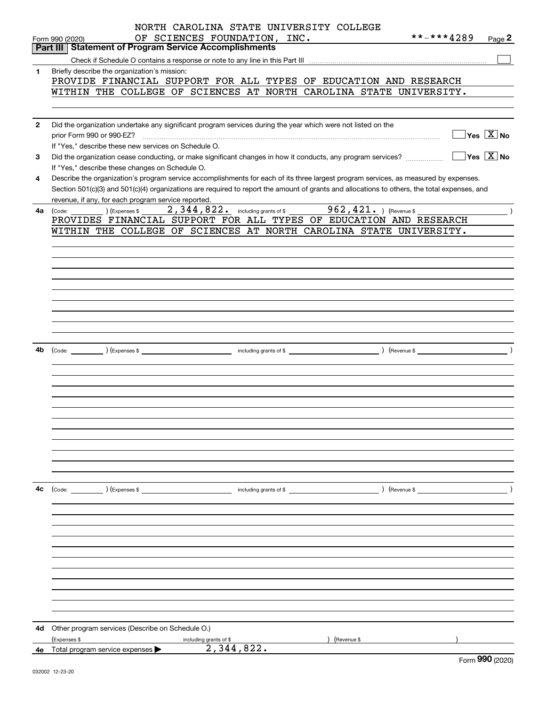|              | NORTH CAROLINA STATE UNIVERSITY COLLEGE                                                                                                       |
|--------------|-----------------------------------------------------------------------------------------------------------------------------------------------|
|              | **-***4289<br>OF SCIENCES FOUNDATION, INC.<br>Page 2<br>Form 990 (2020)                                                                       |
|              | <b>Part III Statement of Program Service Accomplishments</b>                                                                                  |
|              |                                                                                                                                               |
| $\mathbf{1}$ | Briefly describe the organization's mission:                                                                                                  |
|              | PROVIDE FINANCIAL SUPPORT FOR ALL TYPES OF EDUCATION AND RESEARCH                                                                             |
|              | WITHIN THE COLLEGE OF SCIENCES AT NORTH CAROLINA STATE UNIVERSITY.                                                                            |
|              |                                                                                                                                               |
|              |                                                                                                                                               |
| $\mathbf{2}$ | Did the organization undertake any significant program services during the year which were not listed on the                                  |
|              | $\Box$ Yes $[\overline{\mathrm{X}}]$ No<br>prior Form 990 or 990-EZ?                                                                          |
|              | If "Yes," describe these new services on Schedule O.                                                                                          |
| 3            | $\sqrt{Y}$ Yes $\boxed{X}$ No<br>Did the organization cease conducting, or make significant changes in how it conducts, any program services? |
|              | If "Yes," describe these changes on Schedule O.                                                                                               |
| 4            | Describe the organization's program service accomplishments for each of its three largest program services, as measured by expenses.          |
|              | Section 501(c)(3) and 501(c)(4) organizations are required to report the amount of grants and allocations to others, the total expenses, and  |
|              | revenue, if any, for each program service reported.                                                                                           |
| 4a           | $(\text{Code: } \_\_\_\_\_\)$ (Expenses \$ $\_\_\_\_\_344, 822.$ including grants of \$ $\_\_\_\_\_962, 421.$ ) (Revenue \$                   |
|              | PROVIDES FINANCIAL SUPPORT FOR ALL TYPES OF EDUCATION AND RESEARCH                                                                            |
|              | WITHIN THE COLLEGE OF SCIENCES AT NORTH CAROLINA STATE UNIVERSITY.                                                                            |
|              |                                                                                                                                               |
|              |                                                                                                                                               |
|              |                                                                                                                                               |
|              |                                                                                                                                               |
|              |                                                                                                                                               |
|              |                                                                                                                                               |
|              |                                                                                                                                               |
|              |                                                                                                                                               |
|              |                                                                                                                                               |
|              |                                                                                                                                               |
|              |                                                                                                                                               |
| 4b           |                                                                                                                                               |
|              |                                                                                                                                               |
|              |                                                                                                                                               |
|              |                                                                                                                                               |
|              |                                                                                                                                               |
|              |                                                                                                                                               |
|              |                                                                                                                                               |
|              |                                                                                                                                               |
|              |                                                                                                                                               |
|              |                                                                                                                                               |
|              |                                                                                                                                               |
|              |                                                                                                                                               |
|              |                                                                                                                                               |
|              |                                                                                                                                               |
| 4с           | ) (Revenue \$<br>$\left(\text{Code:}\right)$ $\left(\text{Expenses $}\right)$<br>including grants of \$                                       |
|              |                                                                                                                                               |
|              |                                                                                                                                               |
|              |                                                                                                                                               |
|              |                                                                                                                                               |
|              |                                                                                                                                               |
|              |                                                                                                                                               |
|              |                                                                                                                                               |
|              |                                                                                                                                               |
|              |                                                                                                                                               |
|              |                                                                                                                                               |
|              |                                                                                                                                               |
|              |                                                                                                                                               |
|              |                                                                                                                                               |
| 4d           | Other program services (Describe on Schedule O.)                                                                                              |
|              | (Expenses \$<br>including grants of \$<br>(Revenue \$                                                                                         |
| 4е           | 2,344,822.<br>Total program service expenses<br>$\overline{2}$                                                                                |

Form (2020) **990**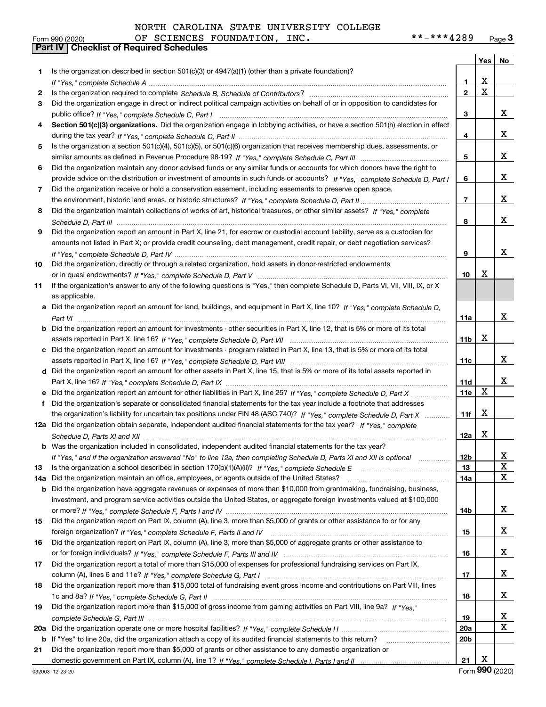| NORTH CAROLINA STATE UNIVERSITY COLLEGE |  |
|-----------------------------------------|--|
|-----------------------------------------|--|

|     |                                                                                                                                                                                                                                |                 | Yes                     | No                      |
|-----|--------------------------------------------------------------------------------------------------------------------------------------------------------------------------------------------------------------------------------|-----------------|-------------------------|-------------------------|
| 1   | Is the organization described in section 501(c)(3) or 4947(a)(1) (other than a private foundation)?                                                                                                                            |                 |                         |                         |
|     |                                                                                                                                                                                                                                | 1               | х                       |                         |
| 2   | Is the organization required to complete Schedule B, Schedule of Contributors? [11] Content of Content of Content of Contributors? [11] All of Contributors and Content of Content of the Organization required to complete th | $\mathbf{2}$    | $\overline{\mathtt{x}}$ |                         |
| 3   | Did the organization engage in direct or indirect political campaign activities on behalf of or in opposition to candidates for                                                                                                |                 |                         |                         |
|     |                                                                                                                                                                                                                                | 3               |                         | X.                      |
| 4   | Section 501(c)(3) organizations. Did the organization engage in lobbying activities, or have a section 501(h) election in effect                                                                                               |                 |                         |                         |
|     |                                                                                                                                                                                                                                | 4               |                         | X.                      |
| 5   | Is the organization a section 501(c)(4), 501(c)(5), or 501(c)(6) organization that receives membership dues, assessments, or                                                                                                   |                 |                         |                         |
|     |                                                                                                                                                                                                                                | 5               |                         | X.                      |
| 6   | Did the organization maintain any donor advised funds or any similar funds or accounts for which donors have the right to                                                                                                      |                 |                         |                         |
|     | provide advice on the distribution or investment of amounts in such funds or accounts? If "Yes," complete Schedule D, Part I                                                                                                   | 6               |                         | X.                      |
| 7   | Did the organization receive or hold a conservation easement, including easements to preserve open space,                                                                                                                      |                 |                         |                         |
|     |                                                                                                                                                                                                                                | 7               |                         | X.                      |
| 8   | Did the organization maintain collections of works of art, historical treasures, or other similar assets? If "Yes," complete                                                                                                   |                 |                         |                         |
|     |                                                                                                                                                                                                                                | 8               |                         | x                       |
| 9   | Did the organization report an amount in Part X, line 21, for escrow or custodial account liability, serve as a custodian for                                                                                                  |                 |                         |                         |
|     | amounts not listed in Part X; or provide credit counseling, debt management, credit repair, or debt negotiation services?                                                                                                      |                 |                         |                         |
|     |                                                                                                                                                                                                                                | 9               |                         | x                       |
| 10  | Did the organization, directly or through a related organization, hold assets in donor-restricted endowments                                                                                                                   |                 |                         |                         |
|     |                                                                                                                                                                                                                                | 10              | х                       |                         |
| 11  | If the organization's answer to any of the following questions is "Yes," then complete Schedule D, Parts VI, VII, VIII, IX, or X                                                                                               |                 |                         |                         |
|     | as applicable.                                                                                                                                                                                                                 |                 |                         |                         |
| a   | Did the organization report an amount for land, buildings, and equipment in Part X, line 10? If "Yes," complete Schedule D,                                                                                                    |                 |                         |                         |
|     |                                                                                                                                                                                                                                | 11a             |                         | x                       |
| b   | Did the organization report an amount for investments - other securities in Part X, line 12, that is 5% or more of its total                                                                                                   |                 |                         |                         |
|     |                                                                                                                                                                                                                                | 11b             | x                       |                         |
| с   | Did the organization report an amount for investments - program related in Part X, line 13, that is 5% or more of its total                                                                                                    |                 |                         |                         |
|     |                                                                                                                                                                                                                                | 11c             |                         | X.                      |
|     | d Did the organization report an amount for other assets in Part X, line 15, that is 5% or more of its total assets reported in                                                                                                |                 |                         |                         |
|     |                                                                                                                                                                                                                                | 11d             |                         | x                       |
| е   | Did the organization report an amount for other liabilities in Part X, line 25? If "Yes," complete Schedule D, Part X                                                                                                          | 11e             | X                       |                         |
| f   | Did the organization's separate or consolidated financial statements for the tax year include a footnote that addresses                                                                                                        |                 |                         |                         |
|     | the organization's liability for uncertain tax positions under FIN 48 (ASC 740)? If "Yes," complete Schedule D, Part X                                                                                                         | 11f             | X                       |                         |
|     | 12a Did the organization obtain separate, independent audited financial statements for the tax year? If "Yes," complete                                                                                                        |                 |                         |                         |
|     |                                                                                                                                                                                                                                | 12a             | x                       |                         |
|     | <b>b</b> Was the organization included in consolidated, independent audited financial statements for the tax year?                                                                                                             |                 |                         |                         |
|     | If "Yes," and if the organization answered "No" to line 12a, then completing Schedule D, Parts XI and XII is optional                                                                                                          | 12 <sub>b</sub> |                         | X                       |
| 13  |                                                                                                                                                                                                                                | 13              |                         | X                       |
| 14a | Did the organization maintain an office, employees, or agents outside of the United States?                                                                                                                                    | 14a             |                         | X                       |
| b   | Did the organization have aggregate revenues or expenses of more than \$10,000 from grantmaking, fundraising, business,                                                                                                        |                 |                         |                         |
|     | investment, and program service activities outside the United States, or aggregate foreign investments valued at \$100,000                                                                                                     |                 |                         |                         |
|     |                                                                                                                                                                                                                                | 14b             |                         | X.                      |
| 15  | Did the organization report on Part IX, column (A), line 3, more than \$5,000 of grants or other assistance to or for any                                                                                                      |                 |                         |                         |
|     |                                                                                                                                                                                                                                | 15              |                         | X.                      |
| 16  | Did the organization report on Part IX, column (A), line 3, more than \$5,000 of aggregate grants or other assistance to                                                                                                       |                 |                         |                         |
|     |                                                                                                                                                                                                                                | 16              |                         | X.                      |
| 17  | Did the organization report a total of more than \$15,000 of expenses for professional fundraising services on Part IX,                                                                                                        |                 |                         |                         |
|     |                                                                                                                                                                                                                                | 17              |                         | X.                      |
| 18  | Did the organization report more than \$15,000 total of fundraising event gross income and contributions on Part VIII, lines                                                                                                   |                 |                         |                         |
|     |                                                                                                                                                                                                                                | 18              |                         | X.                      |
| 19  | Did the organization report more than \$15,000 of gross income from gaming activities on Part VIII, line 9a? If "Yes."                                                                                                         |                 |                         |                         |
|     |                                                                                                                                                                                                                                | 19              |                         | X                       |
| 20a |                                                                                                                                                                                                                                | 20a             |                         | $\overline{\mathbf{X}}$ |
| b   | If "Yes" to line 20a, did the organization attach a copy of its audited financial statements to this return?                                                                                                                   | 20 <sub>b</sub> |                         |                         |
| 21  | Did the organization report more than \$5,000 of grants or other assistance to any domestic organization or                                                                                                                    |                 |                         |                         |
|     |                                                                                                                                                                                                                                | 21              | X                       |                         |

Form (2020) **990**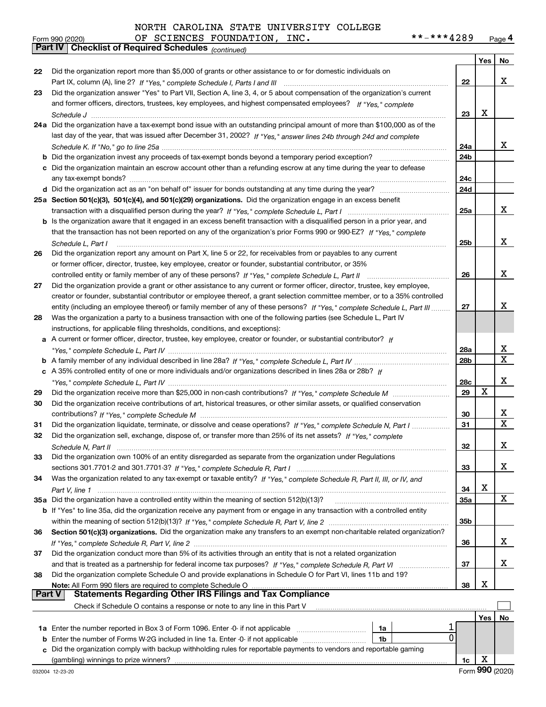#### **Yes No 222324a**Did the organization have a tax-exempt bond issue with an outstanding principal amount of more than \$100,000 as of the **25aSection 501(c)(3), 501(c)(4), and 501(c)(29) organizations.**  Did the organization engage in an excess benefit **26272829303132333435a** Did the organization have a controlled entity within the meaning of section 512(b)(13)? **363738222324a24b24c24d25a25b262728a28b28c29303132333435a35b363738b** Did the organization invest any proceeds of tax-exempt bonds beyond a temporary period exception? \_\_\_\_\_\_\_\_\_\_\_\_\_\_\_\_\_ **c**Did the organization maintain an escrow account other than a refunding escrow at any time during the year to defease **d** Did the organization act as an "on behalf of" issuer for bonds outstanding at any time during the year? \_\_\_\_\_\_\_\_\_\_\_\_\_\_\_\_\_\_\_\_\_ **b** Is the organization aware that it engaged in an excess benefit transaction with a disqualified person in a prior year, and **a** A current or former officer, director, trustee, key employee, creator or founder, or substantial contributor? If **b***If "Yes," complete Schedule L, Part IV* A family member of any individual described in line 28a? ~~~~~~~~~~~~~~~ **c***If* A 35% controlled entity of one or more individuals and/or organizations described in lines 28a or 28b? **b** If "Yes" to line 35a, did the organization receive any payment from or engage in any transaction with a controlled entity **Section 501(c)(3) organizations.** Did the organization make any transfers to an exempt non-charitable related organization? **Note:**  All Form 990 filers are required to complete Schedule O **Yes No 1a** Enter the number reported in Box 3 of Form 1096. Enter -0- if not applicable  $\ldots$  $\ldots$  $\ldots$  $\ldots$  $\ldots$ **b** Enter the number of Forms W-2G included in line 1a. Enter -0- if not applicable  $\ldots$  $\ldots$  $\ldots$  $\ldots$  $\ldots$ **1a1b**orm 990 (2020) OF SCIENCES FOUNDATION, INC**. \* \* – \* \* \* 4** 2 8 9 <sub>Page</sub> 4<br><mark>Part IV | Checklist of Required Schedules</mark> <sub>(continued)</sub> Part IX, column (A), line 2? H "Yes," complete Schedule I, Parts I and III **www.www.www.www.www.www.www.ww** *If "Yes," complete* and former officers, directors, trustees, key employees, and highest compensated employees? *Schedule J* last day of the year, that was issued after December 31, 2002? If "Yes," answer lines 24b through 24d and complete *Schedule K. If "No," go to line 25a* ~~~~~~~~~~~~~~~~~~~~~~~~~~~~~~~~~~~~~~~~~~~~~ transaction with a disqualified person during the year? If "Yes," complete Schedule L, Part I multimated and the *If "Yes," complete* that the transaction has not been reported on any of the organization's prior Forms 990 or 990-EZ? *Schedule L, Part I* controlled entity or family member of any of these persons?  $H$  "Yes," complete Schedule L, Part II www.www.www.www. entity (including an employee thereof) or family member of any of these persons? If "Yes," c*omplete Schedule L, Part III* ......... *"Yes," complete Schedule L, Part IV* ~~~~~~~~~~~~~~~~~~~~~~~~~~~~~~~~~~~~~~~~~~~~*"Yes," complete Schedule L, Part IV* ~~~~~~~~~~~~~~~~~~~~~~~~~~~~~~~~~~~~~~~~~~~~ Did the organization receive more than \$25,000 in non-cash contributions? If "Yes," complete Schedule M ........................... *If "Yes," complete Schedule M* contributions? ~~~~~~~~~~~~~~~~~~~~~~~~~~~~~~~~~~~~~~~ Did the organization liquidate, terminate, or dissolve and cease operations? If "Yes," c*omplete Schedule N, Part I If "Yes," complete* Did the organization sell, exchange, dispose of, or transfer more than 25% of its net assets? *Schedule N, Part II* ~~~~~~~~~~~~~~~~~~~~~~~~~~~~~~~~~~~~~~~~~~~~~~~~~~~~ *If "Yes," complete Schedule R, Part I* sections 301.7701-2 and 301.7701-3? ~~~~~~~~~~~~~~~~~~~~~~~~ Was the organization related to any tax-exempt or taxable entity? If "Yes," complete Schedule R, Part II, III, or IV, and *Part V, line 1* within the meaning of section 512(b)(13)? If "Yes," complete Schedule R, Part V, line 2 ……………………………………………… If "Yes," complete Schedule R, Part V, line 2 …………………………………………………………………………………………… and that is treated as a partnership for federal income tax purposes? *H* "Yes," complete Schedule R, Part VI ......................... Did the organization report more than \$5,000 of grants or other assistance to or for domestic individuals on Did the organization answer "Yes" to Part VII, Section A, line 3, 4, or 5 about compensation of the organization's current ~~~~~~~~~~~~~~~~~~~~~~~~~~~~~~~~~~~~~~~~~~~~~~~~~~~~~~~~any tax-exempt bonds? ~~~~~~~~~~~~~~~~~~~~~~~~~~~~~~~~~~~~~~~~~~~~~~~~~~ Did the organization report any amount on Part X, line 5 or 22, for receivables from or payables to any current or former officer, director, trustee, key employee, creator or founder, substantial contributor, or 35% Did the organization provide a grant or other assistance to any current or former officer, director, trustee, key employee, creator or founder, substantial contributor or employee thereof, a grant selection committee member, or to a 35% controlled Was the organization a party to a business transaction with one of the following parties (see Schedule L, Part IV instructions, for applicable filing thresholds, conditions, and exceptions): Did the organization receive contributions of art, historical treasures, or other similar assets, or qualified conservation Did the organization own 100% of an entity disregarded as separate from the organization under Regulations Did the organization conduct more than 5% of its activities through an entity that is not a related organization Did the organization complete Schedule O and provide explanations in Schedule O for Part VI, lines 11b and 19? Check if Schedule O contains a response or note to any line in this Part V **Part V** Statements Regarding Other IRS Filings and Tax Compliance  $\mathcal{L}^{\text{max}}$ X X X X X X X X X X X X 1  $\overline{0}$ X X X X X X X X

 ${\bf c}$  Did the organization comply with backup withholding rules for reportable payments to vendors and reportable gaming (gambling) winnings to prize winners?

**1c**

Form 990 (2020) Page OF SCIENCES FOUNDATION, INC. \*\*-\*\*\*4289

| OLIII AAN (SASA) |                   |
|------------------|-------------------|
|                  | Part IV   Checkli |
|                  |                   |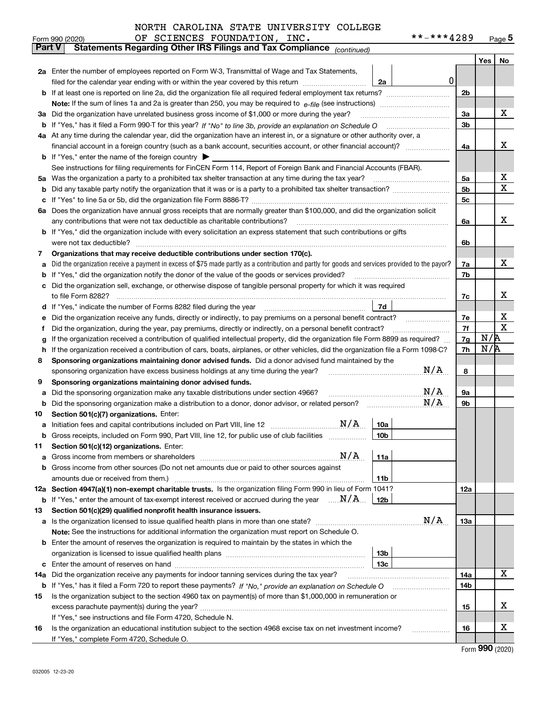|          | **-***4289<br>OF SCIENCES FOUNDATION, INC.<br>Form 990 (2020)                                                                                                                                         |                |     | $_{\text{Page}}$ 5 |
|----------|-------------------------------------------------------------------------------------------------------------------------------------------------------------------------------------------------------|----------------|-----|--------------------|
|          | <b>Part V</b><br>Statements Regarding Other IRS Filings and Tax Compliance (continued)                                                                                                                |                |     |                    |
|          |                                                                                                                                                                                                       |                | Yes | No                 |
|          | 2a Enter the number of employees reported on Form W-3, Transmittal of Wage and Tax Statements,                                                                                                        |                |     |                    |
|          | 0 <br>filed for the calendar year ending with or within the year covered by this return<br>2a                                                                                                         |                |     |                    |
|          |                                                                                                                                                                                                       | 2 <sub>b</sub> |     |                    |
|          |                                                                                                                                                                                                       |                |     |                    |
| За       | Did the organization have unrelated business gross income of \$1,000 or more during the year?                                                                                                         | 3a             |     | x                  |
| b        |                                                                                                                                                                                                       | 3 <sub>b</sub> |     |                    |
|          | 4a At any time during the calendar year, did the organization have an interest in, or a signature or other authority over, a                                                                          |                |     |                    |
|          | financial account in a foreign country (such as a bank account, securities account, or other financial account)?                                                                                      | 4a             |     | х                  |
|          | <b>b</b> If "Yes," enter the name of the foreign country $\blacktriangleright$                                                                                                                        |                |     |                    |
|          | See instructions for filing requirements for FinCEN Form 114, Report of Foreign Bank and Financial Accounts (FBAR).                                                                                   |                |     |                    |
| 5a       | Was the organization a party to a prohibited tax shelter transaction at any time during the tax year?                                                                                                 | 5a             |     | х                  |
| b        |                                                                                                                                                                                                       | 5b             |     | X                  |
| с        |                                                                                                                                                                                                       | 5c             |     |                    |
|          | 6a Does the organization have annual gross receipts that are normally greater than \$100,000, and did the organization solicit                                                                        |                |     |                    |
|          | any contributions that were not tax deductible as charitable contributions?                                                                                                                           | 6a             |     | x                  |
|          | <b>b</b> If "Yes," did the organization include with every solicitation an express statement that such contributions or gifts                                                                         |                |     |                    |
|          | were not tax deductible?                                                                                                                                                                              | 6b             |     |                    |
| 7        | Organizations that may receive deductible contributions under section 170(c).                                                                                                                         |                |     |                    |
| а        | Did the organization receive a payment in excess of \$75 made partly as a contribution and partly for goods and services provided to the payor?                                                       | 7a             |     | x                  |
| b        | If "Yes," did the organization notify the donor of the value of the goods or services provided?                                                                                                       | 7b             |     |                    |
|          | Did the organization sell, exchange, or otherwise dispose of tangible personal property for which it was required                                                                                     |                |     |                    |
|          |                                                                                                                                                                                                       | 7c             |     | x                  |
| d        | 7d<br>If "Yes," indicate the number of Forms 8282 filed during the year [11] [11] Wes," indicate the number of Forms 8282 filed during the year                                                       |                |     |                    |
| е        | Did the organization receive any funds, directly or indirectly, to pay premiums on a personal benefit contract?                                                                                       | 7e             |     | х                  |
| f        | Did the organization, during the year, pay premiums, directly or indirectly, on a personal benefit contract?                                                                                          | 7f             |     | $\mathbf X$        |
| g        | If the organization received a contribution of qualified intellectual property, did the organization file Form 8899 as required?                                                                      | 7g             | N/R |                    |
| h        | If the organization received a contribution of cars, boats, airplanes, or other vehicles, did the organization file a Form 1098-C?                                                                    | 7h             | N/R |                    |
| 8        | Sponsoring organizations maintaining donor advised funds. Did a donor advised fund maintained by the                                                                                                  |                |     |                    |
|          | N/A<br>sponsoring organization have excess business holdings at any time during the year?                                                                                                             | 8              |     |                    |
| 9        | Sponsoring organizations maintaining donor advised funds.                                                                                                                                             |                |     |                    |
| а        | N/A<br>Did the sponsoring organization make any taxable distributions under section 4966?                                                                                                             | 9а             |     |                    |
| b        | N/A<br>Did the sponsoring organization make a distribution to a donor, donor advisor, or related person?                                                                                              | 9b             |     |                    |
| 10       | Section 501(c)(7) organizations. Enter:                                                                                                                                                               |                |     |                    |
| а        | N/A<br>10a<br>Initiation fees and capital contributions included on Part VIII, line 12 [111] [11] [12] [11] [12] [11] [12] [                                                                          |                |     |                    |
|          | 10b <br>Gross receipts, included on Form 990, Part VIII, line 12, for public use of club facilities                                                                                                   |                |     |                    |
| 11       | Section 501(c)(12) organizations. Enter:                                                                                                                                                              |                |     |                    |
| а        | N/A<br>11a<br>Gross income from members or shareholders                                                                                                                                               |                |     |                    |
| b        | Gross income from other sources (Do not net amounts due or paid to other sources against                                                                                                              |                |     |                    |
|          | 11 <sub>b</sub><br>amounts due or received from them.)                                                                                                                                                |                |     |                    |
|          | 12a Section 4947(a)(1) non-exempt charitable trusts. Is the organization filing Form 990 in lieu of Form 1041?                                                                                        | <b>12a</b>     |     |                    |
|          | <b>b</b> If "Yes," enter the amount of tax-exempt interest received or accrued during the year $\ldots \mathbf{N}/\mathbf{A}$<br>12b                                                                  |                |     |                    |
| 13       | Section 501(c)(29) qualified nonprofit health insurance issuers.<br>N/A                                                                                                                               |                |     |                    |
| a        | Is the organization licensed to issue qualified health plans in more than one state?                                                                                                                  | <b>13a</b>     |     |                    |
|          | Note: See the instructions for additional information the organization must report on Schedule O.<br>Enter the amount of reserves the organization is required to maintain by the states in which the |                |     |                    |
| b        | 13 <sub>b</sub>                                                                                                                                                                                       |                |     |                    |
|          | 13 <sub>c</sub>                                                                                                                                                                                       |                |     |                    |
| с<br>14a | Did the organization receive any payments for indoor tanning services during the tax year?                                                                                                            | 14a            |     | X                  |
|          | <b>b</b> If "Yes," has it filed a Form 720 to report these payments? If "No," provide an explanation on Schedule O                                                                                    | 14b            |     |                    |
| 15       | Is the organization subject to the section 4960 tax on payment(s) of more than \$1,000,000 in remuneration or                                                                                         |                |     |                    |
|          |                                                                                                                                                                                                       | 15             |     | х                  |
|          | If "Yes," see instructions and file Form 4720, Schedule N.                                                                                                                                            |                |     |                    |
| 16       | Is the organization an educational institution subject to the section 4968 excise tax on net investment income?                                                                                       | 16             |     | х                  |

If "Yes," complete Form 4720, Schedule O.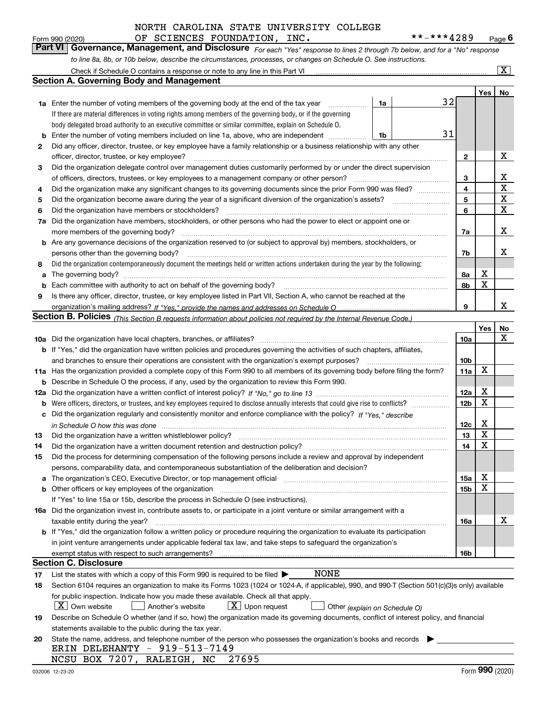| Form 990 (2020) |  | OF SCIENCES FOUNDATION, INC. |  | **-***4289                                                                                                                    | $P_{\text{aqe}}$ 6 |
|-----------------|--|------------------------------|--|-------------------------------------------------------------------------------------------------------------------------------|--------------------|
|                 |  |                              |  | Part VI   Governance, Management, and Disclosure For each "Yes" response to lines 2 through 7b below, and for a "No" response |                    |
|                 |  |                              |  | to line 8a, 8b, or 10b below, describe the circumstances, processes, or changes on Schedule O. See instructions.              |                    |

|     | Check if Schedule O contains a response or note to any line in this Part VI                                                                                           |                               |                 |     | $\overline{\mathbf{x}}$ |  |  |  |  |  |  |  |
|-----|-----------------------------------------------------------------------------------------------------------------------------------------------------------------------|-------------------------------|-----------------|-----|-------------------------|--|--|--|--|--|--|--|
|     | <b>Section A. Governing Body and Management</b>                                                                                                                       |                               |                 |     |                         |  |  |  |  |  |  |  |
|     |                                                                                                                                                                       |                               |                 | Yes | No                      |  |  |  |  |  |  |  |
|     | <b>1a</b> Enter the number of voting members of the governing body at the end of the tax year<br>.                                                                    | 1a                            | 32              |     |                         |  |  |  |  |  |  |  |
|     | If there are material differences in voting rights among members of the governing body, or if the governing                                                           |                               |                 |     |                         |  |  |  |  |  |  |  |
|     | body delegated broad authority to an executive committee or similar committee, explain on Schedule O.                                                                 |                               |                 |     |                         |  |  |  |  |  |  |  |
| b   | Enter the number of voting members included on line 1a, above, who are independent                                                                                    | 1b                            | 31              |     |                         |  |  |  |  |  |  |  |
| 2   | Did any officer, director, trustee, or key employee have a family relationship or a business relationship with any other                                              |                               |                 |     |                         |  |  |  |  |  |  |  |
|     | officer, director, trustee, or key employee?                                                                                                                          |                               | $\mathbf{2}$    |     | X                       |  |  |  |  |  |  |  |
| 3   | Did the organization delegate control over management duties customarily performed by or under the direct supervision                                                 |                               |                 |     |                         |  |  |  |  |  |  |  |
|     | of officers, directors, trustees, or key employees to a management company or other person?                                                                           |                               |                 |     |                         |  |  |  |  |  |  |  |
| 4   | Did the organization make any significant changes to its governing documents since the prior Form 990 was filed?                                                      |                               |                 |     |                         |  |  |  |  |  |  |  |
| 5   | Did the organization become aware during the year of a significant diversion of the organization's assets?                                                            |                               |                 |     |                         |  |  |  |  |  |  |  |
| 6   | Did the organization have members or stockholders?                                                                                                                    |                               | 5<br>6          |     | X<br>X                  |  |  |  |  |  |  |  |
| 7a  | Did the organization have members, stockholders, or other persons who had the power to elect or appoint one or                                                        |                               |                 |     |                         |  |  |  |  |  |  |  |
|     | more members of the governing body?                                                                                                                                   |                               | 7a              |     | х                       |  |  |  |  |  |  |  |
|     | <b>b</b> Are any governance decisions of the organization reserved to (or subject to approval by) members, stockholders, or                                           |                               |                 |     |                         |  |  |  |  |  |  |  |
|     | persons other than the governing body?                                                                                                                                |                               | 7b              |     | x                       |  |  |  |  |  |  |  |
| 8   | Did the organization contemporaneously document the meetings held or written actions undertaken during the year by the following:                                     |                               |                 |     |                         |  |  |  |  |  |  |  |
| a   |                                                                                                                                                                       |                               | 8a              | X   |                         |  |  |  |  |  |  |  |
| b   | Each committee with authority to act on behalf of the governing body?                                                                                                 |                               | 8b              | X   |                         |  |  |  |  |  |  |  |
| 9   | Is there any officer, director, trustee, or key employee listed in Part VII, Section A, who cannot be reached at the                                                  |                               |                 |     |                         |  |  |  |  |  |  |  |
|     |                                                                                                                                                                       |                               | 9               |     | x                       |  |  |  |  |  |  |  |
|     | Section B. Policies <sub>(This Section B requests information about policies not required by the Internal Revenue Code.)</sub>                                        |                               |                 |     |                         |  |  |  |  |  |  |  |
|     |                                                                                                                                                                       |                               |                 | Yes | No                      |  |  |  |  |  |  |  |
|     |                                                                                                                                                                       |                               | 10a             |     | x                       |  |  |  |  |  |  |  |
|     | <b>b</b> If "Yes," did the organization have written policies and procedures governing the activities of such chapters, affiliates,                                   |                               |                 |     |                         |  |  |  |  |  |  |  |
|     | and branches to ensure their operations are consistent with the organization's exempt purposes?                                                                       |                               | 10b             |     |                         |  |  |  |  |  |  |  |
|     | 11a Has the organization provided a complete copy of this Form 990 to all members of its governing body before filing the form?                                       |                               | 11a             | X   |                         |  |  |  |  |  |  |  |
|     | Describe in Schedule O the process, if any, used by the organization to review this Form 990.<br>b                                                                    |                               |                 |     |                         |  |  |  |  |  |  |  |
| 12a |                                                                                                                                                                       |                               |                 |     |                         |  |  |  |  |  |  |  |
| b   | Were officers, directors, or trustees, and key employees required to disclose annually interests that could give rise to conflicts?                                   |                               |                 |     |                         |  |  |  |  |  |  |  |
| с   | Did the organization regularly and consistently monitor and enforce compliance with the policy? If "Yes." describe                                                    |                               | 12 <sub>b</sub> | X   |                         |  |  |  |  |  |  |  |
|     | in Schedule O how this was done <i>measured contained to change the street</i> and the street of the street of the str                                                |                               | 12c             | X   |                         |  |  |  |  |  |  |  |
| 13  | Did the organization have a written whistleblower policy?                                                                                                             |                               | 13              | X   |                         |  |  |  |  |  |  |  |
| 14  | Did the organization have a written document retention and destruction policy?                                                                                        |                               | 14              | X   |                         |  |  |  |  |  |  |  |
| 15  | Did the process for determining compensation of the following persons include a review and approval by independent                                                    |                               |                 |     |                         |  |  |  |  |  |  |  |
|     | persons, comparability data, and contemporaneous substantiation of the deliberation and decision?                                                                     |                               |                 |     |                         |  |  |  |  |  |  |  |
| a   | The organization's CEO, Executive Director, or top management official manufactured content of the organization's CEO, Executive Director, or top management official |                               | 15a             | Χ   |                         |  |  |  |  |  |  |  |
|     | <b>b</b> Other officers or key employees of the organization                                                                                                          |                               | 15 <sub>b</sub> | X   |                         |  |  |  |  |  |  |  |
|     | If "Yes" to line 15a or 15b, describe the process in Schedule O (see instructions).                                                                                   |                               |                 |     |                         |  |  |  |  |  |  |  |
|     | 16a Did the organization invest in, contribute assets to, or participate in a joint venture or similar arrangement with a                                             |                               |                 |     |                         |  |  |  |  |  |  |  |
|     | taxable entity during the year?                                                                                                                                       |                               | 16a             |     | х                       |  |  |  |  |  |  |  |
|     | b If "Yes," did the organization follow a written policy or procedure requiring the organization to evaluate its participation                                        |                               |                 |     |                         |  |  |  |  |  |  |  |
|     | in joint venture arrangements under applicable federal tax law, and take steps to safeguard the organization's                                                        |                               |                 |     |                         |  |  |  |  |  |  |  |
|     | exempt status with respect to such arrangements?                                                                                                                      |                               | 16b             |     |                         |  |  |  |  |  |  |  |
|     | Section C. Disclosure                                                                                                                                                 |                               |                 |     |                         |  |  |  |  |  |  |  |
| 17  | <b>NONE</b><br>List the states with which a copy of this Form 990 is required to be filed $\blacktriangleright$                                                       |                               |                 |     |                         |  |  |  |  |  |  |  |
| 18  | Section 6104 requires an organization to make its Forms 1023 (1024 or 1024-A, if applicable), 990, and 990-T (Section 501(c)(3)s only) available                      |                               |                 |     |                         |  |  |  |  |  |  |  |
|     | for public inspection. Indicate how you made these available. Check all that apply.                                                                                   |                               |                 |     |                         |  |  |  |  |  |  |  |
|     | $X$ Own website<br>$X$ Upon request<br>Another's website                                                                                                              | Other (explain on Schedule O) |                 |     |                         |  |  |  |  |  |  |  |
| 19  | Describe on Schedule O whether (and if so, how) the organization made its governing documents, conflict of interest policy, and financial                             |                               |                 |     |                         |  |  |  |  |  |  |  |
|     | statements available to the public during the tax year.                                                                                                               |                               |                 |     |                         |  |  |  |  |  |  |  |
| 20  | State the name, address, and telephone number of the person who possesses the organization's books and records                                                        |                               |                 |     |                         |  |  |  |  |  |  |  |
|     | ERIN DELEHANTY - 919-513-7149                                                                                                                                         |                               |                 |     |                         |  |  |  |  |  |  |  |
|     | NCSU BOX 7207, RALEIGH, NC<br>27695                                                                                                                                   |                               |                 |     |                         |  |  |  |  |  |  |  |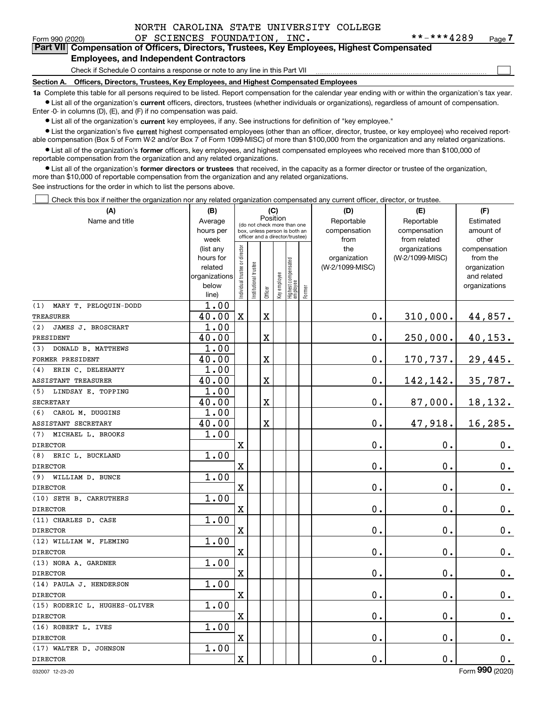$\mathcal{L}^{\text{max}}$ 

### Form 990 (2020) Page OF SCIENCES FOUNDATION, INC. \*\*-\*\*\*4289 Form 990 (2020) **1990 COMPTER OF SCIENCES FOUNDATION**, INC.<br>**Part VII** Compensation of Officers, Directors, Trustees, Key Employees, Highest Compensated **Employees, and Independent Contractors**

Check if Schedule O contains a response or note to any line in this Part VII

**Section A. Officers, Directors, Trustees, Key Employees, and Highest Compensated Employees**

**1a**  Complete this table for all persons required to be listed. Report compensation for the calendar year ending with or within the organization's tax year. **•** List all of the organization's current officers, directors, trustees (whether individuals or organizations), regardless of amount of compensation.

Enter -0- in columns (D), (E), and (F) if no compensation was paid.

 $\bullet$  List all of the organization's  $\,$ current key employees, if any. See instructions for definition of "key employee."

**•** List the organization's five current highest compensated employees (other than an officer, director, trustee, or key employee) who received reportable compensation (Box 5 of Form W-2 and/or Box 7 of Form 1099-MISC) of more than \$100,000 from the organization and any related organizations.

**•** List all of the organization's former officers, key employees, and highest compensated employees who received more than \$100,000 of reportable compensation from the organization and any related organizations.

**former directors or trustees**  ¥ List all of the organization's that received, in the capacity as a former director or trustee of the organization, more than \$10,000 of reportable compensation from the organization and any related organizations.

See instructions for the order in which to list the persons above.

Check this box if neither the organization nor any related organization compensated any current officer, director, or trustee.  $\mathcal{L}^{\text{max}}$ 

| (A)                           | (B)               | (C)                                                              |                       |                         |              |                                   |        | (D)             | (E)                           | (F)                   |  |  |
|-------------------------------|-------------------|------------------------------------------------------------------|-----------------------|-------------------------|--------------|-----------------------------------|--------|-----------------|-------------------------------|-----------------------|--|--|
| Name and title                | Average           | Position<br>(do not check more than one                          |                       |                         |              |                                   |        | Reportable      | Reportable                    | Estimated             |  |  |
|                               | hours per         | box, unless person is both an<br>officer and a director/trustee) |                       |                         |              |                                   |        | compensation    | compensation                  | amount of             |  |  |
|                               | week<br>(list any |                                                                  |                       |                         |              |                                   |        | from<br>the     | from related<br>organizations | other<br>compensation |  |  |
|                               | hours for         | Individual trustee or director                                   |                       |                         |              |                                   |        | organization    | (W-2/1099-MISC)               | from the              |  |  |
|                               | related           |                                                                  |                       |                         |              |                                   |        | (W-2/1099-MISC) |                               | organization          |  |  |
|                               | organizations     |                                                                  |                       |                         |              |                                   |        |                 |                               | and related           |  |  |
|                               | below             |                                                                  | Institutional trustee |                         | Key employee |                                   |        |                 |                               | organizations         |  |  |
|                               | line)             |                                                                  |                       | Officer                 |              | Highest compensated<br>  employee | Former |                 |                               |                       |  |  |
| MARY T. PELOOUIN-DODD<br>(1)  | 1.00              |                                                                  |                       |                         |              |                                   |        |                 |                               |                       |  |  |
| <b>TREASURER</b>              | 40.00             | $\mathbf X$                                                      |                       | $\overline{\textbf{X}}$ |              |                                   |        | 0.              | 310,000.                      | 44,857.               |  |  |
| JAMES J. BROSCHART<br>(2)     | 1.00              |                                                                  |                       |                         |              |                                   |        |                 |                               |                       |  |  |
| PRESIDENT                     | 40.00             |                                                                  |                       | X                       |              |                                   |        | 0.              | 250,000.                      | 40,153.               |  |  |
| DONALD B. MATTHEWS<br>(3)     | 1.00              |                                                                  |                       |                         |              |                                   |        |                 |                               |                       |  |  |
| FORMER PRESIDENT              | 40.00             |                                                                  |                       | $\mathbf X$             |              |                                   |        | 0.              | 170,737.                      | 29,445.               |  |  |
| ERIN C. DELEHANTY<br>(4)      | 1.00              |                                                                  |                       |                         |              |                                   |        |                 |                               |                       |  |  |
| <b>ASSISTANT TREASURER</b>    | 40.00             |                                                                  |                       | $\overline{\text{X}}$   |              |                                   |        | $0$ .           | 142,142.                      | 35,787.               |  |  |
| (5) LINDSAY E. TOPPING        | 1.00              |                                                                  |                       |                         |              |                                   |        |                 |                               |                       |  |  |
| <b>SECRETARY</b>              | 40.00             |                                                                  |                       | X                       |              |                                   |        | 0.              | 87,000.                       | 18,132.               |  |  |
| (6)<br>CAROL M. DUGGINS       | 1.00              |                                                                  |                       |                         |              |                                   |        |                 |                               |                       |  |  |
| ASSISTANT SECRETARY           | 40.00             |                                                                  |                       | $\overline{\text{X}}$   |              |                                   |        | 0.              | 47,918.                       | 16,285.               |  |  |
| (7)<br>MICHAEL L. BROOKS      | 1.00              |                                                                  |                       |                         |              |                                   |        |                 |                               |                       |  |  |
| <b>DIRECTOR</b>               |                   | $\mathbf X$                                                      |                       |                         |              |                                   |        | 0.              | $\mathbf 0$ .                 | $0_{.}$               |  |  |
| ERIC L. BUCKLAND<br>(8)       | 1.00              |                                                                  |                       |                         |              |                                   |        |                 |                               |                       |  |  |
| <b>DIRECTOR</b>               |                   | $\overline{\text{X}}$                                            |                       |                         |              |                                   |        | 0.              | $\mathbf 0$ .                 | $\mathbf 0$ .         |  |  |
| (9)<br>WILLIAM D. BUNCE       | 1.00              |                                                                  |                       |                         |              |                                   |        |                 |                               |                       |  |  |
| <b>DIRECTOR</b>               |                   | $\mathbf X$                                                      |                       |                         |              |                                   |        | 0.              | $\mathbf 0$ .                 | $\mathbf 0$ .         |  |  |
| (10) SETH B. CARRUTHERS       | 1.00              |                                                                  |                       |                         |              |                                   |        |                 |                               |                       |  |  |
| <b>DIRECTOR</b>               |                   | $\overline{\text{X}}$                                            |                       |                         |              |                                   |        | 0.              | $\mathbf 0$ .                 | 0.                    |  |  |
| (11) CHARLES D. CASE          | 1.00              |                                                                  |                       |                         |              |                                   |        |                 |                               |                       |  |  |
| <b>DIRECTOR</b>               |                   | $\mathbf X$                                                      |                       |                         |              |                                   |        | 0.              | $\mathbf 0$ .                 | $0_{.}$               |  |  |
| (12) WILLIAM W. FLEMING       | 1.00              |                                                                  |                       |                         |              |                                   |        |                 |                               |                       |  |  |
| <b>DIRECTOR</b>               |                   | $\mathbf x$                                                      |                       |                         |              |                                   |        | 0.              | $\mathbf 0$ .                 | $0_{.}$               |  |  |
| (13) NORA A. GARDNER          | 1.00              |                                                                  |                       |                         |              |                                   |        |                 |                               |                       |  |  |
| <b>DIRECTOR</b>               |                   | $\mathbf X$                                                      |                       |                         |              |                                   |        | 0.              | $\mathbf 0$ .                 | $\mathbf 0$ .         |  |  |
| (14) PAULA J. HENDERSON       | 1.00              |                                                                  |                       |                         |              |                                   |        |                 |                               |                       |  |  |
| <b>DIRECTOR</b>               |                   | X                                                                |                       |                         |              |                                   |        | 0.              | 0.                            | $\mathbf 0$ .         |  |  |
| (15) RODERIC L. HUGHES-OLIVER | 1.00              |                                                                  |                       |                         |              |                                   |        |                 |                               |                       |  |  |
| <b>DIRECTOR</b>               |                   | $\mathbf X$                                                      |                       |                         |              |                                   |        | 0.              | 0.                            | 0.                    |  |  |
| (16) ROBERT L. IVES           | 1.00              |                                                                  |                       |                         |              |                                   |        |                 |                               |                       |  |  |
| <b>DIRECTOR</b>               |                   | X                                                                |                       |                         |              |                                   |        | 0.              | $\mathbf 0$ .                 | 0.                    |  |  |
| (17) WALTER D. JOHNSON        | 1.00              |                                                                  |                       |                         |              |                                   |        |                 |                               |                       |  |  |
| <b>DIRECTOR</b>               |                   | $\rm X$                                                          |                       |                         |              |                                   |        | 0.              | $\mathbf 0$ .                 | $\mathbf 0$ .         |  |  |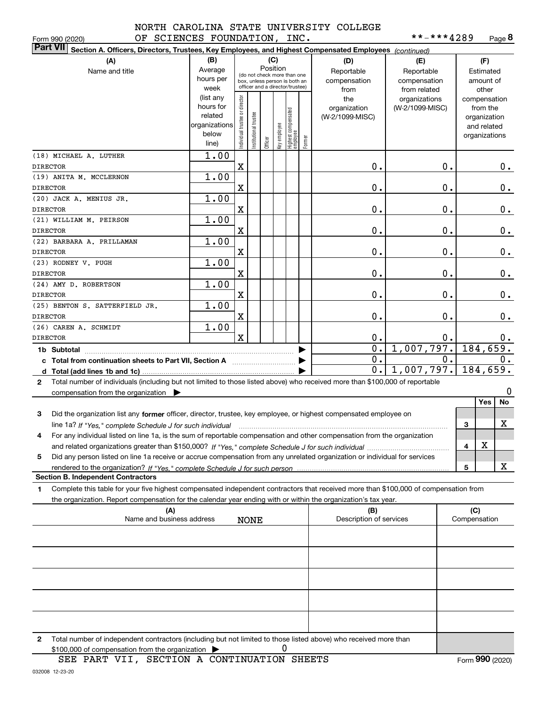**8**\*\*-\*\*\*4289

| OF SCIENCES FOUNDATION, INC.<br>Form 990 (2020)                                                                                                      |               |                                                              |                      |          |     |                                                            |        |                         | **-***4289      |              | Page 8        |       |
|------------------------------------------------------------------------------------------------------------------------------------------------------|---------------|--------------------------------------------------------------|----------------------|----------|-----|------------------------------------------------------------|--------|-------------------------|-----------------|--------------|---------------|-------|
| <b>Part VII</b><br>Section A. Officers, Directors, Trustees, Key Employees, and Highest Compensated Employees (continued)                            |               |                                                              |                      |          |     |                                                            |        |                         |                 |              |               |       |
| (A)                                                                                                                                                  | (B)           |                                                              |                      |          | (C) |                                                            |        | (D)                     | (E)             | (F)          |               |       |
| Name and title                                                                                                                                       | Average       |                                                              |                      | Position |     |                                                            |        | Reportable              | Reportable      | Estimated    |               |       |
|                                                                                                                                                      | hours per     | (do not check more than one<br>box, unless person is both an |                      |          |     |                                                            |        | compensation            | compensation    | amount of    |               |       |
|                                                                                                                                                      | week          |                                                              |                      |          |     | officer and a director/trustee)                            |        | from                    | from related    | other        |               |       |
|                                                                                                                                                      | (list any     |                                                              |                      |          |     |                                                            |        | the                     | organizations   |              | compensation  |       |
|                                                                                                                                                      | hours for     |                                                              |                      |          |     |                                                            |        | organization            | (W-2/1099-MISC) |              | from the      |       |
|                                                                                                                                                      | related       |                                                              |                      |          |     |                                                            |        | (W-2/1099-MISC)         |                 |              | organization  |       |
|                                                                                                                                                      | organizations |                                                              |                      |          |     |                                                            |        |                         |                 |              | and related   |       |
|                                                                                                                                                      | below         |                                                              |                      |          |     |                                                            |        |                         |                 |              | organizations |       |
|                                                                                                                                                      | line)         | ndividual trustee or director                                | nstitutional trustee |          |     | Officer<br>Key employee<br>Highest compensated<br>employee | Former |                         |                 |              |               |       |
| (18) MICHAEL A. LUTHER                                                                                                                               | 1.00          |                                                              |                      |          |     |                                                            |        |                         |                 |              |               |       |
| <b>DIRECTOR</b>                                                                                                                                      |               | X                                                            |                      |          |     |                                                            |        | 0.                      | 0.              |              |               | 0.    |
| (19) ANITA M. MCCLERNON                                                                                                                              | 1.00          |                                                              |                      |          |     |                                                            |        |                         |                 |              |               |       |
| <b>DIRECTOR</b>                                                                                                                                      |               | X                                                            |                      |          |     |                                                            |        | 0.                      | 0.              |              |               | 0.    |
| (20) JACK A. MENIUS JR.                                                                                                                              | 1.00          |                                                              |                      |          |     |                                                            |        |                         |                 |              |               |       |
|                                                                                                                                                      |               |                                                              |                      |          |     |                                                            |        |                         |                 |              |               |       |
| <b>DIRECTOR</b>                                                                                                                                      |               | X                                                            |                      |          |     |                                                            |        | 0.                      | 0.              |              |               | 0.    |
| (21) WILLIAM M. PEIRSON                                                                                                                              | 1.00          |                                                              |                      |          |     |                                                            |        |                         |                 |              |               |       |
| <b>DIRECTOR</b>                                                                                                                                      |               | X                                                            |                      |          |     |                                                            |        | 0.                      | 0.              |              |               | 0.    |
| (22) BARBARA A. PRILLAMAN                                                                                                                            | 1.00          |                                                              |                      |          |     |                                                            |        |                         |                 |              |               |       |
| <b>DIRECTOR</b>                                                                                                                                      |               | X                                                            |                      |          |     |                                                            |        | 0.                      | 0.              |              |               | 0.    |
| (23) RODNEY V. PUGH                                                                                                                                  | 1.00          |                                                              |                      |          |     |                                                            |        |                         |                 |              |               |       |
| <b>DIRECTOR</b>                                                                                                                                      |               | X                                                            |                      |          |     |                                                            |        | 0.                      | 0.              |              |               | 0.    |
| (24) AMY D. ROBERTSON                                                                                                                                | 1.00          |                                                              |                      |          |     |                                                            |        |                         |                 |              |               |       |
| <b>DIRECTOR</b>                                                                                                                                      |               | X                                                            |                      |          |     |                                                            |        | 0.                      | 0.              |              |               | 0.    |
| (25) BENTON S. SATTERFIELD JR.                                                                                                                       | 1.00          |                                                              |                      |          |     |                                                            |        |                         |                 |              |               |       |
| <b>DIRECTOR</b>                                                                                                                                      |               | X                                                            |                      |          |     |                                                            |        | 0.                      | 0.              |              |               | $0$ . |
| (26) CAREN A. SCHMIDT                                                                                                                                | 1.00          |                                                              |                      |          |     |                                                            |        |                         |                 |              |               |       |
| <b>DIRECTOR</b>                                                                                                                                      |               | $\mathbf x$                                                  |                      |          |     |                                                            |        | 0.                      | 0.              |              |               | $0$ . |
|                                                                                                                                                      |               |                                                              |                      |          |     |                                                            |        | $\overline{0}$ .        | 1,007,797.      |              | 184,659.      |       |
|                                                                                                                                                      |               |                                                              |                      |          |     |                                                            | ▶      |                         |                 |              |               |       |
| c Total from continuation sheets to Part VII, Section A manuscreases                                                                                 |               |                                                              |                      |          |     |                                                            | ▶      | 0.                      | 0.              |              |               | 0.    |
|                                                                                                                                                      |               |                                                              |                      |          |     |                                                            |        | 0.                      | 1,007,797.      |              | 184,659.      |       |
| Total number of individuals (including but not limited to those listed above) who received more than \$100,000 of reportable<br>$\mathbf{2}$         |               |                                                              |                      |          |     |                                                            |        |                         |                 |              |               |       |
| compensation from the organization $\blacktriangleright$                                                                                             |               |                                                              |                      |          |     |                                                            |        |                         |                 |              |               | 0     |
|                                                                                                                                                      |               |                                                              |                      |          |     |                                                            |        |                         |                 |              | Yes           | No    |
| 3<br>Did the organization list any former officer, director, trustee, key employee, or highest compensated employee on                               |               |                                                              |                      |          |     |                                                            |        |                         |                 |              |               |       |
| line 1a? If "Yes," complete Schedule J for such individual manufactured contained and the line 1a? If "Yes," complete Schedule J for such individual |               |                                                              |                      |          |     |                                                            |        |                         |                 | 3            |               | х     |
| For any individual listed on line 1a, is the sum of reportable compensation and other compensation from the organization                             |               |                                                              |                      |          |     |                                                            |        |                         |                 |              |               |       |
|                                                                                                                                                      |               |                                                              |                      |          |     |                                                            |        |                         |                 | 4            | х             |       |
|                                                                                                                                                      |               |                                                              |                      |          |     |                                                            |        |                         |                 |              |               |       |
| Did any person listed on line 1a receive or accrue compensation from any unrelated organization or individual for services<br>5                      |               |                                                              |                      |          |     |                                                            |        |                         |                 |              |               |       |
| rendered to the organization? If "Yes." complete Schedule J for such person                                                                          |               |                                                              |                      |          |     |                                                            |        |                         |                 | 5            |               | x     |
| <b>Section B. Independent Contractors</b>                                                                                                            |               |                                                              |                      |          |     |                                                            |        |                         |                 |              |               |       |
| Complete this table for your five highest compensated independent contractors that received more than \$100,000 of compensation from<br>1            |               |                                                              |                      |          |     |                                                            |        |                         |                 |              |               |       |
| the organization. Report compensation for the calendar year ending with or within the organization's tax year.                                       |               |                                                              |                      |          |     |                                                            |        |                         |                 |              |               |       |
| (A)                                                                                                                                                  |               |                                                              |                      |          |     |                                                            |        | (B)                     |                 | (C)          |               |       |
| Name and business address                                                                                                                            |               |                                                              | <b>NONE</b>          |          |     |                                                            |        | Description of services |                 | Compensation |               |       |
|                                                                                                                                                      |               |                                                              |                      |          |     |                                                            |        |                         |                 |              |               |       |
|                                                                                                                                                      |               |                                                              |                      |          |     |                                                            |        |                         |                 |              |               |       |
|                                                                                                                                                      |               |                                                              |                      |          |     |                                                            |        |                         |                 |              |               |       |
|                                                                                                                                                      |               |                                                              |                      |          |     |                                                            |        |                         |                 |              |               |       |
|                                                                                                                                                      |               |                                                              |                      |          |     |                                                            |        |                         |                 |              |               |       |
|                                                                                                                                                      |               |                                                              |                      |          |     |                                                            |        |                         |                 |              |               |       |
|                                                                                                                                                      |               |                                                              |                      |          |     |                                                            |        |                         |                 |              |               |       |
|                                                                                                                                                      |               |                                                              |                      |          |     |                                                            |        |                         |                 |              |               |       |
|                                                                                                                                                      |               |                                                              |                      |          |     |                                                            |        |                         |                 |              |               |       |
|                                                                                                                                                      |               |                                                              |                      |          |     |                                                            |        |                         |                 |              |               |       |

**2**Total number of independent contractors (including but not limited to those listed above) who received more than \$100,000 of compensation from the organization 0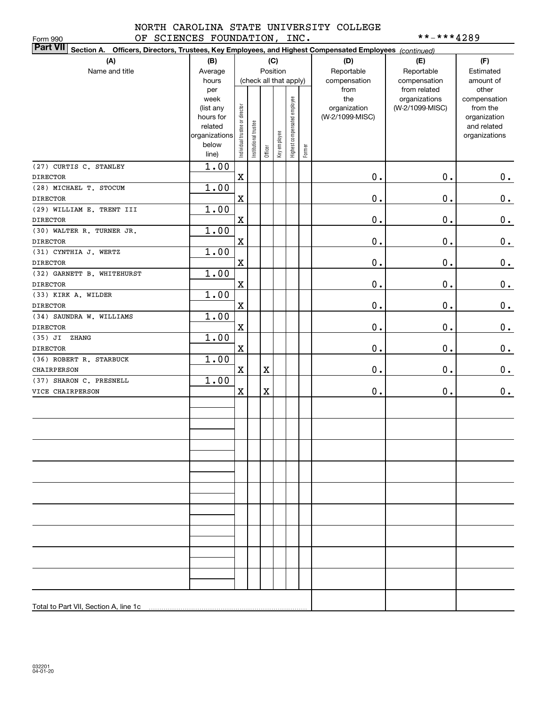# NORTH CAROLINA STATE UNIVERSITY COLLEGE OF SCIENCES FOUNDATION, INC. \*\*-\*\*\*\*4289

| OF SCIENCES FOUNDATION, INC.<br>Form 990                                                                        |                      |                                |                       |             |                        |                              |        | **-***4289      |                              |                             |  |  |
|-----------------------------------------------------------------------------------------------------------------|----------------------|--------------------------------|-----------------------|-------------|------------------------|------------------------------|--------|-----------------|------------------------------|-----------------------------|--|--|
| Part VII Section A. Officers, Directors, Trustees, Key Employees, and Highest Compensated Employees (continued) |                      |                                |                       |             |                        |                              |        |                 |                              |                             |  |  |
| (A)                                                                                                             | (B)                  |                                | (C)                   |             |                        |                              |        | (D)             | (E)                          | (F)                         |  |  |
| Name and title                                                                                                  | Average              |                                |                       |             | Position               |                              |        | Reportable      | Reportable                   | Estimated                   |  |  |
|                                                                                                                 | hours                |                                |                       |             | (check all that apply) |                              |        | compensation    | compensation<br>from related | amount of                   |  |  |
|                                                                                                                 | per                  |                                |                       |             |                        |                              |        | from            |                              | other                       |  |  |
|                                                                                                                 | week                 |                                |                       |             |                        |                              |        | the             | organizations                | compensation                |  |  |
|                                                                                                                 | (list any            |                                |                       |             |                        |                              |        | organization    | (W-2/1099-MISC)              | from the                    |  |  |
|                                                                                                                 | hours for<br>related |                                |                       |             |                        |                              |        | (W-2/1099-MISC) |                              | organization<br>and related |  |  |
|                                                                                                                 | organizations        |                                |                       |             |                        |                              |        |                 |                              | organizations               |  |  |
|                                                                                                                 | below                | Individual trustee or director | Institutional trustee |             | Key employee           | Highest compensated employee |        |                 |                              |                             |  |  |
|                                                                                                                 | line)                |                                |                       | Officer     |                        |                              | Former |                 |                              |                             |  |  |
| (27) CURTIS C. STANLEY                                                                                          | 1.00                 |                                |                       |             |                        |                              |        |                 |                              |                             |  |  |
| <b>DIRECTOR</b>                                                                                                 |                      | $\mathbf x$                    |                       |             |                        |                              |        | $0$ .           | 0.                           | 0.                          |  |  |
| (28) MICHAEL T. STOCUM                                                                                          | 1.00                 |                                |                       |             |                        |                              |        |                 |                              |                             |  |  |
| <b>DIRECTOR</b>                                                                                                 |                      | $\mathbf X$                    |                       |             |                        |                              |        | $0$ .           | 0.                           | $\mathbf 0$ .               |  |  |
| (29) WILLIAM E. TRENT III                                                                                       | 1.00                 |                                |                       |             |                        |                              |        |                 |                              |                             |  |  |
| <b>DIRECTOR</b>                                                                                                 |                      | $\mathbf X$                    |                       |             |                        |                              |        | $0$ .           | 0.                           | $\mathbf 0$ .               |  |  |
| (30) WALTER R. TURNER JR.                                                                                       | 1.00                 |                                |                       |             |                        |                              |        |                 |                              |                             |  |  |
| <b>DIRECTOR</b>                                                                                                 |                      | $\mathbf X$                    |                       |             |                        |                              |        | $0$ .           | 0.                           | $\mathbf 0$ .               |  |  |
| (31) CYNTHIA J. WERTZ                                                                                           | 1.00                 |                                |                       |             |                        |                              |        |                 |                              |                             |  |  |
| <b>DIRECTOR</b>                                                                                                 |                      | $\mathbf X$                    |                       |             |                        |                              |        | $0$ .           | 0.                           | $\mathbf 0$ .               |  |  |
| (32) GARNETT B. WHITEHURST                                                                                      | 1.00                 |                                |                       |             |                        |                              |        |                 |                              |                             |  |  |
| <b>DIRECTOR</b>                                                                                                 |                      | $\mathbf X$                    |                       |             |                        |                              |        | $0$ .           | 0.                           | $\mathbf 0$ .               |  |  |
| (33) KIRK A. WILDER                                                                                             | 1.00                 |                                |                       |             |                        |                              |        |                 |                              |                             |  |  |
| <b>DIRECTOR</b>                                                                                                 |                      | $\mathbf X$                    |                       |             |                        |                              |        | $0$ .           | 0.                           | 0.                          |  |  |
| (34) SAUNDRA W. WILLIAMS                                                                                        | 1.00                 |                                |                       |             |                        |                              |        |                 |                              |                             |  |  |
| <b>DIRECTOR</b>                                                                                                 |                      | $\mathbf X$                    |                       |             |                        |                              |        | $0$ .           | 0.                           | 0.                          |  |  |
| (35) JI ZHANG                                                                                                   | 1.00                 |                                |                       |             |                        |                              |        |                 |                              |                             |  |  |
| <b>DIRECTOR</b>                                                                                                 |                      | $\mathbf X$                    |                       |             |                        |                              |        | $0$ .           | 0.                           | 0.                          |  |  |
| (36) ROBERT R. STARBUCK                                                                                         | 1.00                 |                                |                       |             |                        |                              |        |                 |                              |                             |  |  |
| CHAIRPERSON                                                                                                     |                      | $\mathbf X$                    |                       | $\mathbf X$ |                        |                              |        | $0$ .           | 0.                           | 0.                          |  |  |
| (37) SHARON C. PRESNELL                                                                                         | 1.00                 |                                |                       |             |                        |                              |        |                 |                              |                             |  |  |
| VICE CHAIRPERSON                                                                                                |                      | $\mathbf X$                    |                       | $\mathbf X$ |                        |                              |        | $\mathbf 0$ .   | 0.                           | 0.                          |  |  |
|                                                                                                                 |                      |                                |                       |             |                        |                              |        |                 |                              |                             |  |  |
|                                                                                                                 |                      |                                |                       |             |                        |                              |        |                 |                              |                             |  |  |
|                                                                                                                 |                      |                                |                       |             |                        |                              |        |                 |                              |                             |  |  |
|                                                                                                                 |                      |                                |                       |             |                        |                              |        |                 |                              |                             |  |  |
|                                                                                                                 |                      |                                |                       |             |                        |                              |        |                 |                              |                             |  |  |
|                                                                                                                 |                      |                                |                       |             |                        |                              |        |                 |                              |                             |  |  |
|                                                                                                                 |                      |                                |                       |             |                        |                              |        |                 |                              |                             |  |  |
|                                                                                                                 |                      |                                |                       |             |                        |                              |        |                 |                              |                             |  |  |
|                                                                                                                 |                      |                                |                       |             |                        |                              |        |                 |                              |                             |  |  |
|                                                                                                                 |                      |                                |                       |             |                        |                              |        |                 |                              |                             |  |  |
|                                                                                                                 |                      |                                |                       |             |                        |                              |        |                 |                              |                             |  |  |
|                                                                                                                 |                      |                                |                       |             |                        |                              |        |                 |                              |                             |  |  |
|                                                                                                                 |                      |                                |                       |             |                        |                              |        |                 |                              |                             |  |  |
|                                                                                                                 |                      |                                |                       |             |                        |                              |        |                 |                              |                             |  |  |
|                                                                                                                 |                      |                                |                       |             |                        |                              |        |                 |                              |                             |  |  |
|                                                                                                                 |                      |                                |                       |             |                        |                              |        |                 |                              |                             |  |  |
|                                                                                                                 |                      |                                |                       |             |                        |                              |        |                 |                              |                             |  |  |
|                                                                                                                 |                      |                                |                       |             |                        |                              |        |                 |                              |                             |  |  |
|                                                                                                                 |                      |                                |                       |             |                        |                              |        |                 |                              |                             |  |  |
|                                                                                                                 |                      |                                |                       |             |                        |                              |        |                 |                              |                             |  |  |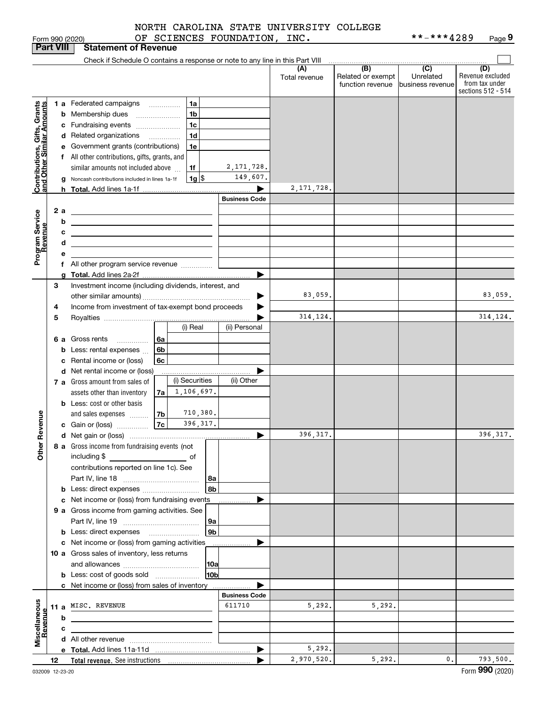|  | NORTH CAROLINA STATE UNIVERSITY COLLEGE |  |
|--|-----------------------------------------|--|
|  |                                         |  |

|                                                           |                  | Form 990 (2020)                                                                                                       |      |                 | OF SCIENCES FOUNDATION, INC. |               |                   | **-***4289       | Page 9             |
|-----------------------------------------------------------|------------------|-----------------------------------------------------------------------------------------------------------------------|------|-----------------|------------------------------|---------------|-------------------|------------------|--------------------|
|                                                           | <b>Part VIII</b> | <b>Statement of Revenue</b>                                                                                           |      |                 |                              |               |                   |                  |                    |
|                                                           |                  | Check if Schedule O contains a response or note to any line in this Part VIII                                         |      |                 |                              |               |                   |                  |                    |
|                                                           |                  |                                                                                                                       |      |                 |                              | (A)           | (B)               | $\overline{C}$   | (D)                |
|                                                           |                  |                                                                                                                       |      |                 |                              | Total revenue | Related or exempt | Unrelated        | Revenue excluded   |
|                                                           |                  |                                                                                                                       |      |                 |                              |               | function revenue  | business revenue | from tax under     |
|                                                           |                  |                                                                                                                       |      |                 |                              |               |                   |                  | sections 512 - 514 |
|                                                           |                  | 1 a Federated campaigns                                                                                               |      | 1a              |                              |               |                   |                  |                    |
|                                                           |                  | <b>b</b> Membership dues<br>$\ldots \ldots \ldots \ldots \ldots$                                                      |      | 1 <sub>b</sub>  |                              |               |                   |                  |                    |
| Contributions, Gifts, Grants<br>and Other Similar Amounts |                  | c Fundraising events                                                                                                  |      | 1 <sub>c</sub>  |                              |               |                   |                  |                    |
|                                                           |                  | d Related organizations                                                                                               |      | 1 <sub>d</sub>  |                              |               |                   |                  |                    |
|                                                           |                  |                                                                                                                       |      |                 |                              |               |                   |                  |                    |
|                                                           |                  | e Government grants (contributions)                                                                                   |      | 1e              |                              |               |                   |                  |                    |
|                                                           |                  | f All other contributions, gifts, grants, and                                                                         |      |                 |                              |               |                   |                  |                    |
|                                                           |                  | similar amounts not included above                                                                                    |      | 1f              | 2, 171, 728.                 |               |                   |                  |                    |
|                                                           |                  | Noncash contributions included in lines 1a-1f                                                                         |      | $1g$ \$         | 149,607.                     |               |                   |                  |                    |
|                                                           |                  |                                                                                                                       |      |                 |                              | 2, 171, 728.  |                   |                  |                    |
|                                                           |                  |                                                                                                                       |      |                 | <b>Business Code</b>         |               |                   |                  |                    |
|                                                           | 2 a              |                                                                                                                       |      |                 |                              |               |                   |                  |                    |
| Program Service<br>Revenue                                |                  | <u> 1989 - Johann Barn, mars ann an t-Amhain Aonaich an t-Aonaich an t-Aonaich an t-Aonaich an t-Aonaich an t-Aon</u> |      |                 |                              |               |                   |                  |                    |
|                                                           |                  | b                                                                                                                     |      |                 |                              |               |                   |                  |                    |
|                                                           |                  | с                                                                                                                     |      |                 |                              |               |                   |                  |                    |
|                                                           |                  | d<br><u> 1989 - Johann Barbara, martxa eta idazlea (h. 1989).</u>                                                     |      |                 |                              |               |                   |                  |                    |
|                                                           |                  | е                                                                                                                     |      |                 |                              |               |                   |                  |                    |
|                                                           |                  |                                                                                                                       |      |                 |                              |               |                   |                  |                    |
|                                                           |                  | g                                                                                                                     |      |                 |                              |               |                   |                  |                    |
|                                                           | 3                | Investment income (including dividends, interest, and                                                                 |      |                 |                              |               |                   |                  |                    |
|                                                           |                  |                                                                                                                       |      |                 |                              | 83,059.       |                   |                  | 83,059.            |
|                                                           |                  |                                                                                                                       |      |                 |                              |               |                   |                  |                    |
|                                                           | 4                | Income from investment of tax-exempt bond proceeds                                                                    |      |                 |                              |               |                   |                  |                    |
|                                                           | 5                |                                                                                                                       |      |                 |                              | 314, 124.     |                   |                  | 314, 124.          |
|                                                           |                  |                                                                                                                       |      | (i) Real        | (ii) Personal                |               |                   |                  |                    |
|                                                           | 6а               | Gross rents                                                                                                           | l 6a |                 |                              |               |                   |                  |                    |
|                                                           |                  | Less: rental expenses<br>b                                                                                            | 6b   |                 |                              |               |                   |                  |                    |
|                                                           |                  | Rental income or (loss)                                                                                               | 6c   |                 |                              |               |                   |                  |                    |
|                                                           |                  | d Net rental income or (loss)                                                                                         |      |                 | ▶                            |               |                   |                  |                    |
|                                                           |                  |                                                                                                                       |      | (i) Securities  | (ii) Other                   |               |                   |                  |                    |
|                                                           |                  | 7 a Gross amount from sales of                                                                                        |      |                 |                              |               |                   |                  |                    |
|                                                           |                  | assets other than inventory                                                                                           | 7a   | 1,106,697.      |                              |               |                   |                  |                    |
|                                                           |                  | <b>b</b> Less: cost or other basis                                                                                    |      |                 |                              |               |                   |                  |                    |
|                                                           |                  | and sales expenses                                                                                                    | 7b   | 710,380.        |                              |               |                   |                  |                    |
| evenue                                                    |                  | c Gain or (loss)                                                                                                      | 7c   | 396, 317.       |                              |               |                   |                  |                    |
| Ĕ.                                                        |                  |                                                                                                                       |      |                 |                              | 396,317.      |                   |                  | 396, 317.          |
|                                                           |                  | 8 a Gross income from fundraising events (not                                                                         |      |                 |                              |               |                   |                  |                    |
| Other                                                     |                  | including \$                                                                                                          |      |                 |                              |               |                   |                  |                    |
|                                                           |                  | and the contract of the contract of                                                                                   |      |                 |                              |               |                   |                  |                    |
|                                                           |                  | contributions reported on line 1c). See                                                                               |      |                 |                              |               |                   |                  |                    |
|                                                           |                  |                                                                                                                       |      | 8а              |                              |               |                   |                  |                    |
|                                                           |                  |                                                                                                                       |      | 8b              |                              |               |                   |                  |                    |
|                                                           |                  | c Net income or (loss) from fundraising events                                                                        |      |                 |                              |               |                   |                  |                    |
|                                                           |                  | 9 a Gross income from gaming activities. See                                                                          |      |                 |                              |               |                   |                  |                    |
|                                                           |                  |                                                                                                                       |      | 9а              |                              |               |                   |                  |                    |
|                                                           |                  |                                                                                                                       |      | 9 <sub>b</sub>  |                              |               |                   |                  |                    |
|                                                           |                  | c Net income or (loss) from gaming activities                                                                         |      |                 |                              |               |                   |                  |                    |
|                                                           |                  |                                                                                                                       |      |                 |                              |               |                   |                  |                    |
|                                                           |                  | 10 a Gross sales of inventory, less returns                                                                           |      |                 |                              |               |                   |                  |                    |
|                                                           |                  |                                                                                                                       |      | 10a             |                              |               |                   |                  |                    |
|                                                           |                  | <b>b</b> Less: cost of goods sold                                                                                     |      | 10 <sub>b</sub> |                              |               |                   |                  |                    |
|                                                           |                  | c Net income or (loss) from sales of inventory                                                                        |      |                 |                              |               |                   |                  |                    |
|                                                           |                  |                                                                                                                       |      |                 | <b>Business Code</b>         |               |                   |                  |                    |
|                                                           |                  | 11 a MISC. REVENUE                                                                                                    |      |                 | 611710                       | 5,292.        | 5,292.            |                  |                    |
|                                                           |                  | b                                                                                                                     |      |                 |                              |               |                   |                  |                    |
|                                                           |                  |                                                                                                                       |      |                 |                              |               |                   |                  |                    |
| Miscellaneous<br>Revenue                                  |                  | с                                                                                                                     |      |                 |                              |               |                   |                  |                    |
|                                                           |                  |                                                                                                                       |      |                 |                              |               |                   |                  |                    |
|                                                           |                  |                                                                                                                       |      |                 | ▶                            | 5,292.        |                   |                  |                    |
|                                                           | 12               |                                                                                                                       |      |                 |                              | 2,970,520.    | 5,292.            | $\mathbf{0}$ .   | 793,500.           |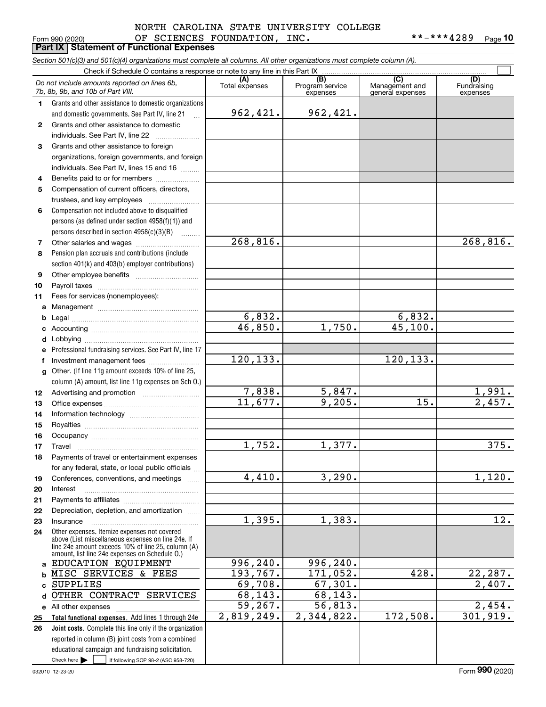### Form 990 (2020) OF SCIENCES FOUNDATION, INC. \*\*-\*\*\*4289 <sub>Page</sub> **Part IX Statement of Functional Expenses** NORTH CAROLINA STATE UNIVERSITY COLLEGE

**10**

|    | Section 501(c)(3) and 501(c)(4) organizations must complete all columns. All other organizations must complete column (A).                                 |                       |                                    |                                           |                                |
|----|------------------------------------------------------------------------------------------------------------------------------------------------------------|-----------------------|------------------------------------|-------------------------------------------|--------------------------------|
|    | Check if Schedule O contains a response or note to any line in this Part IX                                                                                |                       |                                    |                                           |                                |
|    | Do not include amounts reported on lines 6b,<br>7b, 8b, 9b, and 10b of Part VIII.                                                                          | (A)<br>Total expenses | (B)<br>Program service<br>expenses | (C)<br>Management and<br>general expenses | (D)<br>Fundraising<br>expenses |
| 1  | Grants and other assistance to domestic organizations                                                                                                      |                       |                                    |                                           |                                |
|    | and domestic governments. See Part IV, line 21<br>$\ddotsc$                                                                                                | 962,421.              | 962,421.                           |                                           |                                |
| 2  | Grants and other assistance to domestic                                                                                                                    |                       |                                    |                                           |                                |
|    | individuals. See Part IV, line 22<br><u> 1996 - Johann Stoff, Amerikaansk kon</u>                                                                          |                       |                                    |                                           |                                |
| 3  | Grants and other assistance to foreign                                                                                                                     |                       |                                    |                                           |                                |
|    | organizations, foreign governments, and foreign                                                                                                            |                       |                                    |                                           |                                |
|    | individuals. See Part IV, lines 15 and 16                                                                                                                  |                       |                                    |                                           |                                |
| 4  | Benefits paid to or for members                                                                                                                            |                       |                                    |                                           |                                |
| 5  | Compensation of current officers, directors,                                                                                                               |                       |                                    |                                           |                                |
|    | trustees, and key employees                                                                                                                                |                       |                                    |                                           |                                |
| 6  | Compensation not included above to disqualified                                                                                                            |                       |                                    |                                           |                                |
|    | persons (as defined under section 4958(f)(1)) and                                                                                                          |                       |                                    |                                           |                                |
|    | persons described in section 4958(c)(3)(B)<br><u>.</u>                                                                                                     |                       |                                    |                                           |                                |
| 7  |                                                                                                                                                            | 268,816.              |                                    |                                           | 268,816.                       |
| 8  | Pension plan accruals and contributions (include                                                                                                           |                       |                                    |                                           |                                |
|    | section 401(k) and 403(b) employer contributions)                                                                                                          |                       |                                    |                                           |                                |
| 9  |                                                                                                                                                            |                       |                                    |                                           |                                |
| 10 |                                                                                                                                                            |                       |                                    |                                           |                                |
| 11 | Fees for services (nonemployees):                                                                                                                          |                       |                                    |                                           |                                |
| a  |                                                                                                                                                            |                       |                                    |                                           |                                |
| b  |                                                                                                                                                            | 6,832.                |                                    | 6,832.                                    |                                |
|    |                                                                                                                                                            | 46,850.               | 1,750.                             | 45,100.                                   |                                |
| d  |                                                                                                                                                            |                       |                                    |                                           |                                |
|    | Professional fundraising services. See Part IV, line 17                                                                                                    |                       |                                    |                                           |                                |
| f  |                                                                                                                                                            | 120, 133.             |                                    | 120, 133.                                 |                                |
| g  | Other. (If line 11g amount exceeds 10% of line 25,                                                                                                         |                       |                                    |                                           |                                |
|    | column (A) amount, list line 11g expenses on Sch O.)                                                                                                       |                       |                                    |                                           |                                |
| 12 |                                                                                                                                                            | 7,838.                | 5,847.<br>9,205.                   |                                           | $\frac{1,991}{2,457}$          |
| 13 |                                                                                                                                                            | 11,677.               |                                    | 15.                                       |                                |
| 14 |                                                                                                                                                            |                       |                                    |                                           |                                |
| 15 |                                                                                                                                                            |                       |                                    |                                           |                                |
| 16 |                                                                                                                                                            |                       |                                    |                                           |                                |
| 17 |                                                                                                                                                            | 1,752.                | 1,377.                             |                                           | 375.                           |
| 18 | Payments of travel or entertainment expenses                                                                                                               |                       |                                    |                                           |                                |
|    | for any federal, state, or local public officials                                                                                                          |                       |                                    |                                           |                                |
| 19 | Conferences, conventions, and meetings                                                                                                                     | 4,410.                | 3,290.                             |                                           | 1,120.                         |
| 20 | Interest                                                                                                                                                   |                       |                                    |                                           |                                |
| 21 | Depreciation, depletion, and amortization                                                                                                                  |                       |                                    |                                           |                                |
| 22 |                                                                                                                                                            | 1,395.                | 1,383.                             |                                           | 12.                            |
| 23 | Insurance<br>Other expenses. Itemize expenses not covered                                                                                                  |                       |                                    |                                           |                                |
| 24 | above (List miscellaneous expenses on line 24e. If<br>line 24e amount exceeds 10% of line 25, column (A)<br>amount, list line 24e expenses on Schedule O.) |                       |                                    |                                           |                                |
| a  | EDUCATION EQUIPMENT                                                                                                                                        | 996,240.              | 996,240.                           |                                           |                                |
| b  | MISC SERVICES & FEES                                                                                                                                       | 193, 767.             | 171,052.                           | 428.                                      | 22,287.                        |
| C  | <b>SUPPLIES</b>                                                                                                                                            | 69,708.               | 67,301.                            |                                           | 2,407.                         |
| d  | OTHER CONTRACT SERVICES                                                                                                                                    | 68,143.               | 68,143.                            |                                           |                                |
|    | e All other expenses                                                                                                                                       | 59, 267.              | 56, 813.                           |                                           | 2,454.                         |
| 25 | Total functional expenses. Add lines 1 through 24e                                                                                                         | 2,819,249.            | 2,344,822.                         | 172,508.                                  | 301, 919.                      |
| 26 | Joint costs. Complete this line only if the organization                                                                                                   |                       |                                    |                                           |                                |
|    | reported in column (B) joint costs from a combined                                                                                                         |                       |                                    |                                           |                                |
|    | educational campaign and fundraising solicitation.                                                                                                         |                       |                                    |                                           |                                |
|    | Check here $\blacktriangleright$<br>if following SOP 98-2 (ASC 958-720)                                                                                    |                       |                                    |                                           |                                |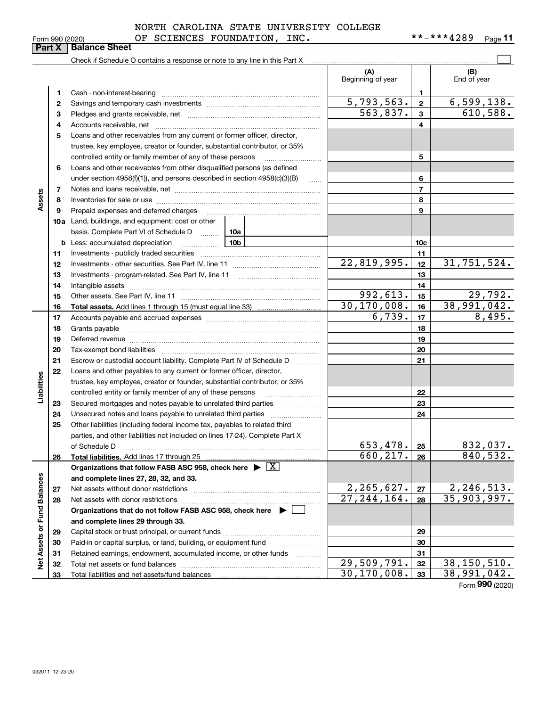Total liabilities and net assets/fund balances

|                 | NORTH CAROLINA STATE UNIVERSITY COLLEGE |            |      |
|-----------------|-----------------------------------------|------------|------|
| Form 990 (2020) | OF SCIENCES FOUNDATION, INC.            | **-***4289 | Page |

**11**

|                             | איום ו       | טטווטט טוועט                                                                                                                                                                                                                   |                             |                 |                    |
|-----------------------------|--------------|--------------------------------------------------------------------------------------------------------------------------------------------------------------------------------------------------------------------------------|-----------------------------|-----------------|--------------------|
|                             |              | Check if Schedule O contains a response or note to any line in this Part X [11] manument contains and contains a response or note to any line in this Part X [11] manument contains a response or note to any line in this Par |                             |                 |                    |
|                             |              |                                                                                                                                                                                                                                | (A)<br>Beginning of year    |                 | (B)<br>End of year |
|                             | 1            | Cash - non-interest-bearing                                                                                                                                                                                                    |                             | 1.              |                    |
|                             | $\mathbf{2}$ |                                                                                                                                                                                                                                | 5,793,563.                  | $\overline{2}$  | 6,599,138.         |
|                             | 3            |                                                                                                                                                                                                                                | 563,837.                    | 3               | 610,588.           |
|                             | 4            |                                                                                                                                                                                                                                |                             | 4               |                    |
|                             | 5            | Loans and other receivables from any current or former officer, director,                                                                                                                                                      |                             |                 |                    |
|                             |              | trustee, key employee, creator or founder, substantial contributor, or 35%                                                                                                                                                     |                             |                 |                    |
|                             |              | controlled entity or family member of any of these persons                                                                                                                                                                     |                             | 5               |                    |
|                             | 6            | Loans and other receivables from other disqualified persons (as defined                                                                                                                                                        |                             |                 |                    |
|                             |              | under section 4958(f)(1)), and persons described in section 4958(c)(3)(B)                                                                                                                                                      |                             | 6               |                    |
|                             | 7            |                                                                                                                                                                                                                                |                             | 7               |                    |
| Assets                      | 8            |                                                                                                                                                                                                                                |                             | 8               |                    |
|                             | 9            | Prepaid expenses and deferred charges                                                                                                                                                                                          |                             | 9               |                    |
|                             | 10a          | Land, buildings, and equipment: cost or other                                                                                                                                                                                  |                             |                 |                    |
|                             |              | basis. Complete Part VI of Schedule D  10a                                                                                                                                                                                     |                             |                 |                    |
|                             |              | 10b<br><b>b</b> Less: accumulated depreciation                                                                                                                                                                                 |                             | 10 <sub>c</sub> |                    |
|                             | 11           |                                                                                                                                                                                                                                |                             | 11              |                    |
|                             | 12           |                                                                                                                                                                                                                                | $\overline{22}$ , 819, 995. | 12              | 31,751,524.        |
|                             | 13           |                                                                                                                                                                                                                                |                             | 13              |                    |
|                             | 14           | Intangible assets                                                                                                                                                                                                              |                             | 14              |                    |
|                             | 15           | Other assets. See Part IV, line 11                                                                                                                                                                                             | 992,613.                    | 15              | 29,792.            |
|                             | 16           |                                                                                                                                                                                                                                | 30, 170, 008.               | 16              | 38,991,042.        |
|                             | 17           |                                                                                                                                                                                                                                | 6,739.                      | 17              | 8,495.             |
|                             | 18           |                                                                                                                                                                                                                                |                             | 18              |                    |
|                             | 19           |                                                                                                                                                                                                                                |                             | 19              |                    |
|                             | 20           | Tax-exempt bond liabilities                                                                                                                                                                                                    |                             | 20              |                    |
|                             | 21           | Escrow or custodial account liability. Complete Part IV of Schedule D                                                                                                                                                          |                             | 21              |                    |
|                             | 22           | Loans and other payables to any current or former officer, director,                                                                                                                                                           |                             |                 |                    |
|                             |              | trustee, key employee, creator or founder, substantial contributor, or 35%                                                                                                                                                     |                             |                 |                    |
| Liabilities                 |              | controlled entity or family member of any of these persons                                                                                                                                                                     |                             | 22              |                    |
|                             | 23           | Secured mortgages and notes payable to unrelated third parties                                                                                                                                                                 |                             | 23              |                    |
|                             | 24           | Unsecured notes and loans payable to unrelated third parties                                                                                                                                                                   |                             | 24              |                    |
|                             | 25           | Other liabilities (including federal income tax, payables to related third                                                                                                                                                     |                             |                 |                    |
|                             |              | parties, and other liabilities not included on lines 17-24). Complete Part X                                                                                                                                                   |                             |                 |                    |
|                             |              | of Schedule D                                                                                                                                                                                                                  | 653, 478.                   | 25              | 832,037.           |
|                             | 26           | Total liabilities. Add lines 17 through 25                                                                                                                                                                                     | 660,217.                    | 26              | 840,532.           |
|                             |              | Organizations that follow FASB ASC 958, check here $\blacktriangleright \boxed{X}$                                                                                                                                             |                             |                 |                    |
|                             |              | and complete lines 27, 28, 32, and 33.                                                                                                                                                                                         |                             |                 |                    |
|                             | 27           | Net assets without donor restrictions                                                                                                                                                                                          | 2, 265, 627.                | 27              | <u>2,246,513.</u>  |
|                             | 28           | Net assets with donor restrictions                                                                                                                                                                                             | $\overline{27,244,164}$ .   | 28              | 35,903,997.        |
|                             |              | Organizations that do not follow FASB ASC 958, check here $\blacktriangleright$                                                                                                                                                |                             |                 |                    |
|                             |              | and complete lines 29 through 33.                                                                                                                                                                                              |                             |                 |                    |
|                             | 29           | Capital stock or trust principal, or current funds                                                                                                                                                                             |                             | 29              |                    |
|                             | 30           | Paid-in or capital surplus, or land, building, or equipment fund                                                                                                                                                               |                             | 30              |                    |
| Net Assets or Fund Balances | 31           | Retained earnings, endowment, accumulated income, or other funds<br>.                                                                                                                                                          |                             | 31              |                    |
|                             | 32           |                                                                                                                                                                                                                                | 29,509,791.                 | 32              | 38,150,510.        |

**33**Form (2020) **990** 30,170,008. 38,991,042.

# **Part X Balance Sheet**

|  | Form 990 (2020) |
|--|-----------------|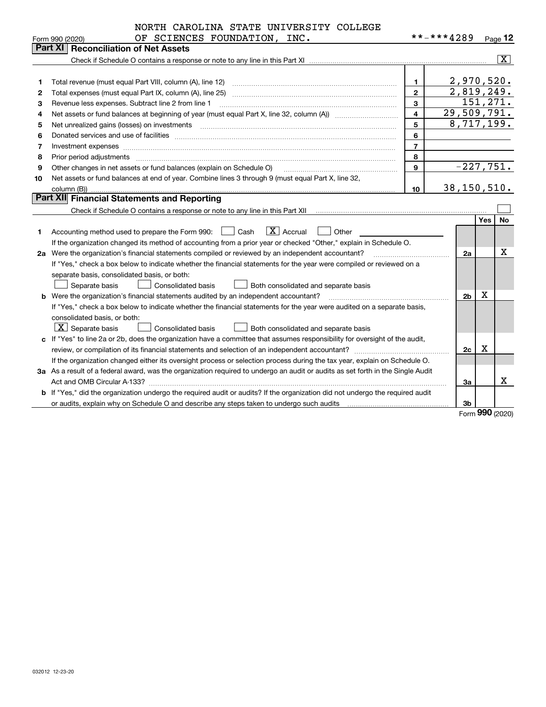|    | NORTH CAROLINA STATE UNIVERSITY COLLEGE                                                                                         |                         |                          |     |                         |
|----|---------------------------------------------------------------------------------------------------------------------------------|-------------------------|--------------------------|-----|-------------------------|
|    | OF SCIENCES FOUNDATION, INC.<br>Form 990 (2020)                                                                                 |                         | **-***4289               |     | Page $12$               |
|    | Part XI   Reconciliation of Net Assets                                                                                          |                         |                          |     |                         |
|    |                                                                                                                                 |                         |                          |     | $\overline{\mathbf{x}}$ |
|    |                                                                                                                                 |                         |                          |     |                         |
| 1  | Total revenue (must equal Part VIII, column (A), line 12)                                                                       | $\mathbf{1}$            | 2,970,520.               |     |                         |
| 2  | Total expenses (must equal Part IX, column (A), line 25)                                                                        | $\overline{2}$          | $\overline{2,819,249}$ . |     |                         |
| 3  | Revenue less expenses. Subtract line 2 from line 1                                                                              | 3                       |                          |     | 151,271.                |
| 4  |                                                                                                                                 | $\overline{\mathbf{4}}$ | 29,509,791.              |     |                         |
| 5  |                                                                                                                                 | 5                       | 8,717,199.               |     |                         |
| 6  |                                                                                                                                 | 6                       |                          |     |                         |
| 7  |                                                                                                                                 | $\overline{7}$          |                          |     |                         |
| 8  | Prior period adjustments                                                                                                        | 8                       |                          |     |                         |
| 9  | Other changes in net assets or fund balances (explain on Schedule O)                                                            | $\mathbf{Q}$            | $-227,751.$              |     |                         |
| 10 | Net assets or fund balances at end of year. Combine lines 3 through 9 (must equal Part X, line 32,                              |                         |                          |     |                         |
|    | column (B))                                                                                                                     | 10                      | 38, 150, 510.            |     |                         |
|    | Part XII Financial Statements and Reporting                                                                                     |                         |                          |     |                         |
|    |                                                                                                                                 |                         |                          |     |                         |
|    |                                                                                                                                 |                         |                          | Yes | <b>No</b>               |
| 1  | $ X $ Accrual<br>Accounting method used to prepare the Form 990: <u>[16</u> ] Cash<br>Other                                     |                         |                          |     |                         |
|    | If the organization changed its method of accounting from a prior year or checked "Other," explain in Schedule O.               |                         |                          |     |                         |
|    | 2a Were the organization's financial statements compiled or reviewed by an independent accountant?                              |                         | 2a                       |     | X                       |
|    | If "Yes," check a box below to indicate whether the financial statements for the year were compiled or reviewed on a            |                         |                          |     |                         |
|    | separate basis, consolidated basis, or both:                                                                                    |                         |                          |     |                         |
|    | Separate basis<br><b>Consolidated basis</b><br>Both consolidated and separate basis                                             |                         |                          |     |                         |
|    | Were the organization's financial statements audited by an independent accountant?                                              |                         | 2 <sub>b</sub>           | x   |                         |
|    | If "Yes," check a box below to indicate whether the financial statements for the year were audited on a separate basis,         |                         |                          |     |                         |
|    | consolidated basis, or both:                                                                                                    |                         |                          |     |                         |
|    | $\boxed{\textbf{X}}$ Separate basis<br>Consolidated basis<br>Both consolidated and separate basis                               |                         |                          |     |                         |
|    | c If "Yes" to line 2a or 2b, does the organization have a committee that assumes responsibility for oversight of the audit,     |                         |                          |     |                         |
|    |                                                                                                                                 |                         | 2c                       | X   |                         |
|    | If the organization changed either its oversight process or selection process during the tax year, explain on Schedule O.       |                         |                          |     |                         |
|    | 3a As a result of a federal award, was the organization required to undergo an audit or audits as set forth in the Single Audit |                         |                          |     |                         |
|    |                                                                                                                                 |                         | За                       |     | x                       |
|    | b If "Yes," did the organization undergo the required audit or audits? If the organization did not undergo the required audit   |                         |                          |     |                         |
|    |                                                                                                                                 |                         | 3b                       |     |                         |

Form (2020) **990**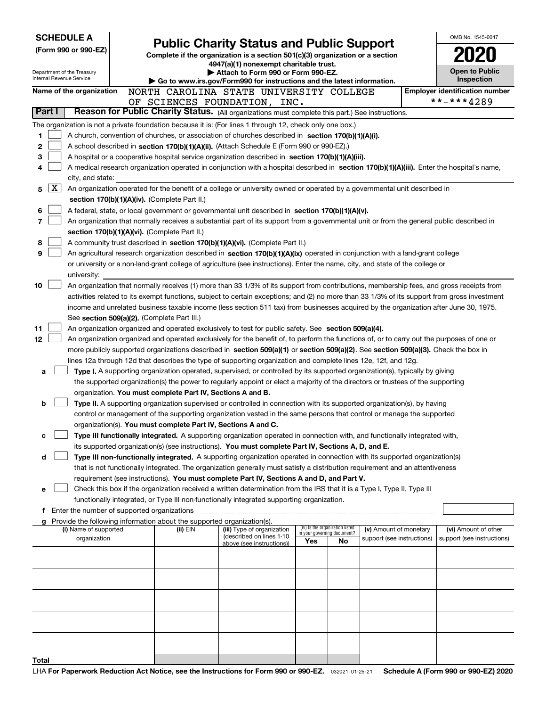| <b>SCHEDULE A</b> |        |                                                        |                                                                        | <b>Public Charity Status and Public Support</b>                                                                                                                                                                                                      |     |                                                                |                                                      | OMB No. 1545-0047                     |
|-------------------|--------|--------------------------------------------------------|------------------------------------------------------------------------|------------------------------------------------------------------------------------------------------------------------------------------------------------------------------------------------------------------------------------------------------|-----|----------------------------------------------------------------|------------------------------------------------------|---------------------------------------|
|                   |        | (Form 990 or 990-EZ)                                   |                                                                        | Complete if the organization is a section 501(c)(3) organization or a section                                                                                                                                                                        |     |                                                                |                                                      |                                       |
|                   |        |                                                        |                                                                        | 4947(a)(1) nonexempt charitable trust.                                                                                                                                                                                                               |     |                                                                |                                                      |                                       |
|                   |        | Department of the Treasury<br>Internal Revenue Service |                                                                        | Attach to Form 990 or Form 990-EZ.                                                                                                                                                                                                                   |     |                                                                |                                                      | <b>Open to Public</b><br>Inspection   |
|                   |        | Name of the organization                               |                                                                        | Go to www.irs.gov/Form990 for instructions and the latest information.<br>NORTH CAROLINA STATE UNIVERSITY COLLEGE                                                                                                                                    |     |                                                                |                                                      | <b>Employer identification number</b> |
|                   |        |                                                        |                                                                        | OF SCIENCES FOUNDATION, INC.                                                                                                                                                                                                                         |     |                                                                |                                                      | **-***4289                            |
|                   | Part I |                                                        |                                                                        | Reason for Public Charity Status. (All organizations must complete this part.) See instructions.                                                                                                                                                     |     |                                                                |                                                      |                                       |
|                   |        |                                                        |                                                                        | The organization is not a private foundation because it is: (For lines 1 through 12, check only one box.)                                                                                                                                            |     |                                                                |                                                      |                                       |
| 1                 |        |                                                        |                                                                        | A church, convention of churches, or association of churches described in section 170(b)(1)(A)(i).                                                                                                                                                   |     |                                                                |                                                      |                                       |
| 2                 |        |                                                        |                                                                        | A school described in section 170(b)(1)(A)(ii). (Attach Schedule E (Form 990 or 990-EZ).)                                                                                                                                                            |     |                                                                |                                                      |                                       |
| 3                 |        |                                                        |                                                                        | A hospital or a cooperative hospital service organization described in section 170(b)(1)(A)(iii).                                                                                                                                                    |     |                                                                |                                                      |                                       |
| 4                 |        |                                                        |                                                                        | A medical research organization operated in conjunction with a hospital described in section 170(b)(1)(A)(iii). Enter the hospital's name,                                                                                                           |     |                                                                |                                                      |                                       |
|                   |        | city, and state:                                       |                                                                        |                                                                                                                                                                                                                                                      |     |                                                                |                                                      |                                       |
| 5                 | X      |                                                        |                                                                        | An organization operated for the benefit of a college or university owned or operated by a governmental unit described in                                                                                                                            |     |                                                                |                                                      |                                       |
|                   |        |                                                        | section 170(b)(1)(A)(iv). (Complete Part II.)                          |                                                                                                                                                                                                                                                      |     |                                                                |                                                      |                                       |
| 6                 |        |                                                        |                                                                        | A federal, state, or local government or governmental unit described in section 170(b)(1)(A)(v).                                                                                                                                                     |     |                                                                |                                                      |                                       |
| 7                 |        |                                                        | section 170(b)(1)(A)(vi). (Complete Part II.)                          | An organization that normally receives a substantial part of its support from a governmental unit or from the general public described in                                                                                                            |     |                                                                |                                                      |                                       |
| 8                 |        |                                                        |                                                                        | A community trust described in section 170(b)(1)(A)(vi). (Complete Part II.)                                                                                                                                                                         |     |                                                                |                                                      |                                       |
| 9                 |        |                                                        |                                                                        | An agricultural research organization described in section 170(b)(1)(A)(ix) operated in conjunction with a land-grant college                                                                                                                        |     |                                                                |                                                      |                                       |
|                   |        |                                                        |                                                                        | or university or a non-land-grant college of agriculture (see instructions). Enter the name, city, and state of the college or                                                                                                                       |     |                                                                |                                                      |                                       |
|                   |        | university:                                            |                                                                        |                                                                                                                                                                                                                                                      |     |                                                                |                                                      |                                       |
| 10                |        |                                                        |                                                                        | An organization that normally receives (1) more than 33 1/3% of its support from contributions, membership fees, and gross receipts from                                                                                                             |     |                                                                |                                                      |                                       |
|                   |        |                                                        |                                                                        | activities related to its exempt functions, subject to certain exceptions; and (2) no more than 33 1/3% of its support from gross investment                                                                                                         |     |                                                                |                                                      |                                       |
|                   |        |                                                        |                                                                        | income and unrelated business taxable income (less section 511 tax) from businesses acquired by the organization after June 30, 1975.                                                                                                                |     |                                                                |                                                      |                                       |
|                   |        |                                                        | See section 509(a)(2). (Complete Part III.)                            |                                                                                                                                                                                                                                                      |     |                                                                |                                                      |                                       |
| 11                |        |                                                        |                                                                        | An organization organized and operated exclusively to test for public safety. See section 509(a)(4).                                                                                                                                                 |     |                                                                |                                                      |                                       |
| 12                |        |                                                        |                                                                        | An organization organized and operated exclusively for the benefit of, to perform the functions of, or to carry out the purposes of one or                                                                                                           |     |                                                                |                                                      |                                       |
|                   |        |                                                        |                                                                        | more publicly supported organizations described in section 509(a)(1) or section 509(a)(2). See section 509(a)(3). Check the box in<br>lines 12a through 12d that describes the type of supporting organization and complete lines 12e, 12f, and 12g. |     |                                                                |                                                      |                                       |
| a                 |        |                                                        |                                                                        | Type I. A supporting organization operated, supervised, or controlled by its supported organization(s), typically by giving                                                                                                                          |     |                                                                |                                                      |                                       |
|                   |        |                                                        |                                                                        | the supported organization(s) the power to regularly appoint or elect a majority of the directors or trustees of the supporting                                                                                                                      |     |                                                                |                                                      |                                       |
|                   |        |                                                        | organization. You must complete Part IV, Sections A and B.             |                                                                                                                                                                                                                                                      |     |                                                                |                                                      |                                       |
| b                 |        |                                                        |                                                                        | Type II. A supporting organization supervised or controlled in connection with its supported organization(s), by having                                                                                                                              |     |                                                                |                                                      |                                       |
|                   |        |                                                        |                                                                        | control or management of the supporting organization vested in the same persons that control or manage the supported                                                                                                                                 |     |                                                                |                                                      |                                       |
|                   |        |                                                        | organization(s). You must complete Part IV, Sections A and C.          |                                                                                                                                                                                                                                                      |     |                                                                |                                                      |                                       |
| с                 |        |                                                        |                                                                        | Type III functionally integrated. A supporting organization operated in connection with, and functionally integrated with,                                                                                                                           |     |                                                                |                                                      |                                       |
|                   |        |                                                        |                                                                        | its supported organization(s) (see instructions). You must complete Part IV, Sections A, D, and E.                                                                                                                                                   |     |                                                                |                                                      |                                       |
| d                 |        |                                                        |                                                                        | Type III non-functionally integrated. A supporting organization operated in connection with its supported organization(s)                                                                                                                            |     |                                                                |                                                      |                                       |
|                   |        |                                                        |                                                                        | that is not functionally integrated. The organization generally must satisfy a distribution requirement and an attentiveness<br>requirement (see instructions). You must complete Part IV, Sections A and D, and Part V.                             |     |                                                                |                                                      |                                       |
| е                 |        |                                                        |                                                                        | Check this box if the organization received a written determination from the IRS that it is a Type I, Type II, Type III                                                                                                                              |     |                                                                |                                                      |                                       |
|                   |        |                                                        |                                                                        | functionally integrated, or Type III non-functionally integrated supporting organization.                                                                                                                                                            |     |                                                                |                                                      |                                       |
|                   |        | f Enter the number of supported organizations          |                                                                        |                                                                                                                                                                                                                                                      |     |                                                                |                                                      |                                       |
|                   |        |                                                        | Provide the following information about the supported organization(s). |                                                                                                                                                                                                                                                      |     |                                                                |                                                      |                                       |
|                   |        | (i) Name of supported                                  | (ii) EIN                                                               | (iii) Type of organization<br>(described on lines 1-10                                                                                                                                                                                               |     | (iv) Is the organization listed<br>in your governing document? | (v) Amount of monetary<br>support (see instructions) | (vi) Amount of other                  |
|                   |        | organization                                           |                                                                        | above (see instructions))                                                                                                                                                                                                                            | Yes | No                                                             |                                                      | support (see instructions)            |
|                   |        |                                                        |                                                                        |                                                                                                                                                                                                                                                      |     |                                                                |                                                      |                                       |
|                   |        |                                                        |                                                                        |                                                                                                                                                                                                                                                      |     |                                                                |                                                      |                                       |
|                   |        |                                                        |                                                                        |                                                                                                                                                                                                                                                      |     |                                                                |                                                      |                                       |
|                   |        |                                                        |                                                                        |                                                                                                                                                                                                                                                      |     |                                                                |                                                      |                                       |
|                   |        |                                                        |                                                                        |                                                                                                                                                                                                                                                      |     |                                                                |                                                      |                                       |
|                   |        |                                                        |                                                                        |                                                                                                                                                                                                                                                      |     |                                                                |                                                      |                                       |
|                   |        |                                                        |                                                                        |                                                                                                                                                                                                                                                      |     |                                                                |                                                      |                                       |
|                   |        |                                                        |                                                                        |                                                                                                                                                                                                                                                      |     |                                                                |                                                      |                                       |
|                   |        |                                                        |                                                                        |                                                                                                                                                                                                                                                      |     |                                                                |                                                      |                                       |
| Total             |        |                                                        |                                                                        |                                                                                                                                                                                                                                                      |     |                                                                |                                                      |                                       |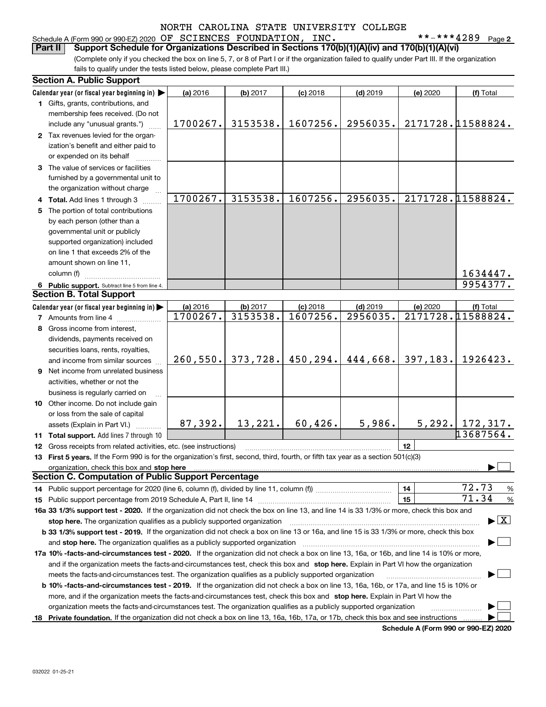## Schedule A (Form 990 or 990-EZ) 2020 Page OF SCIENCES FOUNDATION, INC. \*\*-\*\*\*4289

**2**

(Complete only if you checked the box on line 5, 7, or 8 of Part I or if the organization failed to qualify under Part III. If the organization fails to qualify under the tests listed below, please complete Part III.) **Part II Support Schedule for Organizations Described in Sections 170(b)(1)(A)(iv) and 170(b)(1)(A)(vi)**

|    | <b>Section A. Public Support</b>                                                                                                               |          |          |            |            |          |                                          |
|----|------------------------------------------------------------------------------------------------------------------------------------------------|----------|----------|------------|------------|----------|------------------------------------------|
|    | Calendar year (or fiscal year beginning in)                                                                                                    | (a) 2016 | (b) 2017 | $(c)$ 2018 | $(d)$ 2019 | (e) 2020 | (f) Total                                |
|    | 1 Gifts, grants, contributions, and                                                                                                            |          |          |            |            |          |                                          |
|    | membership fees received. (Do not                                                                                                              |          |          |            |            |          |                                          |
|    | include any "unusual grants.")                                                                                                                 | 1700267. | 3153538. | 1607256.   | 2956035.   |          | 2171728.11588824.                        |
|    | 2 Tax revenues levied for the organ-                                                                                                           |          |          |            |            |          |                                          |
|    | ization's benefit and either paid to                                                                                                           |          |          |            |            |          |                                          |
|    | or expended on its behalf                                                                                                                      |          |          |            |            |          |                                          |
|    | 3 The value of services or facilities                                                                                                          |          |          |            |            |          |                                          |
|    | furnished by a governmental unit to                                                                                                            |          |          |            |            |          |                                          |
|    | the organization without charge                                                                                                                |          |          |            |            |          |                                          |
|    | 4 Total. Add lines 1 through 3                                                                                                                 | 1700267. | 3153538. | 1607256.   | 2956035.   |          | 2171728.11588824.                        |
| 5. | The portion of total contributions                                                                                                             |          |          |            |            |          |                                          |
|    | by each person (other than a                                                                                                                   |          |          |            |            |          |                                          |
|    | governmental unit or publicly                                                                                                                  |          |          |            |            |          |                                          |
|    | supported organization) included                                                                                                               |          |          |            |            |          |                                          |
|    | on line 1 that exceeds 2% of the                                                                                                               |          |          |            |            |          |                                          |
|    | amount shown on line 11,                                                                                                                       |          |          |            |            |          |                                          |
|    | column (f)                                                                                                                                     |          |          |            |            |          | 1634447.                                 |
|    | 6 Public support. Subtract line 5 from line 4.                                                                                                 |          |          |            |            |          | 9954377.                                 |
|    | <b>Section B. Total Support</b>                                                                                                                |          |          |            |            |          |                                          |
|    | Calendar year (or fiscal year beginning in)                                                                                                    | (a) 2016 | (b) 2017 | $(c)$ 2018 | $(d)$ 2019 | (e) 2020 | (f) Total                                |
|    | <b>7</b> Amounts from line 4                                                                                                                   | 1700267. | 3153538. | 1607256.   | 2956035.   |          | 2171728.11588824.                        |
|    | 8 Gross income from interest,                                                                                                                  |          |          |            |            |          |                                          |
|    | dividends, payments received on                                                                                                                |          |          |            |            |          |                                          |
|    | securities loans, rents, royalties,                                                                                                            |          |          |            |            |          |                                          |
|    | and income from similar sources                                                                                                                | 260,550. | 373,728. | 450,294.   | 444,668.   | 397,183. | 1926423.                                 |
|    | 9 Net income from unrelated business                                                                                                           |          |          |            |            |          |                                          |
|    | activities, whether or not the                                                                                                                 |          |          |            |            |          |                                          |
|    | business is regularly carried on                                                                                                               |          |          |            |            |          |                                          |
|    | 10 Other income. Do not include gain                                                                                                           |          |          |            |            |          |                                          |
|    | or loss from the sale of capital                                                                                                               |          |          |            |            |          |                                          |
|    | assets (Explain in Part VI.)                                                                                                                   | 87,392.  | 13,221.  | 60,426.    | 5,986.     |          | $5,292.$ 172, 317.                       |
|    | 11 Total support. Add lines 7 through 10                                                                                                       |          |          |            |            |          | 13687564.                                |
|    | 12 Gross receipts from related activities, etc. (see instructions)                                                                             |          |          |            |            | 12       |                                          |
|    | 13 First 5 years. If the Form 990 is for the organization's first, second, third, fourth, or fifth tax year as a section 501(c)(3)             |          |          |            |            |          |                                          |
|    | organization, check this box and stop here                                                                                                     |          |          |            |            |          |                                          |
|    | <b>Section C. Computation of Public Support Percentage</b>                                                                                     |          |          |            |            |          |                                          |
|    |                                                                                                                                                |          |          |            |            | 14       | 72.73<br>%                               |
|    |                                                                                                                                                |          |          |            |            | 15       | 71.34<br>$\%$                            |
|    | 16a 33 1/3% support test - 2020. If the organization did not check the box on line 13, and line 14 is 33 1/3% or more, check this box and      |          |          |            |            |          |                                          |
|    | stop here. The organization qualifies as a publicly supported organization                                                                     |          |          |            |            |          | $\blacktriangleright$ $\boxed{\text{X}}$ |
|    | b 33 1/3% support test - 2019. If the organization did not check a box on line 13 or 16a, and line 15 is 33 1/3% or more, check this box       |          |          |            |            |          |                                          |
|    | and stop here. The organization qualifies as a publicly supported organization                                                                 |          |          |            |            |          |                                          |
|    | 17a 10% -facts-and-circumstances test - 2020. If the organization did not check a box on line 13, 16a, or 16b, and line 14 is 10% or more,     |          |          |            |            |          |                                          |
|    | and if the organization meets the facts-and-circumstances test, check this box and stop here. Explain in Part VI how the organization          |          |          |            |            |          |                                          |
|    | meets the facts-and-circumstances test. The organization qualifies as a publicly supported organization                                        |          |          |            |            |          |                                          |
|    | <b>b 10% -facts-and-circumstances test - 2019.</b> If the organization did not check a box on line 13, 16a, 16b, or 17a, and line 15 is 10% or |          |          |            |            |          |                                          |
|    | more, and if the organization meets the facts-and-circumstances test, check this box and stop here. Explain in Part VI how the                 |          |          |            |            |          |                                          |
|    | organization meets the facts-and-circumstances test. The organization qualifies as a publicly supported organization                           |          |          |            |            |          |                                          |
|    | 18 Private foundation. If the organization did not check a box on line 13, 16a, 16b, 17a, or 17b, check this box and see instructions          |          |          |            |            |          |                                          |

**Schedule A (Form 990 or 990-EZ) 2020**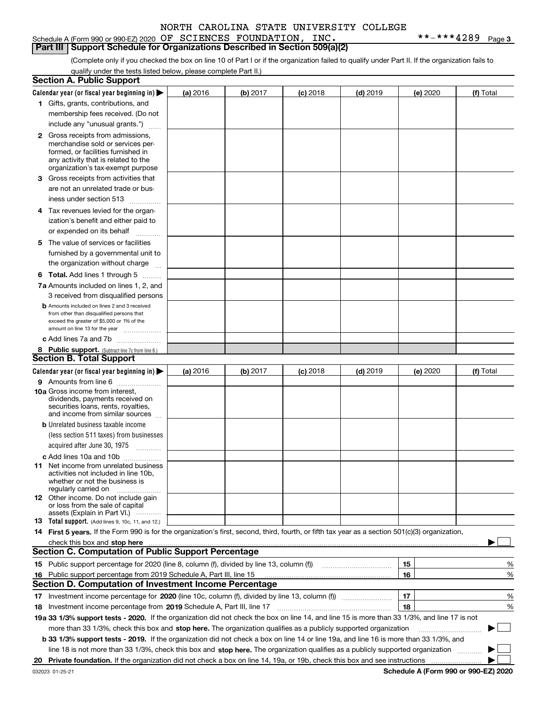### Schedule A (Form 990 or 990-EZ) 2020 Page OF SCIENCES FOUNDATION, INC. \*\*-\*\*\*4289 **Part III Support Schedule for Organizations Described in Section 509(a)(2)**

**3**

(Complete only if you checked the box on line 10 of Part I or if the organization failed to qualify under Part II. If the organization fails to qualify under the tests listed below, please complete Part II.)

|    | <b>Section A. Public Support</b>                                                                                                                                                                                                                                                                  |          |          |            |            |          |           |
|----|---------------------------------------------------------------------------------------------------------------------------------------------------------------------------------------------------------------------------------------------------------------------------------------------------|----------|----------|------------|------------|----------|-----------|
|    | Calendar year (or fiscal year beginning in) $\blacktriangleright$                                                                                                                                                                                                                                 | (a) 2016 | (b) 2017 | $(c)$ 2018 | $(d)$ 2019 | (e) 2020 | (f) Total |
|    | 1 Gifts, grants, contributions, and                                                                                                                                                                                                                                                               |          |          |            |            |          |           |
|    | membership fees received. (Do not                                                                                                                                                                                                                                                                 |          |          |            |            |          |           |
|    | include any "unusual grants.")                                                                                                                                                                                                                                                                    |          |          |            |            |          |           |
|    | <b>2</b> Gross receipts from admissions,                                                                                                                                                                                                                                                          |          |          |            |            |          |           |
|    | merchandise sold or services per-                                                                                                                                                                                                                                                                 |          |          |            |            |          |           |
|    | formed, or facilities furnished in                                                                                                                                                                                                                                                                |          |          |            |            |          |           |
|    | any activity that is related to the<br>organization's tax-exempt purpose                                                                                                                                                                                                                          |          |          |            |            |          |           |
|    | 3 Gross receipts from activities that                                                                                                                                                                                                                                                             |          |          |            |            |          |           |
|    | are not an unrelated trade or bus-                                                                                                                                                                                                                                                                |          |          |            |            |          |           |
|    | iness under section 513                                                                                                                                                                                                                                                                           |          |          |            |            |          |           |
|    | 4 Tax revenues levied for the organ-                                                                                                                                                                                                                                                              |          |          |            |            |          |           |
|    | ization's benefit and either paid to                                                                                                                                                                                                                                                              |          |          |            |            |          |           |
|    | or expended on its behalf                                                                                                                                                                                                                                                                         |          |          |            |            |          |           |
|    | .                                                                                                                                                                                                                                                                                                 |          |          |            |            |          |           |
|    | 5 The value of services or facilities                                                                                                                                                                                                                                                             |          |          |            |            |          |           |
|    | furnished by a governmental unit to                                                                                                                                                                                                                                                               |          |          |            |            |          |           |
|    | the organization without charge                                                                                                                                                                                                                                                                   |          |          |            |            |          |           |
|    | <b>6 Total.</b> Add lines 1 through 5                                                                                                                                                                                                                                                             |          |          |            |            |          |           |
|    | 7a Amounts included on lines 1, 2, and                                                                                                                                                                                                                                                            |          |          |            |            |          |           |
|    | 3 received from disqualified persons                                                                                                                                                                                                                                                              |          |          |            |            |          |           |
|    | <b>b</b> Amounts included on lines 2 and 3 received<br>from other than disqualified persons that                                                                                                                                                                                                  |          |          |            |            |          |           |
|    | exceed the greater of \$5,000 or 1% of the                                                                                                                                                                                                                                                        |          |          |            |            |          |           |
|    | amount on line 13 for the year                                                                                                                                                                                                                                                                    |          |          |            |            |          |           |
|    | c Add lines 7a and 7b                                                                                                                                                                                                                                                                             |          |          |            |            |          |           |
|    | 8 Public support. (Subtract line 7c from line 6.)                                                                                                                                                                                                                                                 |          |          |            |            |          |           |
|    | <b>Section B. Total Support</b>                                                                                                                                                                                                                                                                   |          |          |            |            |          |           |
|    | Calendar year (or fiscal year beginning in)                                                                                                                                                                                                                                                       | (a) 2016 | (b) 2017 | $(c)$ 2018 | $(d)$ 2019 | (e) 2020 | (f) Total |
|    | 9 Amounts from line 6                                                                                                                                                                                                                                                                             |          |          |            |            |          |           |
|    | 10a Gross income from interest,                                                                                                                                                                                                                                                                   |          |          |            |            |          |           |
|    | dividends, payments received on<br>securities loans, rents, royalties,                                                                                                                                                                                                                            |          |          |            |            |          |           |
|    | and income from similar sources                                                                                                                                                                                                                                                                   |          |          |            |            |          |           |
|    | <b>b</b> Unrelated business taxable income                                                                                                                                                                                                                                                        |          |          |            |            |          |           |
|    | (less section 511 taxes) from businesses                                                                                                                                                                                                                                                          |          |          |            |            |          |           |
|    | acquired after June 30, 1975                                                                                                                                                                                                                                                                      |          |          |            |            |          |           |
|    | c Add lines 10a and 10b                                                                                                                                                                                                                                                                           |          |          |            |            |          |           |
|    | 11 Net income from unrelated business                                                                                                                                                                                                                                                             |          |          |            |            |          |           |
|    | activities not included in line 10b,                                                                                                                                                                                                                                                              |          |          |            |            |          |           |
|    | whether or not the business is<br>regularly carried on                                                                                                                                                                                                                                            |          |          |            |            |          |           |
|    | <b>12</b> Other income. Do not include gain                                                                                                                                                                                                                                                       |          |          |            |            |          |           |
|    | or loss from the sale of capital                                                                                                                                                                                                                                                                  |          |          |            |            |          |           |
|    | assets (Explain in Part VI.)                                                                                                                                                                                                                                                                      |          |          |            |            |          |           |
|    | <b>13</b> Total support. (Add lines 9, 10c, 11, and 12.)                                                                                                                                                                                                                                          |          |          |            |            |          |           |
|    | 14 First 5 years. If the Form 990 is for the organization's first, second, third, fourth, or fifth tax year as a section 501(c)(3) organization,                                                                                                                                                  |          |          |            |            |          |           |
|    | check this box and stop here <b>contractly contractly and stop here</b> contractly contract the stop here contractly and stop here contractly and stop here contractly and stop here contractly and stop here contractly and stop h<br><b>Section C. Computation of Public Support Percentage</b> |          |          |            |            |          |           |
|    | 15 Public support percentage for 2020 (line 8, column (f), divided by line 13, column (f))                                                                                                                                                                                                        |          |          |            |            |          |           |
|    |                                                                                                                                                                                                                                                                                                   |          |          |            |            | 15       | %         |
|    | 16 Public support percentage from 2019 Schedule A, Part III, line 15<br><b>Section D. Computation of Investment Income Percentage</b>                                                                                                                                                             |          |          |            |            | 16       | %         |
|    |                                                                                                                                                                                                                                                                                                   |          |          |            |            |          |           |
|    | 17 Investment income percentage for 2020 (line 10c, column (f), divided by line 13, column (f))                                                                                                                                                                                                   |          |          |            |            | 17       | %         |
|    | 18 Investment income percentage from 2019 Schedule A, Part III, line 17                                                                                                                                                                                                                           |          |          |            |            | 18       | %         |
|    | 19a 33 1/3% support tests - 2020. If the organization did not check the box on line 14, and line 15 is more than 33 1/3%, and line 17 is not                                                                                                                                                      |          |          |            |            |          |           |
|    | more than 33 1/3%, check this box and stop here. The organization qualifies as a publicly supported organization                                                                                                                                                                                  |          |          |            |            |          |           |
|    | b 33 1/3% support tests - 2019. If the organization did not check a box on line 14 or line 19a, and line 16 is more than 33 1/3%, and                                                                                                                                                             |          |          |            |            |          |           |
|    | line 18 is not more than 33 1/3%, check this box and stop here. The organization qualifies as a publicly supported organization                                                                                                                                                                   |          |          |            |            |          |           |
| 20 | Private foundation. If the organization did not check a box on line 14, 19a, or 19b, check this box and see instructions                                                                                                                                                                          |          |          |            |            |          |           |

**Schedule A (Form 990 or 990-EZ) 2020**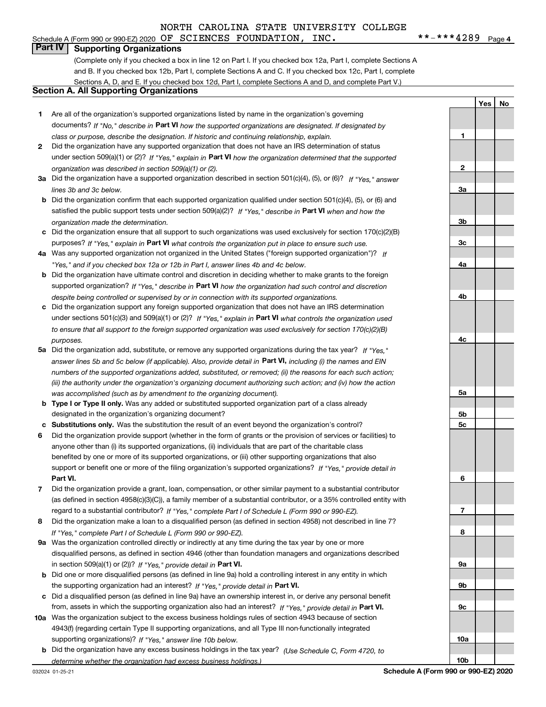# Schedule A (Form 990 or 990-EZ) 2020 Page OF SCIENCES FOUNDATION, INC. \*\*-\*\*\*4289

**1**

**YesNo**

# **Part IV Supporting Organizations**

(Complete only if you checked a box in line 12 on Part I. If you checked box 12a, Part I, complete Sections A and B. If you checked box 12b, Part I, complete Sections A and C. If you checked box 12c, Part I, complete Sections A, D, and E. If you checked box 12d, Part I, complete Sections A and D, and complete Part V.)

## **Section A. All Supporting Organizations**

- **1** Are all of the organization's supported organizations listed by name in the organization's governing documents? If "No," describe in **Part VI** how the supported organizations are designated. If designated by *class or purpose, describe the designation. If historic and continuing relationship, explain.*
- **2** Did the organization have any supported organization that does not have an IRS determination of status under section 509(a)(1) or (2)? If "Yes," explain in Part VI how the organization determined that the supported *organization was described in section 509(a)(1) or (2).*
- **3a** Did the organization have a supported organization described in section 501(c)(4), (5), or (6)? If "Yes," answer *lines 3b and 3c below.*
- **b** Did the organization confirm that each supported organization qualified under section 501(c)(4), (5), or (6) and satisfied the public support tests under section 509(a)(2)? If "Yes," describe in **Part VI** when and how the *organization made the determination.*
- **c**Did the organization ensure that all support to such organizations was used exclusively for section 170(c)(2)(B) purposes? If "Yes," explain in **Part VI** what controls the organization put in place to ensure such use.
- **4a***If* Was any supported organization not organized in the United States ("foreign supported organization")? *"Yes," and if you checked box 12a or 12b in Part I, answer lines 4b and 4c below.*
- **b** Did the organization have ultimate control and discretion in deciding whether to make grants to the foreign supported organization? If "Yes," describe in **Part VI** how the organization had such control and discretion *despite being controlled or supervised by or in connection with its supported organizations.*
- **c** Did the organization support any foreign supported organization that does not have an IRS determination under sections 501(c)(3) and 509(a)(1) or (2)? If "Yes," explain in **Part VI** what controls the organization used *to ensure that all support to the foreign supported organization was used exclusively for section 170(c)(2)(B) purposes.*
- **5a***If "Yes,"* Did the organization add, substitute, or remove any supported organizations during the tax year? answer lines 5b and 5c below (if applicable). Also, provide detail in **Part VI,** including (i) the names and EIN *numbers of the supported organizations added, substituted, or removed; (ii) the reasons for each such action; (iii) the authority under the organization's organizing document authorizing such action; and (iv) how the action was accomplished (such as by amendment to the organizing document).*
- **b** Type I or Type II only. Was any added or substituted supported organization part of a class already designated in the organization's organizing document?
- **cSubstitutions only.**  Was the substitution the result of an event beyond the organization's control?
- **6** Did the organization provide support (whether in the form of grants or the provision of services or facilities) to **Part VI.** *If "Yes," provide detail in* support or benefit one or more of the filing organization's supported organizations? anyone other than (i) its supported organizations, (ii) individuals that are part of the charitable class benefited by one or more of its supported organizations, or (iii) other supporting organizations that also
- **7**Did the organization provide a grant, loan, compensation, or other similar payment to a substantial contributor *If "Yes," complete Part I of Schedule L (Form 990 or 990-EZ).* regard to a substantial contributor? (as defined in section 4958(c)(3)(C)), a family member of a substantial contributor, or a 35% controlled entity with
- **8** Did the organization make a loan to a disqualified person (as defined in section 4958) not described in line 7? *If "Yes," complete Part I of Schedule L (Form 990 or 990-EZ).*
- **9a** Was the organization controlled directly or indirectly at any time during the tax year by one or more in section 509(a)(1) or (2))? If "Yes," *provide detail in* <code>Part VI.</code> disqualified persons, as defined in section 4946 (other than foundation managers and organizations described
- **b** Did one or more disqualified persons (as defined in line 9a) hold a controlling interest in any entity in which the supporting organization had an interest? If "Yes," provide detail in P**art VI**.
- **c**Did a disqualified person (as defined in line 9a) have an ownership interest in, or derive any personal benefit from, assets in which the supporting organization also had an interest? If "Yes," provide detail in P**art VI.**
- **10a** Was the organization subject to the excess business holdings rules of section 4943 because of section supporting organizations)? If "Yes," answer line 10b below. 4943(f) (regarding certain Type II supporting organizations, and all Type III non-functionally integrated
- **b** Did the organization have any excess business holdings in the tax year? (Use Schedule C, Form 4720, to *determine whether the organization had excess business holdings.)*

**23a3b3c4a4b4c5a5b5c6789a 9b9c**

**10a**

**10b**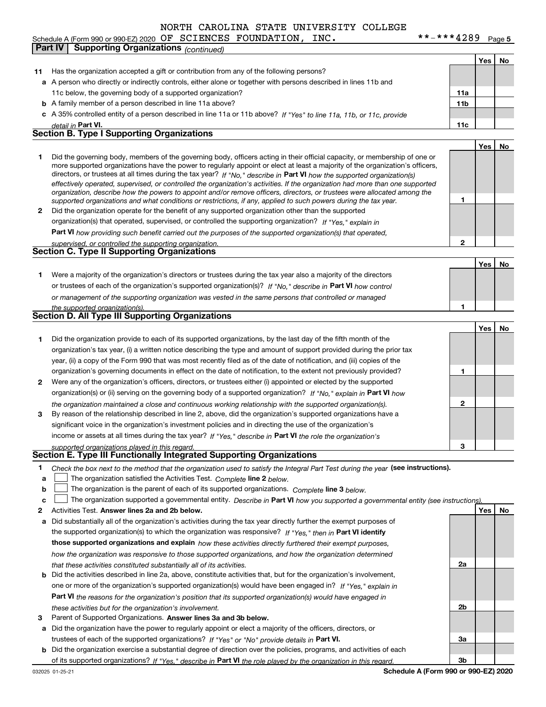#### **Yes No 11** Has the organization accepted a gift or contribution from any of the following persons? **a**A person who directly or indirectly controls, either alone or together with persons described in lines 11b and **b** A family member of a person described in line 11a above? **c** A 35% controlled entity of a person described in line 11a or 11b above? If "Yes" to line 11a, 11b, or 11c, provide **11a11bPart VI. 11c Yes No 12** Did the organization operate for the benefit of any supported organization other than the supported directors, or trustees at all times during the tax year? If "No," describe in **Part VI** how the supported organization(s) **12Part VI**  *how providing such benefit carried out the purposes of the supported organization(s) that operated,* **Yes No 1** Were a majority of the organization's directors or trustees during the tax year also a majority of the directors or trustees of each of the organization's supported organization(s)? If "No," describe in **Part VI** how control **1Yes No 12** Were any of the organization's officers, directors, or trustees either (i) appointed or elected by the supported **3123**organization(s) or (ii) serving on the governing body of a supported organization? If "No," explain in **Part VI** how income or assets at all times during the tax year? If "Yes," describe in **Part VI** the role the organization's **12Answer lines 2a and 2b below. Yes No** Activities Test. Check the box next to the method that the organization used to satisfy the Integral Part Test during the year (see instructions). **abclinupy** The organization satisfied the Activities Test. Complete line 2 below. The organization is the parent of each of its supported organizations. *Complete* line 3 *below.* The organization supported a governmental entity. *Describe in* Part **VI** *how you supported a governmental entity (see instruction<u>s).</u>* **a** Did substantially all of the organization's activities during the tax year directly further the exempt purposes of the supported organization(s) to which the organization was responsive? If "Yes," then in **Part VI identify those supported organizations and explain**  *how these activities directly furthered their exempt purposes,* **2a** *detail in effectively operated, supervised, or controlled the organization's activities. If the organization had more than one supported organization, describe how the powers to appoint and/or remove officers, directors, or trustees were allocated among the supported organizations and what conditions or restrictions, if any, applied to such powers during the tax year. If "Yes," explain in* organization(s) that operated, supervised, or controlled the supporting organization? *supervised, or controlled the supporting organization. or management of the supporting organization was vested in the same persons that controlled or managed the supported organization(s). the organization maintained a close and continuous working relationship with the supported organization(s). supported organizations played in this regard. how the organization was responsive to those supported organizations, and how the organization determined that these activities constituted substantially all of its activities.* Schedule A (Form 990 or 990-EZ) 2020 Page OF SCIENCES FOUNDATION, INC. \*\*-\*\*\*4289 11c below, the governing body of a supported organization? Did the governing body, members of the governing body, officers acting in their official capacity, or membership of one or more supported organizations have the power to regularly appoint or elect at least a majority of the organization's officers, Did the organization provide to each of its supported organizations, by the last day of the fifth month of the organization's tax year, (i) a written notice describing the type and amount of support provided during the prior tax year, (ii) a copy of the Form 990 that was most recently filed as of the date of notification, and (iii) copies of the organization's governing documents in effect on the date of notification, to the extent not previously provided? By reason of the relationship described in line 2, above, did the organization's supported organizations have a significant voice in the organization's investment policies and in directing the use of the organization's **Part IV Supporting Organizations** *(continued)* **Section B. Type I Supporting Organizations Section C. Type II Supporting Organizations Section D. All Type III Supporting Organizations Section E. Type III Functionally Integrated Supporting Organizations**  $\mathcal{L}^{\text{max}}$  $\mathcal{L}^{\text{max}}$

- **b** Did the activities described in line 2a, above, constitute activities that, but for the organization's involvement, **Part VI**  *the reasons for the organization's position that its supported organization(s) would have engaged in* one or more of the organization's supported organization(s) would have been engaged in? If "Yes," e*xplain in these activities but for the organization's involvement.*
- **3**Parent of Supported Organizations. Answer lines 3a and 3b below.

**a** Did the organization have the power to regularly appoint or elect a majority of the officers, directors, or trustees of each of the supported organizations? If "Yes" or "No" provide details in **Part VI.** 

**b** Did the organization exercise a substantial degree of direction over the policies, programs, and activities of each of its supported organizations? If "Yes," describe in Part VI the role played by the organization in this regard.

**2b**

**3a**

**3b**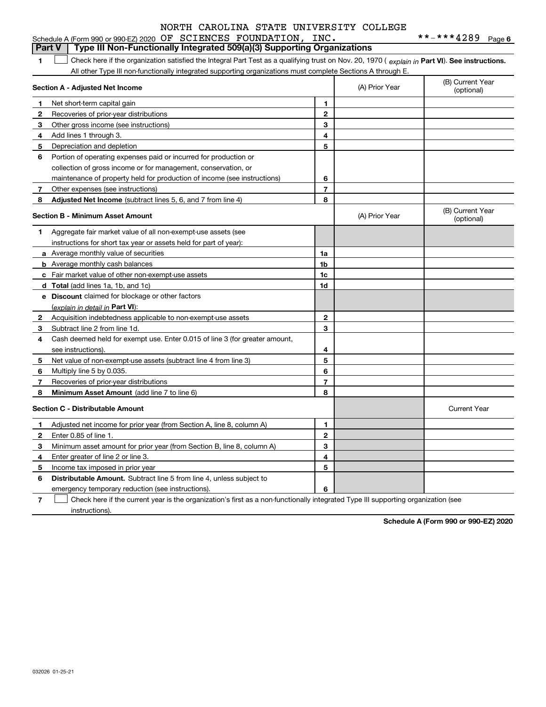|              | Type III Non-Functionally Integrated 509(a)(3) Supporting Organizations<br>Part V                                                              |                |                                |                                |
|--------------|------------------------------------------------------------------------------------------------------------------------------------------------|----------------|--------------------------------|--------------------------------|
| 1            | Check here if the organization satisfied the Integral Part Test as a qualifying trust on Nov. 20, 1970 (explain in Part VI). See instructions. |                |                                |                                |
|              | All other Type III non-functionally integrated supporting organizations must complete Sections A through E.                                    |                |                                |                                |
|              | Section A - Adjusted Net Income                                                                                                                | (A) Prior Year | (B) Current Year<br>(optional) |                                |
| 1            | Net short-term capital gain                                                                                                                    | 1              |                                |                                |
| 2            | Recoveries of prior-year distributions                                                                                                         | $\mathbf{2}$   |                                |                                |
| 3            | Other gross income (see instructions)                                                                                                          | 3              |                                |                                |
| 4            | Add lines 1 through 3.                                                                                                                         | 4              |                                |                                |
| 5            | Depreciation and depletion                                                                                                                     | 5              |                                |                                |
| 6            | Portion of operating expenses paid or incurred for production or                                                                               |                |                                |                                |
|              | collection of gross income or for management, conservation, or                                                                                 |                |                                |                                |
|              | maintenance of property held for production of income (see instructions)                                                                       | 6              |                                |                                |
| 7            | Other expenses (see instructions)                                                                                                              | 7              |                                |                                |
| 8            | Adjusted Net Income (subtract lines 5, 6, and 7 from line 4)                                                                                   | 8              |                                |                                |
|              | <b>Section B - Minimum Asset Amount</b>                                                                                                        |                | (A) Prior Year                 | (B) Current Year<br>(optional) |
| 1            | Aggregate fair market value of all non-exempt-use assets (see                                                                                  |                |                                |                                |
|              | instructions for short tax year or assets held for part of year):                                                                              |                |                                |                                |
|              | a Average monthly value of securities                                                                                                          | 1a             |                                |                                |
|              | <b>b</b> Average monthly cash balances                                                                                                         | 1 <sub>b</sub> |                                |                                |
|              | c Fair market value of other non-exempt-use assets                                                                                             | 1c             |                                |                                |
|              | <b>d</b> Total (add lines 1a, 1b, and 1c)                                                                                                      | 1d             |                                |                                |
|              | <b>e</b> Discount claimed for blockage or other factors                                                                                        |                |                                |                                |
|              | (explain in detail in Part VI):                                                                                                                |                |                                |                                |
| $\mathbf{2}$ | Acquisition indebtedness applicable to non-exempt-use assets                                                                                   | $\mathbf{2}$   |                                |                                |
| 3.           | Subtract line 2 from line 1d.                                                                                                                  | 3              |                                |                                |
| 4            | Cash deemed held for exempt use. Enter 0.015 of line 3 (for greater amount,                                                                    |                |                                |                                |
|              | see instructions).                                                                                                                             | 4              |                                |                                |
| 5            | Net value of non-exempt-use assets (subtract line 4 from line 3)                                                                               | 5              |                                |                                |
| 6            | Multiply line 5 by 0.035.                                                                                                                      | 6              |                                |                                |
| 7            | Recoveries of prior-year distributions                                                                                                         | $\overline{7}$ |                                |                                |
| 8            | Minimum Asset Amount (add line 7 to line 6)                                                                                                    | 8              |                                |                                |
|              | <b>Section C - Distributable Amount</b>                                                                                                        |                |                                | <b>Current Year</b>            |
| 1            | Adjusted net income for prior year (from Section A, line 8, column A)                                                                          | 1              |                                |                                |
| $\mathbf{2}$ | Enter 0.85 of line 1.                                                                                                                          | $\mathbf{2}$   |                                |                                |
| 3            | Minimum asset amount for prior year (from Section B, line 8, column A)                                                                         | 3              |                                |                                |
| 4            | Enter greater of line 2 or line 3.                                                                                                             | 4              |                                |                                |
| 5            | Income tax imposed in prior year                                                                                                               | 5              |                                |                                |
| 6            | <b>Distributable Amount.</b> Subtract line 5 from line 4, unless subject to                                                                    |                |                                |                                |

emergency temporary reduction (see instructions).

**7**Check here if the current year is the organization's first as a non-functionally integrated Type III supporting organization (see instructions).

**6**

**Schedule A (Form 990 or 990-EZ) 2020**

032026 01-25-21

**6**

# Schedule A (Form 990 or 990-EZ) 2020 Page OF SCIENCES FOUNDATION, INC. \*\*-\*\*\*4289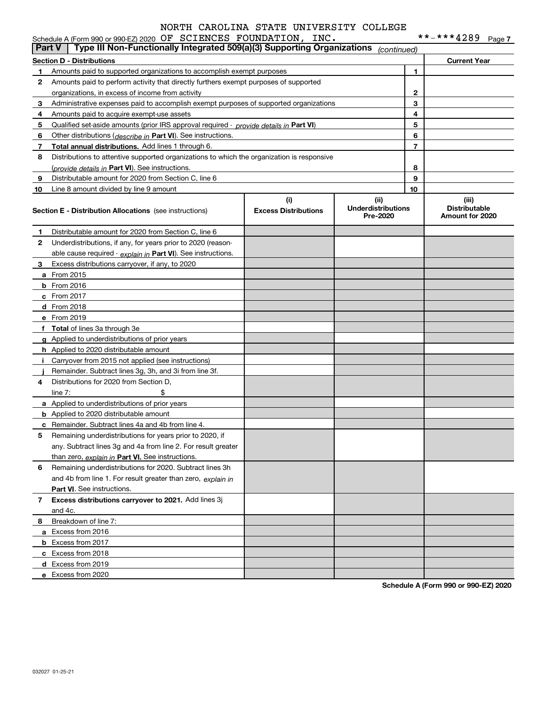|               | Schedule A (Form 990 or 990-EZ) 2020 OF SCIENCES FOUNDATION, INC.                          |                                    |                                               |                | **-***4289                                       | Page 7 |
|---------------|--------------------------------------------------------------------------------------------|------------------------------------|-----------------------------------------------|----------------|--------------------------------------------------|--------|
| <b>Part V</b> | Type III Non-Functionally Integrated 509(a)(3) Supporting Organizations                    |                                    | (continued)                                   |                |                                                  |        |
|               | <b>Section D - Distributions</b>                                                           |                                    |                                               |                | <b>Current Year</b>                              |        |
| 1.            | Amounts paid to supported organizations to accomplish exempt purposes                      |                                    |                                               | 1              |                                                  |        |
| 2             | Amounts paid to perform activity that directly furthers exempt purposes of supported       |                                    |                                               |                |                                                  |        |
|               | organizations, in excess of income from activity                                           |                                    |                                               | 2              |                                                  |        |
| 3             | Administrative expenses paid to accomplish exempt purposes of supported organizations      |                                    |                                               | 3              |                                                  |        |
| 4             | Amounts paid to acquire exempt-use assets                                                  |                                    |                                               | 4              |                                                  |        |
| 5             | Qualified set-aside amounts (prior IRS approval required - provide details in Part VI)     |                                    |                                               | 5              |                                                  |        |
| 6             | Other distributions (describe in Part VI). See instructions.                               |                                    |                                               | 6              |                                                  |        |
| 7             | Total annual distributions. Add lines 1 through 6.                                         |                                    |                                               | $\overline{7}$ |                                                  |        |
| 8             | Distributions to attentive supported organizations to which the organization is responsive |                                    |                                               |                |                                                  |        |
|               | (provide details in Part VI). See instructions.                                            |                                    |                                               | 8              |                                                  |        |
| 9             | Distributable amount for 2020 from Section C, line 6                                       |                                    |                                               | 9              |                                                  |        |
| 10            | Line 8 amount divided by line 9 amount                                                     |                                    |                                               | 10             |                                                  |        |
|               | <b>Section E - Distribution Allocations</b> (see instructions)                             | (i)<br><b>Excess Distributions</b> | (ii)<br><b>Underdistributions</b><br>Pre-2020 |                | (iii)<br><b>Distributable</b><br>Amount for 2020 |        |
| 1             | Distributable amount for 2020 from Section C, line 6                                       |                                    |                                               |                |                                                  |        |
| 2             | Underdistributions, if any, for years prior to 2020 (reason-                               |                                    |                                               |                |                                                  |        |
|               | able cause required - explain in Part VI). See instructions.                               |                                    |                                               |                |                                                  |        |
| 3             | Excess distributions carryover, if any, to 2020                                            |                                    |                                               |                |                                                  |        |
|               | <b>a</b> From 2015                                                                         |                                    |                                               |                |                                                  |        |
|               | <b>b</b> From 2016                                                                         |                                    |                                               |                |                                                  |        |
|               | $c$ From 2017                                                                              |                                    |                                               |                |                                                  |        |
|               | d From 2018                                                                                |                                    |                                               |                |                                                  |        |
|               | e From 2019                                                                                |                                    |                                               |                |                                                  |        |
|               | f Total of lines 3a through 3e                                                             |                                    |                                               |                |                                                  |        |
|               | g Applied to underdistributions of prior years                                             |                                    |                                               |                |                                                  |        |
|               | <b>h</b> Applied to 2020 distributable amount                                              |                                    |                                               |                |                                                  |        |
|               | Carryover from 2015 not applied (see instructions)                                         |                                    |                                               |                |                                                  |        |
|               | Remainder. Subtract lines 3g, 3h, and 3i from line 3f.                                     |                                    |                                               |                |                                                  |        |
| 4             | Distributions for 2020 from Section D,                                                     |                                    |                                               |                |                                                  |        |
|               | \$<br>line $7:$                                                                            |                                    |                                               |                |                                                  |        |
|               | a Applied to underdistributions of prior years                                             |                                    |                                               |                |                                                  |        |
|               | <b>b</b> Applied to 2020 distributable amount                                              |                                    |                                               |                |                                                  |        |
|               | <b>c</b> Remainder. Subtract lines 4a and 4b from line 4.                                  |                                    |                                               |                |                                                  |        |
|               | Remaining underdistributions for years prior to 2020, if                                   |                                    |                                               |                |                                                  |        |
|               | any. Subtract lines 3g and 4a from line 2. For result greater                              |                                    |                                               |                |                                                  |        |
|               | than zero, explain in Part VI. See instructions.                                           |                                    |                                               |                |                                                  |        |
| 6             | Remaining underdistributions for 2020. Subtract lines 3h                                   |                                    |                                               |                |                                                  |        |
|               | and 4b from line 1. For result greater than zero, explain in                               |                                    |                                               |                |                                                  |        |
|               | Part VI. See instructions.                                                                 |                                    |                                               |                |                                                  |        |
| 7             | Excess distributions carryover to 2021. Add lines 3j                                       |                                    |                                               |                |                                                  |        |
|               | and 4c.                                                                                    |                                    |                                               |                |                                                  |        |
| 8             | Breakdown of line 7:                                                                       |                                    |                                               |                |                                                  |        |
|               | a Excess from 2016                                                                         |                                    |                                               |                |                                                  |        |
|               | <b>b</b> Excess from 2017                                                                  |                                    |                                               |                |                                                  |        |
|               | c Excess from 2018                                                                         |                                    |                                               |                |                                                  |        |
|               | d Excess from 2019                                                                         |                                    |                                               |                |                                                  |        |
|               | e Excess from 2020                                                                         |                                    |                                               |                |                                                  |        |
|               |                                                                                            |                                    |                                               |                |                                                  |        |

**Schedule A (Form 990 or 990-EZ) 2020**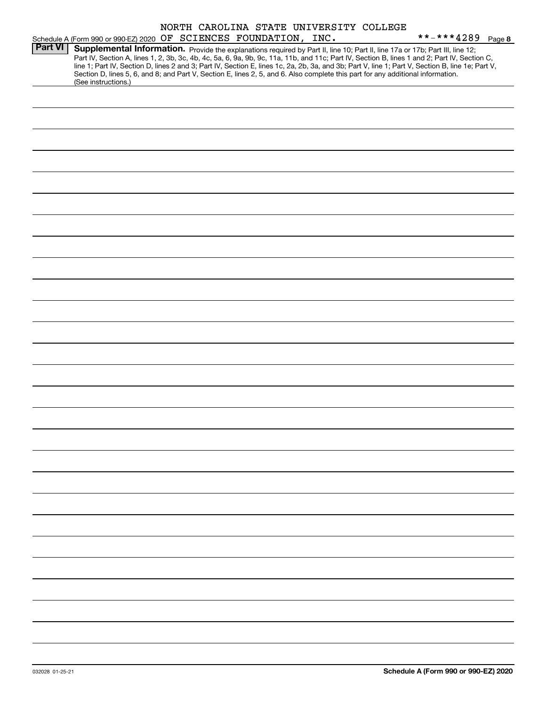|  |                              |  | NORTH CAROLINA STATE UNIVERSITY COLLEGE |  |
|--|------------------------------|--|-----------------------------------------|--|
|  | OF SCIENCES FOUNDATION. INC. |  |                                         |  |

|                |                     |  | Schedule A (Form 990 or 990-EZ) 2020 OF SCIENCES FOUNDATION, INC. |                                                                                                                                                                                                                                                                                                                                                                                                                                                                                                                                                                      | **-***4289 Page 8 |  |
|----------------|---------------------|--|-------------------------------------------------------------------|----------------------------------------------------------------------------------------------------------------------------------------------------------------------------------------------------------------------------------------------------------------------------------------------------------------------------------------------------------------------------------------------------------------------------------------------------------------------------------------------------------------------------------------------------------------------|-------------------|--|
| <b>Part VI</b> |                     |  |                                                                   | Supplemental Information. Provide the explanations required by Part II, line 10; Part II, line 17a or 17b; Part III, line 12;<br>Part IV, Section A, lines 1, 2, 3b, 3c, 4b, 4c, 5a, 6, 9a, 9b, 9c, 11a, 11b, and 11c; Part IV, Section B, lines 1 and 2; Part IV, Section C,<br>line 1; Part IV, Section D, lines 2 and 3; Part IV, Section E, lines 1c, 2a, 2b, 3a, and 3b; Part V, line 1; Part V, Section B, line 1e; Part V,<br>Section D, lines 5, 6, and 8; and Part V, Section E, lines 2, 5, and 6. Also complete this part for any additional information. |                   |  |
|                | (See instructions.) |  |                                                                   |                                                                                                                                                                                                                                                                                                                                                                                                                                                                                                                                                                      |                   |  |
|                |                     |  |                                                                   |                                                                                                                                                                                                                                                                                                                                                                                                                                                                                                                                                                      |                   |  |
|                |                     |  |                                                                   |                                                                                                                                                                                                                                                                                                                                                                                                                                                                                                                                                                      |                   |  |
|                |                     |  |                                                                   |                                                                                                                                                                                                                                                                                                                                                                                                                                                                                                                                                                      |                   |  |
|                |                     |  |                                                                   |                                                                                                                                                                                                                                                                                                                                                                                                                                                                                                                                                                      |                   |  |
|                |                     |  |                                                                   |                                                                                                                                                                                                                                                                                                                                                                                                                                                                                                                                                                      |                   |  |
|                |                     |  |                                                                   |                                                                                                                                                                                                                                                                                                                                                                                                                                                                                                                                                                      |                   |  |
|                |                     |  |                                                                   |                                                                                                                                                                                                                                                                                                                                                                                                                                                                                                                                                                      |                   |  |
|                |                     |  |                                                                   |                                                                                                                                                                                                                                                                                                                                                                                                                                                                                                                                                                      |                   |  |
|                |                     |  |                                                                   |                                                                                                                                                                                                                                                                                                                                                                                                                                                                                                                                                                      |                   |  |
|                |                     |  |                                                                   |                                                                                                                                                                                                                                                                                                                                                                                                                                                                                                                                                                      |                   |  |
|                |                     |  |                                                                   |                                                                                                                                                                                                                                                                                                                                                                                                                                                                                                                                                                      |                   |  |
|                |                     |  |                                                                   |                                                                                                                                                                                                                                                                                                                                                                                                                                                                                                                                                                      |                   |  |
|                |                     |  |                                                                   |                                                                                                                                                                                                                                                                                                                                                                                                                                                                                                                                                                      |                   |  |
|                |                     |  |                                                                   |                                                                                                                                                                                                                                                                                                                                                                                                                                                                                                                                                                      |                   |  |
|                |                     |  |                                                                   |                                                                                                                                                                                                                                                                                                                                                                                                                                                                                                                                                                      |                   |  |
|                |                     |  |                                                                   |                                                                                                                                                                                                                                                                                                                                                                                                                                                                                                                                                                      |                   |  |
|                |                     |  |                                                                   |                                                                                                                                                                                                                                                                                                                                                                                                                                                                                                                                                                      |                   |  |
|                |                     |  |                                                                   |                                                                                                                                                                                                                                                                                                                                                                                                                                                                                                                                                                      |                   |  |
|                |                     |  |                                                                   |                                                                                                                                                                                                                                                                                                                                                                                                                                                                                                                                                                      |                   |  |
|                |                     |  |                                                                   |                                                                                                                                                                                                                                                                                                                                                                                                                                                                                                                                                                      |                   |  |
|                |                     |  |                                                                   |                                                                                                                                                                                                                                                                                                                                                                                                                                                                                                                                                                      |                   |  |
|                |                     |  |                                                                   |                                                                                                                                                                                                                                                                                                                                                                                                                                                                                                                                                                      |                   |  |
|                |                     |  |                                                                   |                                                                                                                                                                                                                                                                                                                                                                                                                                                                                                                                                                      |                   |  |
|                |                     |  |                                                                   |                                                                                                                                                                                                                                                                                                                                                                                                                                                                                                                                                                      |                   |  |
|                |                     |  |                                                                   |                                                                                                                                                                                                                                                                                                                                                                                                                                                                                                                                                                      |                   |  |
|                |                     |  |                                                                   |                                                                                                                                                                                                                                                                                                                                                                                                                                                                                                                                                                      |                   |  |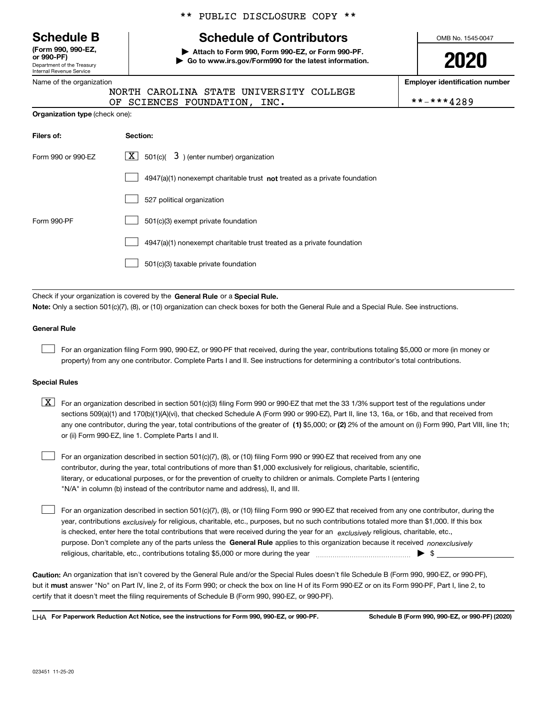Department of the Treasury Internal Revenue Service **(Form 990, 990-EZ, or 990-PF)**

#### Name of the organization

**Organization type** (check one):

# \*\* PUBLIC DISCLOSURE COPY \*\*

# **Schedule B Schedule of Contributors**

**| Attach to Form 990, Form 990-EZ, or Form 990-PF. | Go to www.irs.gov/Form990 for the latest information.** OMB No. 1545-0047

**2020**

**Employer identification number**

|  |                              | NORTH CAROLINA STATE UNIVERSITY COLLEGE |            |
|--|------------------------------|-----------------------------------------|------------|
|  | OF SCIENCES FOUNDATION, INC. |                                         | **-***4289 |

| Filers of:         | Section:                                                                  |
|--------------------|---------------------------------------------------------------------------|
| Form 990 or 990-FZ | $ \mathbf{X} $ 501(c)( 3) (enter number) organization                     |
|                    | 4947(a)(1) nonexempt charitable trust not treated as a private foundation |
|                    | 527 political organization                                                |
| Form 990-PF        | 501(c)(3) exempt private foundation                                       |
|                    | 4947(a)(1) nonexempt charitable trust treated as a private foundation     |
|                    | 501(c)(3) taxable private foundation                                      |

Check if your organization is covered by the **General Rule** or a **Special Rule. Note:**  Only a section 501(c)(7), (8), or (10) organization can check boxes for both the General Rule and a Special Rule. See instructions.

### **General Rule**

 $\mathcal{L}^{\text{max}}$ 

For an organization filing Form 990, 990-EZ, or 990-PF that received, during the year, contributions totaling \$5,000 or more (in money or property) from any one contributor. Complete Parts I and II. See instructions for determining a contributor's total contributions.

#### **Special Rules**

any one contributor, during the year, total contributions of the greater of  $\,$  (1) \$5,000; or **(2)** 2% of the amount on (i) Form 990, Part VIII, line 1h;  $\boxed{\textbf{X}}$  For an organization described in section 501(c)(3) filing Form 990 or 990-EZ that met the 33 1/3% support test of the regulations under sections 509(a)(1) and 170(b)(1)(A)(vi), that checked Schedule A (Form 990 or 990-EZ), Part II, line 13, 16a, or 16b, and that received from or (ii) Form 990-EZ, line 1. Complete Parts I and II.

For an organization described in section 501(c)(7), (8), or (10) filing Form 990 or 990-EZ that received from any one contributor, during the year, total contributions of more than \$1,000 exclusively for religious, charitable, scientific, literary, or educational purposes, or for the prevention of cruelty to children or animals. Complete Parts I (entering "N/A" in column (b) instead of the contributor name and address), II, and III.  $\mathcal{L}^{\text{max}}$ 

purpose. Don't complete any of the parts unless the **General Rule** applies to this organization because it received *nonexclusively* year, contributions <sub>exclusively</sub> for religious, charitable, etc., purposes, but no such contributions totaled more than \$1,000. If this box is checked, enter here the total contributions that were received during the year for an  $\;$ exclusively religious, charitable, etc., For an organization described in section 501(c)(7), (8), or (10) filing Form 990 or 990-EZ that received from any one contributor, during the religious, charitable, etc., contributions totaling \$5,000 or more during the year  $\Box$ — $\Box$   $\Box$  $\mathcal{L}^{\text{max}}$ 

**Caution:**  An organization that isn't covered by the General Rule and/or the Special Rules doesn't file Schedule B (Form 990, 990-EZ, or 990-PF),  **must** but it answer "No" on Part IV, line 2, of its Form 990; or check the box on line H of its Form 990-EZ or on its Form 990-PF, Part I, line 2, to certify that it doesn't meet the filing requirements of Schedule B (Form 990, 990-EZ, or 990-PF).

**For Paperwork Reduction Act Notice, see the instructions for Form 990, 990-EZ, or 990-PF. Schedule B (Form 990, 990-EZ, or 990-PF) (2020)** LHA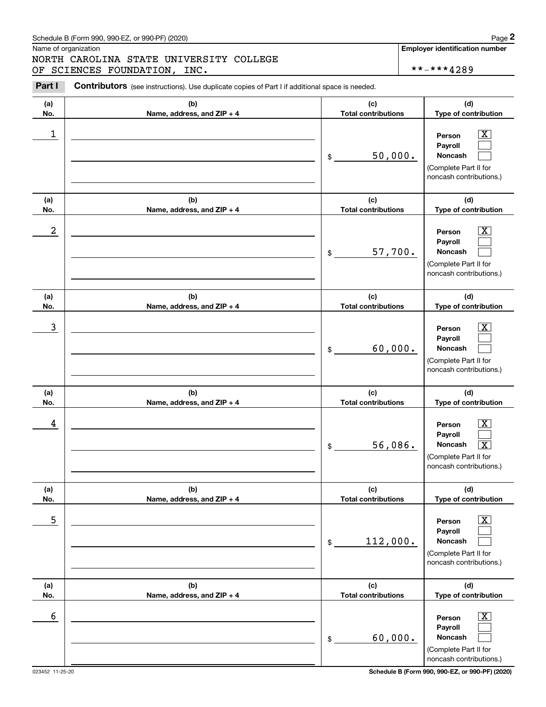# Schedule B (Form 990, 990-EZ, or 990-PF) (2020) **Page 2** Page 2

Name of organization

# Chedule B (Form 990, 990-EZ, or 990-PF) (2020)<br>
lame of organization<br> **2008 TORTH CAROLINA STATE UNIVERSITY COLLEGE**<br> **2Part I Contributors** (see instructions). Use duplicate copies of Part I if additional space is neede NORTH CAROLINA STATE UNIVERSITY COLLEGE OF SCIENCES FOUNDATION, INC.  $***4289$

023452 11-25-20 **Schedule B (Form 990, 990-EZ, or 990-PF) (2020)**

noncash contributions.)

| .                | <b>Corru idade is <math>\sqrt{5}</math></b> instructions). Ose duplicate copies or Fart Firadultional space is needed. |                                   |                                                                                                                        |
|------------------|------------------------------------------------------------------------------------------------------------------------|-----------------------------------|------------------------------------------------------------------------------------------------------------------------|
| (a)<br>No.       | (b)<br>Name, address, and ZIP + 4                                                                                      | (c)<br><b>Total contributions</b> | (d)<br>Type of contribution                                                                                            |
| 1                |                                                                                                                        | 50,000.<br>\$                     | $\boxed{\text{X}}$<br>Person<br>Payroll<br>Noncash<br>(Complete Part II for<br>noncash contributions.)                 |
| (a)<br>No.       | (b)<br>Name, address, and ZIP + 4                                                                                      | (c)<br><b>Total contributions</b> | (d)<br>Type of contribution                                                                                            |
| $\boldsymbol{2}$ |                                                                                                                        | 57,700.<br>\$                     | $\mathbf{X}$<br>Person<br>Payroll<br>Noncash<br>(Complete Part II for<br>noncash contributions.)                       |
| (a)<br>No.       | (b)<br>Name, address, and ZIP + 4                                                                                      | (c)<br><b>Total contributions</b> | (d)<br>Type of contribution                                                                                            |
| 3                |                                                                                                                        | 60,000.<br>\$                     | $\mathbf{X}$<br>Person<br>Payroll<br>Noncash<br>(Complete Part II for<br>noncash contributions.)                       |
| (a)<br>No.       | (b)<br>Name, address, and ZIP + 4                                                                                      | (c)<br><b>Total contributions</b> | (d)<br>Type of contribution                                                                                            |
| 4                |                                                                                                                        | 56,086.<br>\$                     | $\mathbf{X}$<br>Person<br>Payroll<br>$\boxed{\text{X}}$<br>Noncash<br>(Complete Part II for<br>noncash contributions.) |
| (a)<br>No.       | (b)<br>Name, address, and ZIP + 4                                                                                      | (c)<br><b>Total contributions</b> | (d)<br>Type of contribution                                                                                            |
| 5                |                                                                                                                        | 112,000.<br>\$                    | $\boxed{\text{X}}$<br>Person<br>Payroll<br>Noncash<br>(Complete Part II for<br>noncash contributions.)                 |
| (a)<br>No.       | (b)<br>Name, address, and ZIP + 4                                                                                      | (c)<br><b>Total contributions</b> | (d)<br>Type of contribution                                                                                            |
| 6                |                                                                                                                        | 60,000.<br>\$                     | $\boxed{\text{X}}$<br>Person<br>Payroll<br>Noncash<br>(Complete Part II for                                            |

**Employer identification number**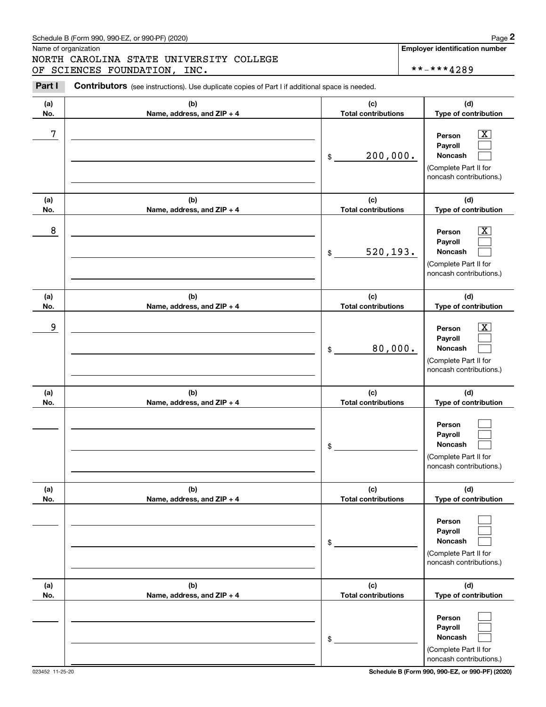# Schedule B (Form 990, 990-EZ, or 990-PF) (2020) **Page 2** Page 2

# NORTH CAROLINA STATE UNIVERSITY COLLEGE OF SCIENCES FOUNDATION, INC. \*\*-\*\*\*4289

(Complete Part II for noncash contributions.)

|            | Schedule B (Form 990, 990-EZ, or 990-PF) (2020)                                                |                                   | Page 2                                                                                                      |
|------------|------------------------------------------------------------------------------------------------|-----------------------------------|-------------------------------------------------------------------------------------------------------------|
|            | Name of organization                                                                           |                                   | <b>Employer identification number</b>                                                                       |
|            | NORTH CAROLINA STATE UNIVERSITY COLLEGE<br>OF SCIENCES FOUNDATION, INC.                        |                                   | **-***4289                                                                                                  |
| Part I     | Contributors (see instructions). Use duplicate copies of Part I if additional space is needed. |                                   |                                                                                                             |
| (a)        | (b)                                                                                            | (c)                               | (d)                                                                                                         |
| No.        | Name, address, and ZIP + 4                                                                     | <b>Total contributions</b>        | Type of contribution                                                                                        |
| 7          |                                                                                                | 200,000.<br>$\$\$                 | $\mathbf{X}$<br>Person<br>Payroll<br>Noncash<br>(Complete Part II for<br>noncash contributions.)            |
| (a)<br>No. | (b)<br>Name, address, and ZIP + 4                                                              | (c)<br><b>Total contributions</b> | (d)<br>Type of contribution                                                                                 |
| 8          |                                                                                                | 520, 193.<br>$\$\$                | $\overline{\mathbf{X}}$<br>Person<br>Payroll<br>Noncash<br>(Complete Part II for<br>noncash contributions.) |
| (a)<br>No. | (b)<br>Name, address, and ZIP + 4                                                              | (c)<br><b>Total contributions</b> | (d)<br>Type of contribution                                                                                 |
| 9          |                                                                                                | 80,000.<br>$\mathfrak{S}$         | $\mathbf{X}$<br>Person<br>Payroll<br>Noncash<br>(Complete Part II for<br>noncash contributions.)            |
| (a)<br>No. | (b)<br>Name, address, and ZIP + 4                                                              | (c)<br><b>Total contributions</b> | (d)<br>Type of contribution                                                                                 |
|            |                                                                                                | \$                                | Person<br>Payroll<br>Noncash<br>(Complete Part II for<br>noncash contributions.)                            |
| (a)<br>No. | (b)<br>Name, address, and ZIP + 4                                                              | (c)<br><b>Total contributions</b> | (d)<br>Type of contribution                                                                                 |
|            |                                                                                                | \$                                | Person<br>Payroll<br>Noncash<br>(Complete Part II for<br>noncash contributions.)                            |
| (a)<br>No. | (b)<br>Name, address, and ZIP + 4                                                              | (c)<br><b>Total contributions</b> | (d)<br>Type of contribution                                                                                 |
|            |                                                                                                | \$                                | Person<br>Payroll<br>Noncash                                                                                |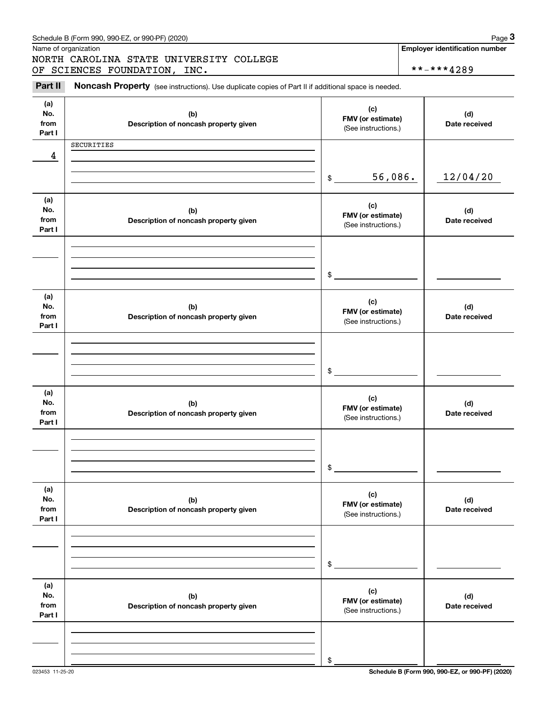|                              | Schedule B (Form 990, 990-EZ, or 990-PF) (2020)                                                     |                                                 | Page 3                                              |
|------------------------------|-----------------------------------------------------------------------------------------------------|-------------------------------------------------|-----------------------------------------------------|
|                              | Name of organization<br>NORTH CAROLINA STATE UNIVERSITY COLLEGE<br>OF SCIENCES FOUNDATION, INC.     |                                                 | <b>Employer identification number</b><br>**-***4289 |
| Part II                      | Noncash Property (see instructions). Use duplicate copies of Part II if additional space is needed. |                                                 |                                                     |
| (a)<br>No.<br>from<br>Part I | (b)<br>Description of noncash property given                                                        | (c)<br>FMV (or estimate)<br>(See instructions.) | (d)<br>Date received                                |
| 4                            | SECURITIES                                                                                          |                                                 |                                                     |
|                              |                                                                                                     | 56,086.<br>\$                                   | 12/04/20                                            |
| (a)<br>No.<br>from<br>Part I | (b)<br>Description of noncash property given                                                        | (c)<br>FMV (or estimate)<br>(See instructions.) | (d)<br>Date received                                |
|                              |                                                                                                     | \$                                              |                                                     |
| (a)<br>No.<br>from<br>Part I | (b)<br>Description of noncash property given                                                        | (c)<br>FMV (or estimate)<br>(See instructions.) | (d)<br>Date received                                |
|                              |                                                                                                     | \$                                              |                                                     |
| (a)<br>No.<br>from<br>Part I | (b)<br>Description of noncash property given                                                        | (c)<br>FMV (or estimate)<br>(See instructions.) | (d)<br>Date received                                |
|                              |                                                                                                     | \$                                              |                                                     |
| (a)<br>No.<br>from<br>Part I | (b)<br>Description of noncash property given                                                        | (c)<br>FMV (or estimate)<br>(See instructions.) | (d)<br>Date received                                |
|                              |                                                                                                     | \$                                              |                                                     |
| (a)<br>No.<br>from<br>Part I | (b)<br>Description of noncash property given                                                        | (c)<br>FMV (or estimate)<br>(See instructions.) | (d)<br>Date received                                |
|                              |                                                                                                     |                                                 |                                                     |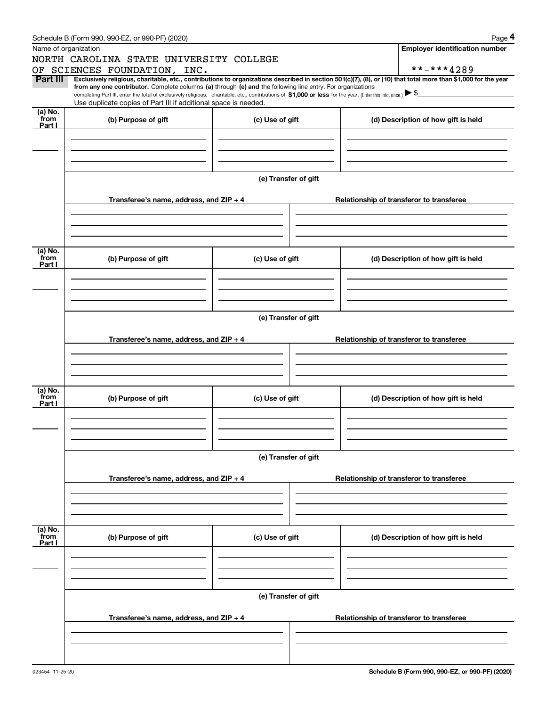|                 | Schedule B (Form 990, 990-EZ, or 990-PF) (2020)                                                                                                                                   |                                          | Page 4                                                                                                                                                         |  |  |  |  |  |  |
|-----------------|-----------------------------------------------------------------------------------------------------------------------------------------------------------------------------------|------------------------------------------|----------------------------------------------------------------------------------------------------------------------------------------------------------------|--|--|--|--|--|--|
|                 | Name of organization                                                                                                                                                              |                                          | <b>Employer identification number</b>                                                                                                                          |  |  |  |  |  |  |
|                 | NORTH CAROLINA STATE UNIVERSITY COLLEGE                                                                                                                                           |                                          |                                                                                                                                                                |  |  |  |  |  |  |
|                 | OF SCIENCES FOUNDATION, INC.                                                                                                                                                      |                                          | **-***4289                                                                                                                                                     |  |  |  |  |  |  |
| Part III        | from any one contributor. Complete columns (a) through (e) and the following line entry. For organizations                                                                        |                                          | Exclusively religious, charitable, etc., contributions to organizations described in section 501(c)(7), (8), or (10) that total more than \$1,000 for the year |  |  |  |  |  |  |
|                 | completing Part III, enter the total of exclusively religious, charitable, etc., contributions of \$1,000 or less for the year. (Enter this info. once.) $\blacktriangleright$ \$ |                                          |                                                                                                                                                                |  |  |  |  |  |  |
|                 | Use duplicate copies of Part III if additional space is needed.                                                                                                                   |                                          |                                                                                                                                                                |  |  |  |  |  |  |
| (a) No.<br>from | (b) Purpose of gift                                                                                                                                                               | (c) Use of gift                          | (d) Description of how gift is held                                                                                                                            |  |  |  |  |  |  |
| Part I          |                                                                                                                                                                                   |                                          |                                                                                                                                                                |  |  |  |  |  |  |
|                 |                                                                                                                                                                                   |                                          |                                                                                                                                                                |  |  |  |  |  |  |
|                 |                                                                                                                                                                                   |                                          |                                                                                                                                                                |  |  |  |  |  |  |
|                 |                                                                                                                                                                                   |                                          |                                                                                                                                                                |  |  |  |  |  |  |
|                 |                                                                                                                                                                                   | (e) Transfer of gift                     |                                                                                                                                                                |  |  |  |  |  |  |
|                 |                                                                                                                                                                                   |                                          |                                                                                                                                                                |  |  |  |  |  |  |
|                 | Transferee's name, address, and ZIP + 4                                                                                                                                           |                                          | Relationship of transferor to transferee                                                                                                                       |  |  |  |  |  |  |
|                 |                                                                                                                                                                                   |                                          |                                                                                                                                                                |  |  |  |  |  |  |
|                 |                                                                                                                                                                                   |                                          |                                                                                                                                                                |  |  |  |  |  |  |
|                 |                                                                                                                                                                                   |                                          |                                                                                                                                                                |  |  |  |  |  |  |
|                 |                                                                                                                                                                                   |                                          |                                                                                                                                                                |  |  |  |  |  |  |
| (a) No.<br>from | (b) Purpose of gift                                                                                                                                                               | (c) Use of gift                          | (d) Description of how gift is held                                                                                                                            |  |  |  |  |  |  |
| Part I          |                                                                                                                                                                                   |                                          |                                                                                                                                                                |  |  |  |  |  |  |
|                 |                                                                                                                                                                                   |                                          |                                                                                                                                                                |  |  |  |  |  |  |
|                 |                                                                                                                                                                                   |                                          |                                                                                                                                                                |  |  |  |  |  |  |
|                 |                                                                                                                                                                                   |                                          |                                                                                                                                                                |  |  |  |  |  |  |
|                 | (e) Transfer of gift                                                                                                                                                              |                                          |                                                                                                                                                                |  |  |  |  |  |  |
|                 |                                                                                                                                                                                   |                                          |                                                                                                                                                                |  |  |  |  |  |  |
|                 | Transferee's name, address, and ZIP + 4                                                                                                                                           | Relationship of transferor to transferee |                                                                                                                                                                |  |  |  |  |  |  |
|                 |                                                                                                                                                                                   |                                          |                                                                                                                                                                |  |  |  |  |  |  |
|                 |                                                                                                                                                                                   |                                          |                                                                                                                                                                |  |  |  |  |  |  |
|                 |                                                                                                                                                                                   |                                          |                                                                                                                                                                |  |  |  |  |  |  |
| (a) No.         |                                                                                                                                                                                   |                                          |                                                                                                                                                                |  |  |  |  |  |  |
| from            | (b) Purpose of gift                                                                                                                                                               | (c) Use of gift                          | (d) Description of how gift is held                                                                                                                            |  |  |  |  |  |  |
| Part I          |                                                                                                                                                                                   |                                          |                                                                                                                                                                |  |  |  |  |  |  |
|                 |                                                                                                                                                                                   |                                          |                                                                                                                                                                |  |  |  |  |  |  |
|                 |                                                                                                                                                                                   |                                          |                                                                                                                                                                |  |  |  |  |  |  |
|                 |                                                                                                                                                                                   |                                          |                                                                                                                                                                |  |  |  |  |  |  |
|                 | (e) Transfer of gift                                                                                                                                                              |                                          |                                                                                                                                                                |  |  |  |  |  |  |
|                 |                                                                                                                                                                                   |                                          |                                                                                                                                                                |  |  |  |  |  |  |
|                 | Transferee's name, address, and $ZIP + 4$                                                                                                                                         |                                          | Relationship of transferor to transferee                                                                                                                       |  |  |  |  |  |  |
|                 |                                                                                                                                                                                   |                                          |                                                                                                                                                                |  |  |  |  |  |  |
|                 |                                                                                                                                                                                   |                                          |                                                                                                                                                                |  |  |  |  |  |  |
|                 |                                                                                                                                                                                   |                                          |                                                                                                                                                                |  |  |  |  |  |  |
| (a) No.         |                                                                                                                                                                                   |                                          |                                                                                                                                                                |  |  |  |  |  |  |
| from<br>Part I  | (b) Purpose of gift                                                                                                                                                               | (c) Use of gift                          | (d) Description of how gift is held                                                                                                                            |  |  |  |  |  |  |
|                 |                                                                                                                                                                                   |                                          |                                                                                                                                                                |  |  |  |  |  |  |
|                 |                                                                                                                                                                                   |                                          |                                                                                                                                                                |  |  |  |  |  |  |
|                 |                                                                                                                                                                                   |                                          |                                                                                                                                                                |  |  |  |  |  |  |
|                 |                                                                                                                                                                                   |                                          |                                                                                                                                                                |  |  |  |  |  |  |
|                 | (e) Transfer of gift                                                                                                                                                              |                                          |                                                                                                                                                                |  |  |  |  |  |  |
|                 |                                                                                                                                                                                   |                                          |                                                                                                                                                                |  |  |  |  |  |  |
|                 | Transferee's name, address, and ZIP + 4                                                                                                                                           |                                          | Relationship of transferor to transferee                                                                                                                       |  |  |  |  |  |  |
|                 |                                                                                                                                                                                   |                                          |                                                                                                                                                                |  |  |  |  |  |  |
|                 |                                                                                                                                                                                   |                                          |                                                                                                                                                                |  |  |  |  |  |  |
|                 |                                                                                                                                                                                   |                                          |                                                                                                                                                                |  |  |  |  |  |  |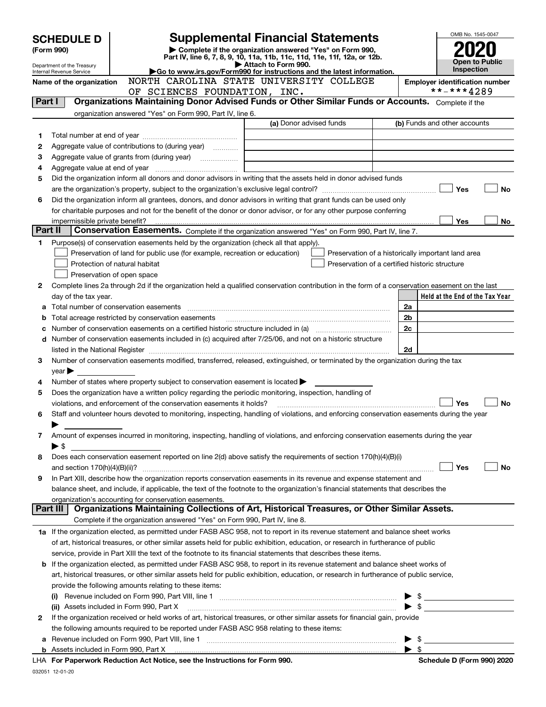|         | <b>SCHEDULE D</b><br>(Form 990)<br>Department of the Treasury |                                                                                                                                                | <b>Supplemental Financial Statements</b><br>Complete if the organization answered "Yes" on Form 990,<br>Part IV, line 6, 7, 8, 9, 10, 11a, 11b, 11c, 11d, 11e, 11f, 12a, or 12b.<br>Attach to Form 990. |                          | OMB No. 1545-0047<br><b>Open to Public</b> |
|---------|---------------------------------------------------------------|------------------------------------------------------------------------------------------------------------------------------------------------|---------------------------------------------------------------------------------------------------------------------------------------------------------------------------------------------------------|--------------------------|--------------------------------------------|
|         | Internal Revenue Service                                      |                                                                                                                                                | Go to www.irs.gov/Form990 for instructions and the latest information.                                                                                                                                  |                          | <b>Inspection</b>                          |
|         | Name of the organization                                      |                                                                                                                                                | NORTH CAROLINA STATE UNIVERSITY COLLEGE                                                                                                                                                                 |                          | <b>Employer identification number</b>      |
|         |                                                               | SCIENCES FOUNDATION, INC.<br>OF                                                                                                                |                                                                                                                                                                                                         |                          | **-***4289                                 |
| Part I  |                                                               | Organizations Maintaining Donor Advised Funds or Other Similar Funds or Accounts. Complete if the                                              |                                                                                                                                                                                                         |                          |                                            |
|         |                                                               | organization answered "Yes" on Form 990, Part IV, line 6.                                                                                      |                                                                                                                                                                                                         |                          |                                            |
|         |                                                               |                                                                                                                                                | (a) Donor advised funds                                                                                                                                                                                 |                          | (b) Funds and other accounts               |
| 1       |                                                               |                                                                                                                                                |                                                                                                                                                                                                         |                          |                                            |
| 2       |                                                               | Aggregate value of contributions to (during year)                                                                                              |                                                                                                                                                                                                         |                          |                                            |
| з       |                                                               |                                                                                                                                                |                                                                                                                                                                                                         |                          |                                            |
| 4       |                                                               |                                                                                                                                                |                                                                                                                                                                                                         |                          |                                            |
| 5       |                                                               | Did the organization inform all donors and donor advisors in writing that the assets held in donor advised funds                               |                                                                                                                                                                                                         |                          |                                            |
|         |                                                               |                                                                                                                                                |                                                                                                                                                                                                         |                          | Yes<br><b>No</b>                           |
| 6       |                                                               | Did the organization inform all grantees, donors, and donor advisors in writing that grant funds can be used only                              |                                                                                                                                                                                                         |                          |                                            |
|         |                                                               | for charitable purposes and not for the benefit of the donor or donor advisor, or for any other purpose conferring                             |                                                                                                                                                                                                         |                          |                                            |
|         |                                                               |                                                                                                                                                |                                                                                                                                                                                                         |                          | Yes<br>No                                  |
| Part II |                                                               | Conservation Easements. Complete if the organization answered "Yes" on Form 990, Part IV, line 7.                                              |                                                                                                                                                                                                         |                          |                                            |
| 1       |                                                               | Purpose(s) of conservation easements held by the organization (check all that apply).                                                          |                                                                                                                                                                                                         |                          |                                            |
|         |                                                               | Preservation of land for public use (for example, recreation or education)                                                                     | Preservation of a historically important land area                                                                                                                                                      |                          |                                            |
|         |                                                               | Protection of natural habitat                                                                                                                  | Preservation of a certified historic structure                                                                                                                                                          |                          |                                            |
|         |                                                               | Preservation of open space                                                                                                                     |                                                                                                                                                                                                         |                          |                                            |
| 2       |                                                               | Complete lines 2a through 2d if the organization held a qualified conservation contribution in the form of a conservation easement on the last |                                                                                                                                                                                                         |                          |                                            |
|         | day of the tax year.                                          |                                                                                                                                                |                                                                                                                                                                                                         |                          | Held at the End of the Tax Year            |
| а       |                                                               |                                                                                                                                                |                                                                                                                                                                                                         | 2a                       |                                            |
| b       |                                                               | Total acreage restricted by conservation easements                                                                                             |                                                                                                                                                                                                         | 2b                       |                                            |
| с       |                                                               |                                                                                                                                                |                                                                                                                                                                                                         | 2c                       |                                            |
|         |                                                               | d Number of conservation easements included in (c) acquired after 7/25/06, and not on a historic structure                                     |                                                                                                                                                                                                         |                          |                                            |
|         |                                                               |                                                                                                                                                |                                                                                                                                                                                                         | 2d                       |                                            |
| 3       |                                                               | Number of conservation easements modified, transferred, released, extinguished, or terminated by the organization during the tax               |                                                                                                                                                                                                         |                          |                                            |
|         | $year \blacktriangleright$                                    |                                                                                                                                                |                                                                                                                                                                                                         |                          |                                            |
| 4       |                                                               | Number of states where property subject to conservation easement is located $\blacktriangleright$                                              |                                                                                                                                                                                                         |                          |                                            |
| 5       |                                                               | Does the organization have a written policy regarding the periodic monitoring, inspection, handling of                                         |                                                                                                                                                                                                         |                          |                                            |
|         |                                                               | violations, and enforcement of the conservation easements it holds?                                                                            |                                                                                                                                                                                                         |                          | Yes<br>No                                  |
| 6       |                                                               | Staff and volunteer hours devoted to monitoring, inspecting, handling of violations, and enforcing conservation easements during the year      |                                                                                                                                                                                                         |                          |                                            |
|         |                                                               |                                                                                                                                                |                                                                                                                                                                                                         |                          |                                            |
| 7       |                                                               | Amount of expenses incurred in monitoring, inspecting, handling of violations, and enforcing conservation easements during the year            |                                                                                                                                                                                                         |                          |                                            |
|         | ► \$                                                          |                                                                                                                                                |                                                                                                                                                                                                         |                          |                                            |
| 8       |                                                               | Does each conservation easement reported on line 2(d) above satisfy the requirements of section 170(h)(4)(B)(i)                                |                                                                                                                                                                                                         |                          |                                            |
|         |                                                               |                                                                                                                                                |                                                                                                                                                                                                         |                          | Yes<br>No                                  |
| 9       |                                                               | In Part XIII, describe how the organization reports conservation easements in its revenue and expense statement and                            |                                                                                                                                                                                                         |                          |                                            |
|         |                                                               | balance sheet, and include, if applicable, the text of the footnote to the organization's financial statements that describes the              |                                                                                                                                                                                                         |                          |                                            |
|         |                                                               | organization's accounting for conservation easements.                                                                                          |                                                                                                                                                                                                         |                          |                                            |
|         | Part III                                                      | Organizations Maintaining Collections of Art, Historical Treasures, or Other Similar Assets.                                                   |                                                                                                                                                                                                         |                          |                                            |
|         |                                                               | Complete if the organization answered "Yes" on Form 990, Part IV, line 8.                                                                      |                                                                                                                                                                                                         |                          |                                            |
|         |                                                               | 1a If the organization elected, as permitted under FASB ASC 958, not to report in its revenue statement and balance sheet works                |                                                                                                                                                                                                         |                          |                                            |
|         |                                                               | of art, historical treasures, or other similar assets held for public exhibition, education, or research in furtherance of public              |                                                                                                                                                                                                         |                          |                                            |
|         |                                                               | service, provide in Part XIII the text of the footnote to its financial statements that describes these items.                                 |                                                                                                                                                                                                         |                          |                                            |
|         |                                                               | <b>b</b> If the organization elected, as permitted under FASB ASC 958, to report in its revenue statement and balance sheet works of           |                                                                                                                                                                                                         |                          |                                            |
|         |                                                               | art, historical treasures, or other similar assets held for public exhibition, education, or research in furtherance of public service,        |                                                                                                                                                                                                         |                          |                                            |
|         |                                                               | provide the following amounts relating to these items:                                                                                         |                                                                                                                                                                                                         |                          |                                            |
|         |                                                               |                                                                                                                                                |                                                                                                                                                                                                         | $\blacktriangleright$ s  |                                            |
|         |                                                               | (ii) Assets included in Form 990, Part X [11] [2000] [2010] Assets included in Form 990, Part X [11] [11] [11]                                 |                                                                                                                                                                                                         | $\blacktriangleright$ \$ |                                            |
| 2       |                                                               | If the organization received or held works of art, historical treasures, or other similar assets for financial gain, provide                   |                                                                                                                                                                                                         |                          |                                            |
|         |                                                               | the following amounts required to be reported under FASB ASC 958 relating to these items:                                                      |                                                                                                                                                                                                         |                          |                                            |
| а       |                                                               |                                                                                                                                                |                                                                                                                                                                                                         | $\blacktriangleright$ s  |                                            |
|         |                                                               |                                                                                                                                                |                                                                                                                                                                                                         | $\blacktriangleright$ \$ |                                            |
|         |                                                               | LHA For Panerwork Reduction Act Notice see the Instructions for Form 990                                                                       |                                                                                                                                                                                                         |                          | Schedule D (Form 990) 2020                 |

|  | LHA For Paperwork Reduction Act Notice, see the Instructions for Form 990. |  |  |  |  |  |  |
|--|----------------------------------------------------------------------------|--|--|--|--|--|--|
|--|----------------------------------------------------------------------------|--|--|--|--|--|--|

**Schedule D (Form 990) 2020** 

032051 12-01-20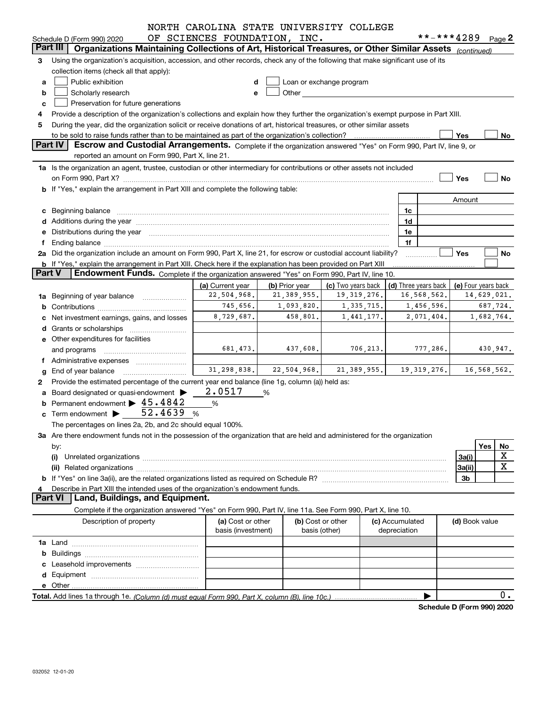|               |                                                                                                                                                                                                                                     | NORTH CAROLINA STATE UNIVERSITY COLLEGE         |   |                   |                                                                                                                                                                                                                                |           |                 |                            |                |            |             |
|---------------|-------------------------------------------------------------------------------------------------------------------------------------------------------------------------------------------------------------------------------------|-------------------------------------------------|---|-------------------|--------------------------------------------------------------------------------------------------------------------------------------------------------------------------------------------------------------------------------|-----------|-----------------|----------------------------|----------------|------------|-------------|
|               | Schedule D (Form 990) 2020                                                                                                                                                                                                          | OF SCIENCES FOUNDATION, INC.                    |   |                   |                                                                                                                                                                                                                                |           |                 | **-***4289                 |                | Page 2     |             |
| Part III      | Organizations Maintaining Collections of Art, Historical Treasures, or Other Similar Assets (continued)                                                                                                                             |                                                 |   |                   |                                                                                                                                                                                                                                |           |                 |                            |                |            |             |
| 3             | Using the organization's acquisition, accession, and other records, check any of the following that make significant use of its                                                                                                     |                                                 |   |                   |                                                                                                                                                                                                                                |           |                 |                            |                |            |             |
|               | collection items (check all that apply):                                                                                                                                                                                            |                                                 |   |                   |                                                                                                                                                                                                                                |           |                 |                            |                |            |             |
| а             | Public exhibition                                                                                                                                                                                                                   |                                                 |   |                   | Loan or exchange program                                                                                                                                                                                                       |           |                 |                            |                |            |             |
| b             | Scholarly research                                                                                                                                                                                                                  | e                                               |   |                   | Other and the control of the control of the control of the control of the control of the control of the control of the control of the control of the control of the control of the control of the control of the control of th |           |                 |                            |                |            |             |
| c             | Preservation for future generations                                                                                                                                                                                                 |                                                 |   |                   |                                                                                                                                                                                                                                |           |                 |                            |                |            |             |
| 4             | Provide a description of the organization's collections and explain how they further the organization's exempt purpose in Part XIII.                                                                                                |                                                 |   |                   |                                                                                                                                                                                                                                |           |                 |                            |                |            |             |
| 5             | During the year, did the organization solicit or receive donations of art, historical treasures, or other similar assets                                                                                                            |                                                 |   |                   |                                                                                                                                                                                                                                |           |                 |                            |                |            |             |
|               | to be sold to raise funds rather than to be maintained as part of the organization's collection?                                                                                                                                    |                                                 |   |                   |                                                                                                                                                                                                                                |           |                 |                            | Yes            |            | No          |
|               | Part IV<br>Escrow and Custodial Arrangements. Complete if the organization answered "Yes" on Form 990, Part IV, line 9, or                                                                                                          |                                                 |   |                   |                                                                                                                                                                                                                                |           |                 |                            |                |            |             |
|               | reported an amount on Form 990, Part X, line 21.                                                                                                                                                                                    |                                                 |   |                   |                                                                                                                                                                                                                                |           |                 |                            |                |            |             |
|               | 1a Is the organization an agent, trustee, custodian or other intermediary for contributions or other assets not included                                                                                                            |                                                 |   |                   |                                                                                                                                                                                                                                |           |                 |                            |                |            |             |
|               |                                                                                                                                                                                                                                     |                                                 |   |                   |                                                                                                                                                                                                                                |           |                 |                            | Yes            |            | No          |
|               | b If "Yes," explain the arrangement in Part XIII and complete the following table:                                                                                                                                                  |                                                 |   |                   |                                                                                                                                                                                                                                |           |                 |                            |                |            |             |
|               |                                                                                                                                                                                                                                     |                                                 |   |                   |                                                                                                                                                                                                                                |           |                 |                            | Amount         |            |             |
|               | c Beginning balance <b>communications</b> and a construction of the construction of the construction of the construction of the construction of the construction of the construction of the construction of the construction of the |                                                 |   |                   |                                                                                                                                                                                                                                |           | 1c              |                            |                |            |             |
|               |                                                                                                                                                                                                                                     |                                                 |   |                   |                                                                                                                                                                                                                                |           | 1d              |                            |                |            |             |
|               | Distributions during the year manufactured and an account of the year manufactured and account of the year manufactured and account of the year manufactured and account of the year manufactured and account of the year manu      |                                                 |   |                   |                                                                                                                                                                                                                                |           | 1e              |                            |                |            |             |
|               | Ending balance manufactured and contract the contract of the contract of the contract of the contract of the contract of the contract of the contract of the contract of the contract of the contract of the contract of the c      |                                                 |   |                   |                                                                                                                                                                                                                                |           | 1f              |                            |                |            |             |
|               | 2a Did the organization include an amount on Form 990, Part X, line 21, for escrow or custodial account liability?                                                                                                                  |                                                 |   |                   |                                                                                                                                                                                                                                |           |                 |                            | Yes            |            | No          |
|               | <b>b</b> If "Yes," explain the arrangement in Part XIII. Check here if the explanation has been provided on Part XIII                                                                                                               |                                                 |   |                   |                                                                                                                                                                                                                                |           |                 |                            |                |            |             |
| <b>Part V</b> | Endowment Funds. Complete if the organization answered "Yes" on Form 990, Part IV, line 10.                                                                                                                                         |                                                 |   |                   |                                                                                                                                                                                                                                |           |                 |                            |                |            |             |
|               | (a) Current year<br>(b) Prior year<br>(c) Two years back<br>(d) Three years back<br>(e) Four years back                                                                                                                             |                                                 |   |                   |                                                                                                                                                                                                                                |           |                 |                            |                |            |             |
| 1a            | 22,504,968.<br>19, 319, 276.<br>16,568,562.<br>21,389,955.<br>14,629,021.<br>Beginning of year balance                                                                                                                              |                                                 |   |                   |                                                                                                                                                                                                                                |           |                 |                            |                |            |             |
|               | 745,656.<br>1,093,820.<br>1,335,715.<br>1,456,596.<br>687,724.                                                                                                                                                                      |                                                 |   |                   |                                                                                                                                                                                                                                |           |                 |                            |                |            |             |
|               | Net investment earnings, gains, and losses                                                                                                                                                                                          | 8,729,687.                                      |   | 458,801.          | 1,441,177.                                                                                                                                                                                                                     |           |                 | 2,071,404.                 |                | 1,682,764. |             |
|               |                                                                                                                                                                                                                                     |                                                 |   |                   |                                                                                                                                                                                                                                |           |                 |                            |                |            |             |
|               | e Other expenditures for facilities                                                                                                                                                                                                 |                                                 |   |                   |                                                                                                                                                                                                                                |           |                 |                            |                |            |             |
|               | and programs                                                                                                                                                                                                                        | 681, 473.                                       |   | 437,608.          |                                                                                                                                                                                                                                | 706, 213. |                 | 777,286.                   |                | 430,947.   |             |
|               | Administrative expenses                                                                                                                                                                                                             |                                                 |   |                   |                                                                                                                                                                                                                                |           |                 |                            |                |            |             |
|               | End of year balance                                                                                                                                                                                                                 | $31, 298, 838.$ $22, 504, 968.$ $21, 389, 955.$ |   |                   |                                                                                                                                                                                                                                |           |                 | 19, 319, 276.              | 16,568,562.    |            |             |
| 2             | Provide the estimated percentage of the current year end balance (line 1g, column (a)) held as:                                                                                                                                     |                                                 |   |                   |                                                                                                                                                                                                                                |           |                 |                            |                |            |             |
| a             | Board designated or quasi-endowment                                                                                                                                                                                                 | 2.0517                                          | % |                   |                                                                                                                                                                                                                                |           |                 |                            |                |            |             |
|               | Permanent endowment $\blacktriangleright$ 45.4842                                                                                                                                                                                   | %                                               |   |                   |                                                                                                                                                                                                                                |           |                 |                            |                |            |             |
|               | c Term endowment $\triangleright$ 52.4639                                                                                                                                                                                           | %                                               |   |                   |                                                                                                                                                                                                                                |           |                 |                            |                |            |             |
|               | The percentages on lines 2a, 2b, and 2c should equal 100%.                                                                                                                                                                          |                                                 |   |                   |                                                                                                                                                                                                                                |           |                 |                            |                |            |             |
|               | 3a Are there endowment funds not in the possession of the organization that are held and administered for the organization                                                                                                          |                                                 |   |                   |                                                                                                                                                                                                                                |           |                 |                            |                |            |             |
|               | by:                                                                                                                                                                                                                                 |                                                 |   |                   |                                                                                                                                                                                                                                |           |                 |                            |                | Yes        | No          |
|               | (i)                                                                                                                                                                                                                                 |                                                 |   |                   |                                                                                                                                                                                                                                |           |                 |                            | 3a(i)          |            | х           |
|               |                                                                                                                                                                                                                                     |                                                 |   |                   |                                                                                                                                                                                                                                |           |                 |                            | 3a(ii)         |            | $\mathbf X$ |
|               |                                                                                                                                                                                                                                     |                                                 |   |                   |                                                                                                                                                                                                                                |           |                 |                            | 3b             |            |             |
|               | Describe in Part XIII the intended uses of the organization's endowment funds.                                                                                                                                                      |                                                 |   |                   |                                                                                                                                                                                                                                |           |                 |                            |                |            |             |
|               | Land, Buildings, and Equipment.<br><b>Part VI</b>                                                                                                                                                                                   |                                                 |   |                   |                                                                                                                                                                                                                                |           |                 |                            |                |            |             |
|               | Complete if the organization answered "Yes" on Form 990, Part IV, line 11a. See Form 990, Part X, line 10.                                                                                                                          |                                                 |   |                   |                                                                                                                                                                                                                                |           |                 |                            |                |            |             |
|               | Description of property                                                                                                                                                                                                             | (a) Cost or other                               |   | (b) Cost or other |                                                                                                                                                                                                                                |           | (c) Accumulated |                            | (d) Book value |            |             |
|               |                                                                                                                                                                                                                                     | basis (investment)                              |   | basis (other)     |                                                                                                                                                                                                                                |           | depreciation    |                            |                |            |             |
|               |                                                                                                                                                                                                                                     |                                                 |   |                   |                                                                                                                                                                                                                                |           |                 |                            |                |            |             |
| b             |                                                                                                                                                                                                                                     |                                                 |   |                   |                                                                                                                                                                                                                                |           |                 |                            |                |            |             |
|               |                                                                                                                                                                                                                                     |                                                 |   |                   |                                                                                                                                                                                                                                |           |                 |                            |                |            |             |
|               |                                                                                                                                                                                                                                     |                                                 |   |                   |                                                                                                                                                                                                                                |           |                 |                            |                |            |             |
|               |                                                                                                                                                                                                                                     |                                                 |   |                   |                                                                                                                                                                                                                                |           |                 |                            |                |            |             |
|               |                                                                                                                                                                                                                                     |                                                 |   |                   |                                                                                                                                                                                                                                |           |                 |                            |                |            | 0.          |
|               |                                                                                                                                                                                                                                     |                                                 |   |                   |                                                                                                                                                                                                                                |           |                 | Schedule D (Form 990) 2020 |                |            |             |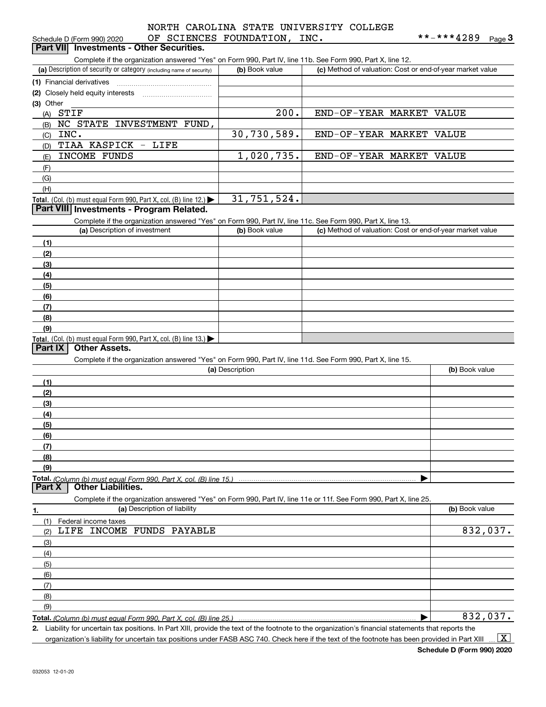# OF SCIENCES FOUNDATION, INC. NORTH CAROLINA STATE UNIVERSITY COLLEGE

| Schedule D (Form 990) 2020                                                                                                                  | OF SCIENCES FOUNDATION, INC. |                                                           | **-***4289<br>$Page$ <sup>3</sup> |
|---------------------------------------------------------------------------------------------------------------------------------------------|------------------------------|-----------------------------------------------------------|-----------------------------------|
| <b>Investments - Other Securities.</b><br><b>Part VIII</b>                                                                                  |                              |                                                           |                                   |
| Complete if the organization answered "Yes" on Form 990, Part IV, line 11b. See Form 990, Part X, line 12.                                  |                              |                                                           |                                   |
| (a) Description of security or category (including name of security)                                                                        | (b) Book value               | (c) Method of valuation: Cost or end-of-year market value |                                   |
| (1) Financial derivatives                                                                                                                   |                              |                                                           |                                   |
| (2) Closely held equity interests                                                                                                           |                              |                                                           |                                   |
| (3) Other                                                                                                                                   |                              |                                                           |                                   |
| STIF<br>(A)                                                                                                                                 | 200.                         | END-OF-YEAR MARKET VALUE                                  |                                   |
| NC STATE INVESTMENT FUND,<br>(B)<br>INC.                                                                                                    |                              |                                                           |                                   |
| (C)                                                                                                                                         | 30,730,589.                  | END-OF-YEAR MARKET VALUE                                  |                                   |
| TIAA KASPICK - LIFE<br>(D)                                                                                                                  |                              |                                                           |                                   |
| INCOME FUNDS<br>(E)                                                                                                                         | 1,020,735.                   | END-OF-YEAR MARKET VALUE                                  |                                   |
| (F)                                                                                                                                         |                              |                                                           |                                   |
| (G)                                                                                                                                         |                              |                                                           |                                   |
| (H)                                                                                                                                         |                              |                                                           |                                   |
| Total. (Col. (b) must equal Form 990, Part X, col. (B) line 12.) $\blacktriangleright$<br>Part VIII Investments - Program Related.          | 31,751,524.                  |                                                           |                                   |
|                                                                                                                                             |                              |                                                           |                                   |
| Complete if the organization answered "Yes" on Form 990, Part IV, line 11c. See Form 990, Part X, line 13.<br>(a) Description of investment | (b) Book value               | (c) Method of valuation: Cost or end-of-year market value |                                   |
|                                                                                                                                             |                              |                                                           |                                   |
| (1)                                                                                                                                         |                              |                                                           |                                   |
| (2)                                                                                                                                         |                              |                                                           |                                   |
| (3)                                                                                                                                         |                              |                                                           |                                   |
| (4)                                                                                                                                         |                              |                                                           |                                   |
| (5)                                                                                                                                         |                              |                                                           |                                   |
| (6)                                                                                                                                         |                              |                                                           |                                   |
| (7)                                                                                                                                         |                              |                                                           |                                   |
| (8)                                                                                                                                         |                              |                                                           |                                   |
| (9)                                                                                                                                         |                              |                                                           |                                   |
| <b>Total.</b> (Col. (b) must equal Form 990, Part X, col. (B) line 13.)<br><b>Other Assets.</b><br><b>Part IX</b>                           |                              |                                                           |                                   |
| Complete if the organization answered "Yes" on Form 990, Part IV, line 11d. See Form 990, Part X, line 15.                                  |                              |                                                           |                                   |
|                                                                                                                                             | (a) Description              |                                                           | (b) Book value                    |
| (1)                                                                                                                                         |                              |                                                           |                                   |
| (2)                                                                                                                                         |                              |                                                           |                                   |
| (3)                                                                                                                                         |                              |                                                           |                                   |
| (4)                                                                                                                                         |                              |                                                           |                                   |
| (5)                                                                                                                                         |                              |                                                           |                                   |
| (6)                                                                                                                                         |                              |                                                           |                                   |
| (7)                                                                                                                                         |                              |                                                           |                                   |
| (8)                                                                                                                                         |                              |                                                           |                                   |
| (9)                                                                                                                                         |                              |                                                           |                                   |
| Total. (Column (b) must equal Form 990. Part X. col. (B) line 15.)                                                                          |                              |                                                           |                                   |
| <b>Other Liabilities.</b><br>Part X                                                                                                         |                              |                                                           |                                   |
| Complete if the organization answered "Yes" on Form 990, Part IV, line 11e or 11f. See Form 990, Part X, line 25.                           |                              |                                                           |                                   |
| (a) Description of liability<br>1.                                                                                                          |                              |                                                           | (b) Book value                    |
| (1)<br>Federal income taxes                                                                                                                 |                              |                                                           |                                   |
| LIFE INCOME FUNDS PAYABLE<br>(2)                                                                                                            |                              |                                                           | 832,037.                          |
| (3)                                                                                                                                         |                              |                                                           |                                   |
| (4)                                                                                                                                         |                              |                                                           |                                   |
| (5)                                                                                                                                         |                              |                                                           |                                   |
| (6)                                                                                                                                         |                              |                                                           |                                   |
| (7)                                                                                                                                         |                              |                                                           |                                   |
| (8)                                                                                                                                         |                              |                                                           |                                   |
| (9)                                                                                                                                         |                              |                                                           |                                   |

**Total.**  *(Column (b) must equal Form 990, Part X, col. (B) line 25.)*

**2.** Liability for uncertain tax positions. In Part XIII, provide the text of the footnote to the organization's financial statements that reports the organization's liability for uncertain tax positions under FASB ASC 740. Check here if the text of the footnote has been provided in Part XIII  $\,$  ...  $\overline{\rm X}$ 

**Schedule D (Form 990) 2020**

| 832,037.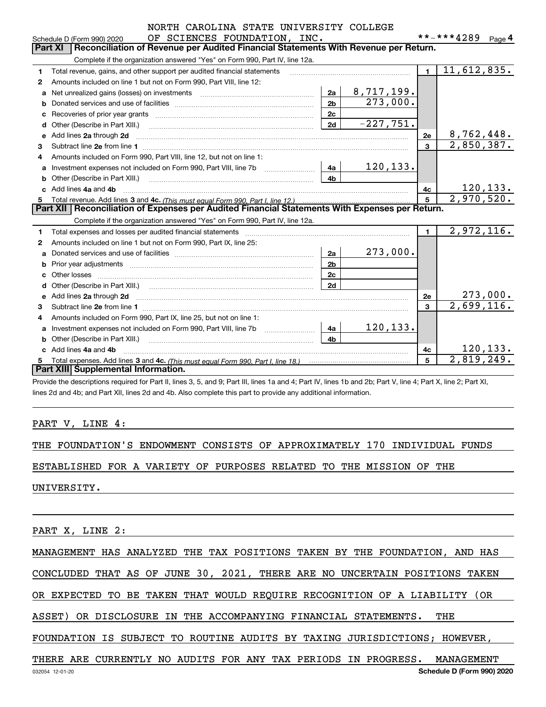|  |  |                         |  | NORTH CAROLINA STATE UNIVERSITY COLLEGE |
|--|--|-------------------------|--|-----------------------------------------|
|  |  | OF COTENICEC FOUNDAMION |  |                                         |

|    | OF SCIENCES FOUNDATION, INC.<br>Schedule D (Form 990) 2020                                                                                   |                |             |                | **-***4289              | Page 4           |
|----|----------------------------------------------------------------------------------------------------------------------------------------------|----------------|-------------|----------------|-------------------------|------------------|
|    | Part XI<br>Reconciliation of Revenue per Audited Financial Statements With Revenue per Return.                                               |                |             |                |                         |                  |
|    | Complete if the organization answered "Yes" on Form 990, Part IV, line 12a.                                                                  |                |             |                |                         |                  |
| 1  | Total revenue, gains, and other support per audited financial statements                                                                     |                |             | $\blacksquare$ | 11,612,835.             |                  |
| 2  | Amounts included on line 1 but not on Form 990, Part VIII, line 12:                                                                          |                |             |                |                         |                  |
| a  | Net unrealized gains (losses) on investments [111] [12] matter contracts and all of the unrealized gains (losses) on investments             | 2a             | 8,717,199.  |                |                         |                  |
| b  |                                                                                                                                              | 2 <sub>b</sub> | 273,000.    |                |                         |                  |
| C  | Recoveries of prior year grants [111] with the content of prior with the coveries of prior year grants                                       | 2c             |             |                |                         |                  |
| d  | Other (Describe in Part XIII.) <b>Construction Contract Construction</b> Construction Construction Construction Const                        | 2d             | $-227,751.$ |                |                         |                  |
| е  | Add lines 2a through 2d                                                                                                                      |                |             | 2e             | 8,762,448.              |                  |
| 3  |                                                                                                                                              |                |             | $\overline{3}$ | 2,850,387.              |                  |
| 4  | Amounts included on Form 990, Part VIII, line 12, but not on line 1:                                                                         |                |             |                |                         |                  |
| a  | Investment expenses not included on Form 990, Part VIII, line 7b [1000000000000000000000000000000000                                         | 4a             | 120, 133.   |                |                         |                  |
| b  | Other (Describe in Part XIII.) <b>Construction Contract Construction</b> Chern Construction Construction Construction                        | 4 <sub>h</sub> |             |                |                         |                  |
|    | Add lines 4a and 4b                                                                                                                          |                |             | 4c             |                         | <u> 120,133.</u> |
| 5. |                                                                                                                                              |                |             |                | 2,970,520.              |                  |
|    | Part XII   Reconciliation of Expenses per Audited Financial Statements With Expenses per Return.                                             |                |             |                |                         |                  |
|    | Complete if the organization answered "Yes" on Form 990, Part IV, line 12a.                                                                  |                |             |                |                         |                  |
| 1. |                                                                                                                                              |                |             | $\blacksquare$ | 2,972,116.              |                  |
| 2  | Amounts included on line 1 but not on Form 990, Part IX, line 25:                                                                            |                |             |                |                         |                  |
| a  |                                                                                                                                              | 2a             | 273,000.    |                |                         |                  |
| b  |                                                                                                                                              | 2 <sub>b</sub> |             |                |                         |                  |
| c  | Other losses                                                                                                                                 | 2c             |             |                |                         |                  |
| d  | Other (Describe in Part XIII.) (COLORGIAL CONSERVISTION) (CONSERVISTION)                                                                     | 2d             |             |                |                         |                  |
| е  |                                                                                                                                              |                |             | 2e             |                         | 273,000.         |
| 3  |                                                                                                                                              |                |             | 3              | $\overline{2,699,116.}$ |                  |
| 4  | Amounts included on Form 990, Part IX, line 25, but not on line 1:                                                                           |                |             |                |                         |                  |
| a  | Investment expenses not included on Form 990, Part VIII, line 7b [111] [11] Investment expenses not included on Form 990, Part VIII, line 7b | 4a             | 120, 133.   |                |                         |                  |
|    | Other (Describe in Part XIII.)                                                                                                               | 4 <sub>b</sub> |             |                |                         |                  |
| c. | Add lines 4a and 4b                                                                                                                          |                |             | 4c             |                         | 120, 133.        |
| 5. |                                                                                                                                              |                |             | 5              | 2,819,249.              |                  |
|    | Part XIII Supplemental Information.                                                                                                          |                |             |                |                         |                  |

Provide the descriptions required for Part II, lines 3, 5, and 9; Part III, lines 1a and 4; Part IV, lines 1b and 2b; Part V, line 4; Part X, line 2; Part XI, lines 2d and 4b; and Part XII, lines 2d and 4b. Also complete this part to provide any additional information.

### PART V, LINE 4:

THE FOUNDATION'S ENDOWMENT CONSISTS OF APPROXIMATELY 170 INDIVIDUAL FUNDS

ESTABLISHED FOR A VARIETY OF PURPOSES RELATED TO THE MISSION OF THE

UNIVERSITY.

PART X, LINE 2:

MANAGEMENT HAS ANALYZED THE TAX POSITIONS TAKEN BY THE FOUNDATION, AND HAS

CONCLUDED THAT AS OF JUNE 30, 2021, THERE ARE NO UNCERTAIN POSITIONS TAKEN

OR EXPECTED TO BE TAKEN THAT WOULD REQUIRE RECOGNITION OF A LIABILITY (OR

ASSET) OR DISCLOSURE IN THE ACCOMPANYING FINANCIAL STATEMENTS. THE

FOUNDATION IS SUBJECT TO ROUTINE AUDITS BY TAXING JURISDICTIONS; HOWEVER,

THERE ARE CURRENTLY NO AUDITS FOR ANY TAX PERIODS IN PROGRESS. MANAGEMENT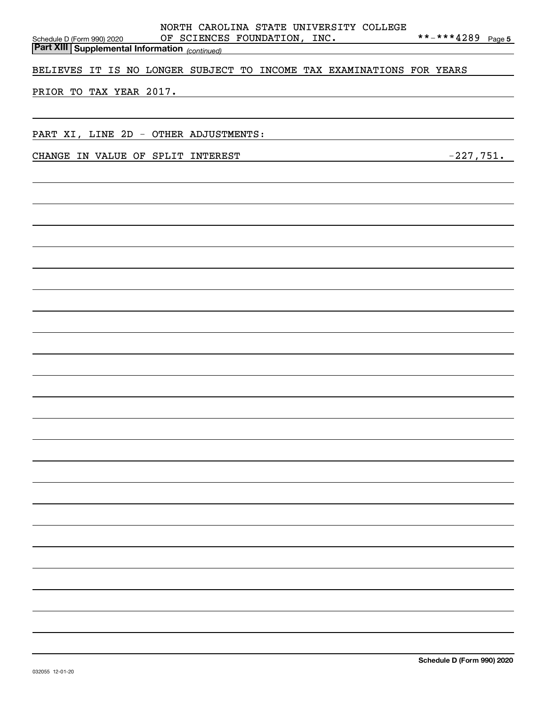| NORTH CAROLINA STATE UNIVERSITY COLLEGE<br>**-***4289 Page 5<br>OF SCIENCES FOUNDATION, INC.<br>Schedule D (Form 990) 2020<br><b>Part XIII Supplemental Information</b> (continued) |
|-------------------------------------------------------------------------------------------------------------------------------------------------------------------------------------|
| BELIEVES IT IS NO LONGER SUBJECT TO INCOME TAX EXAMINATIONS FOR YEARS                                                                                                               |
| PRIOR TO TAX YEAR 2017.                                                                                                                                                             |
|                                                                                                                                                                                     |
| PART XI, LINE 2D - OTHER ADJUSTMENTS:                                                                                                                                               |
| $-227,751$ .<br>CHANGE IN VALUE OF SPLIT INTEREST                                                                                                                                   |
|                                                                                                                                                                                     |
|                                                                                                                                                                                     |
|                                                                                                                                                                                     |
|                                                                                                                                                                                     |
|                                                                                                                                                                                     |
|                                                                                                                                                                                     |
|                                                                                                                                                                                     |
|                                                                                                                                                                                     |
|                                                                                                                                                                                     |
|                                                                                                                                                                                     |
|                                                                                                                                                                                     |
|                                                                                                                                                                                     |
|                                                                                                                                                                                     |
|                                                                                                                                                                                     |
|                                                                                                                                                                                     |
|                                                                                                                                                                                     |
|                                                                                                                                                                                     |
|                                                                                                                                                                                     |
|                                                                                                                                                                                     |
|                                                                                                                                                                                     |
|                                                                                                                                                                                     |
|                                                                                                                                                                                     |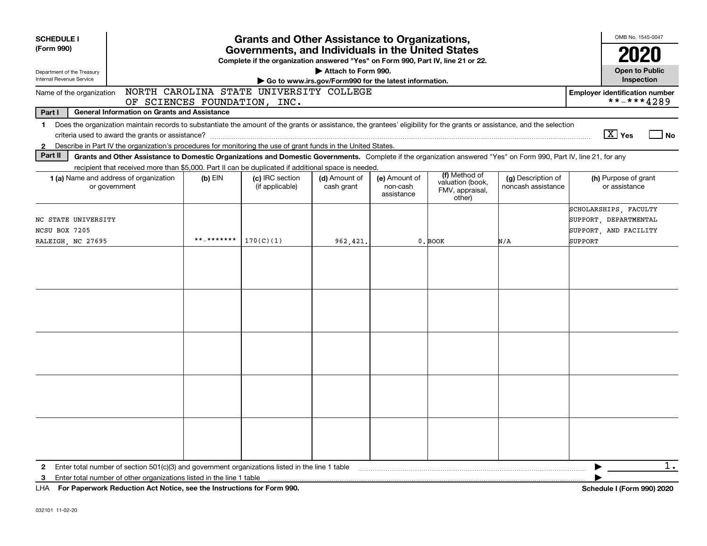| <b>SCHEDULE I</b><br>(Form 990)<br>Department of the Treasury<br>Internal Revenue Service | <b>Grants and Other Assistance to Organizations,</b><br>Governments, and Individuals in the United States<br>Complete if the organization answered "Yes" on Form 990, Part IV, line 21 or 22.<br>Attach to Form 990.<br>Go to www.irs.gov/Form990 for the latest information.             |            |                                         |                             |                                         |                                                                |                                          |                                                                                    |  |  |  |
|-------------------------------------------------------------------------------------------|-------------------------------------------------------------------------------------------------------------------------------------------------------------------------------------------------------------------------------------------------------------------------------------------|------------|-----------------------------------------|-----------------------------|-----------------------------------------|----------------------------------------------------------------|------------------------------------------|------------------------------------------------------------------------------------|--|--|--|
| Name of the organization                                                                  |                                                                                                                                                                                                                                                                                           |            | NORTH CAROLINA STATE UNIVERSITY COLLEGE |                             |                                         |                                                                |                                          | <b>Employer identification number</b>                                              |  |  |  |
| Part I                                                                                    | <b>General Information on Grants and Assistance</b>                                                                                                                                                                                                                                       |            | OF SCIENCES FOUNDATION, INC.            |                             |                                         |                                                                |                                          | **-***4289                                                                         |  |  |  |
| $\mathbf 1$<br>$\mathbf{2}$                                                               | Does the organization maintain records to substantiate the amount of the grants or assistance, the grantees' eligibility for the grants or assistance, and the selection<br>Describe in Part IV the organization's procedures for monitoring the use of grant funds in the United States. |            |                                         |                             |                                         |                                                                |                                          | $\boxed{\text{X}}$ Yes<br><b>No</b>                                                |  |  |  |
| Part II                                                                                   | Grants and Other Assistance to Domestic Organizations and Domestic Governments. Complete if the organization answered "Yes" on Form 990, Part IV, line 21, for any<br>recipient that received more than \$5,000. Part II can be duplicated if additional space is needed                  |            |                                         |                             |                                         |                                                                |                                          |                                                                                    |  |  |  |
|                                                                                           | <b>1 (a)</b> Name and address of organization<br>or government                                                                                                                                                                                                                            | $(b)$ EIN  | (c) IRC section<br>(if applicable)      | (d) Amount of<br>cash grant | (e) Amount of<br>non-cash<br>assistance | (f) Method of<br>valuation (book,<br>FMV, appraisal,<br>other) | (g) Description of<br>noncash assistance | (h) Purpose of grant<br>or assistance                                              |  |  |  |
| NC STATE UNIVERSITY<br>NCSU BOX 7205<br>RALEIGH, NC 27695                                 |                                                                                                                                                                                                                                                                                           | **_******* | 170(C)(1)                               | 962,421                     |                                         | 0. BOOK                                                        | N/A                                      | SCHOLARSHIPS, FACULTY<br>SUPPORT, DEPARTMENTAL<br>SUPPORT, AND FACILITY<br>SUPPORT |  |  |  |
|                                                                                           |                                                                                                                                                                                                                                                                                           |            |                                         |                             |                                         |                                                                |                                          |                                                                                    |  |  |  |
|                                                                                           |                                                                                                                                                                                                                                                                                           |            |                                         |                             |                                         |                                                                |                                          |                                                                                    |  |  |  |
|                                                                                           |                                                                                                                                                                                                                                                                                           |            |                                         |                             |                                         |                                                                |                                          |                                                                                    |  |  |  |
|                                                                                           |                                                                                                                                                                                                                                                                                           |            |                                         |                             |                                         |                                                                |                                          |                                                                                    |  |  |  |
|                                                                                           |                                                                                                                                                                                                                                                                                           |            |                                         |                             |                                         |                                                                |                                          |                                                                                    |  |  |  |
| $\mathbf{2}$                                                                              | Enter total number of section $501(c)(3)$ and government organizations listed in the line 1 table                                                                                                                                                                                         |            |                                         |                             |                                         |                                                                |                                          | $1$ .                                                                              |  |  |  |
| 3                                                                                         | Enter total number of other organizations listed in the line 1 table<br>LHA For Paperwork Reduction Act Notice, see the Instructions for Form 990.                                                                                                                                        |            |                                         |                             |                                         |                                                                |                                          | Schedule I (Form 990) 2020                                                         |  |  |  |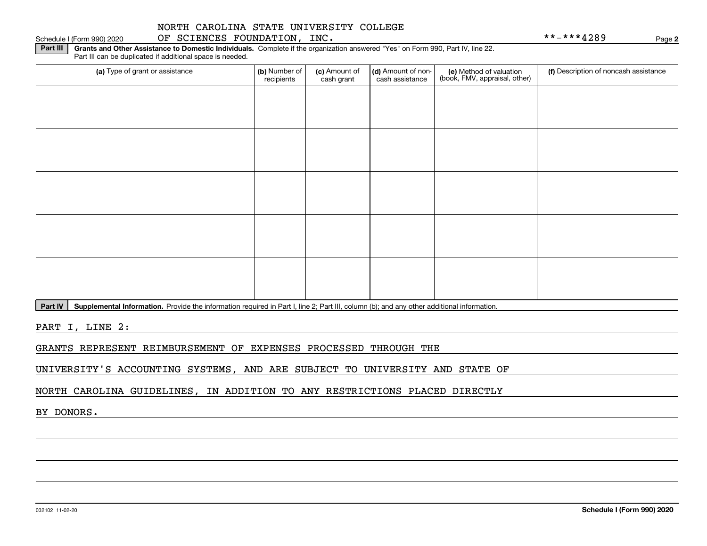### Schedule I (Form 990) 2020 OF SCIENCES FOUNDATION, INC. \* \* – \* \* \* 4 2 8 9 Page

**2**

**Part III | Grants and Other Assistance to Domestic Individuals. Complete if the organization answered "Yes" on Form 990, Part IV, line 22.** Part III can be duplicated if additional space is needed.

| (a) Type of grant or assistance | (b) Number of<br>recipients | (c) Amount of<br>cash grant | (d) Amount of non-<br>cash assistance | (e) Method of valuation<br>(book, FMV, appraisal, other) | (f) Description of noncash assistance |
|---------------------------------|-----------------------------|-----------------------------|---------------------------------------|----------------------------------------------------------|---------------------------------------|
|                                 |                             |                             |                                       |                                                          |                                       |
|                                 |                             |                             |                                       |                                                          |                                       |
|                                 |                             |                             |                                       |                                                          |                                       |
|                                 |                             |                             |                                       |                                                          |                                       |
|                                 |                             |                             |                                       |                                                          |                                       |
|                                 |                             |                             |                                       |                                                          |                                       |
|                                 |                             |                             |                                       |                                                          |                                       |
|                                 |                             |                             |                                       |                                                          |                                       |
|                                 |                             |                             |                                       |                                                          |                                       |
|                                 |                             |                             |                                       |                                                          |                                       |
|                                 |                             |                             |                                       |                                                          |                                       |

Part IV | Supplemental Information. Provide the information required in Part I, line 2; Part III, column (b); and any other additional information.

PART I, LINE 2:

GRANTS REPRESENT REIMBURSEMENT OF EXPENSES PROCESSED THROUGH THE

UNIVERSITY'S ACCOUNTING SYSTEMS, AND ARE SUBJECT TO UNIVERSITY AND STATE OF

NORTH CAROLINA GUIDELINES, IN ADDITION TO ANY RESTRICTIONS PLACED DIRECTLY

BY DONORS.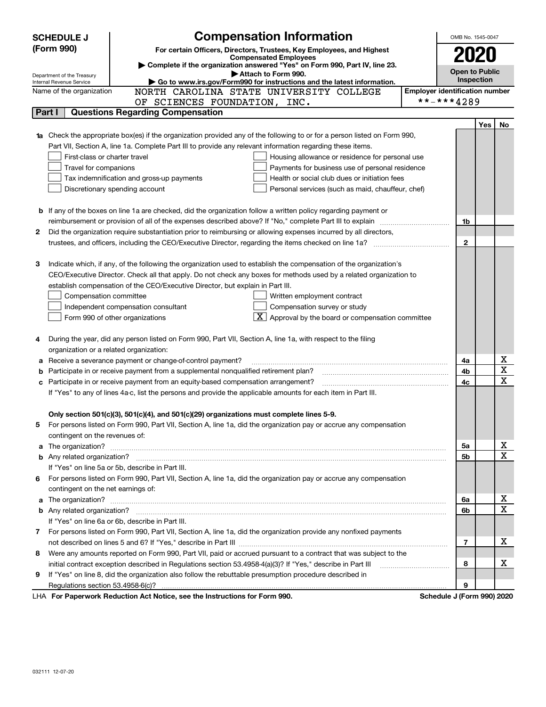|        | <b>Compensation Information</b><br><b>SCHEDULE J</b>                                                                                                                                                                                                                   | OMB No. 1545-0047          |            |                         |  |  |
|--------|------------------------------------------------------------------------------------------------------------------------------------------------------------------------------------------------------------------------------------------------------------------------|----------------------------|------------|-------------------------|--|--|
|        | (Form 990)<br>For certain Officers, Directors, Trustees, Key Employees, and Highest                                                                                                                                                                                    |                            |            |                         |  |  |
|        | <b>Compensated Employees</b>                                                                                                                                                                                                                                           | 2020                       |            |                         |  |  |
|        | Complete if the organization answered "Yes" on Form 990, Part IV, line 23.<br>Attach to Form 990.                                                                                                                                                                      | <b>Open to Public</b>      |            |                         |  |  |
|        | Department of the Treasury<br>Go to www.irs.gov/Form990 for instructions and the latest information.<br>Internal Revenue Service                                                                                                                                       | Inspection                 |            |                         |  |  |
|        | <b>Employer identification number</b><br>NORTH CAROLINA STATE UNIVERSITY COLLEGE<br>Name of the organization                                                                                                                                                           |                            |            |                         |  |  |
|        | OF SCIENCES FOUNDATION, INC.                                                                                                                                                                                                                                           | **-***4289                 |            |                         |  |  |
| Part I | <b>Questions Regarding Compensation</b>                                                                                                                                                                                                                                |                            |            |                         |  |  |
|        |                                                                                                                                                                                                                                                                        |                            | <b>Yes</b> | No                      |  |  |
|        | 1a Check the appropriate box(es) if the organization provided any of the following to or for a person listed on Form 990,                                                                                                                                              |                            |            |                         |  |  |
|        | Part VII, Section A, line 1a. Complete Part III to provide any relevant information regarding these items.                                                                                                                                                             |                            |            |                         |  |  |
|        | First-class or charter travel<br>Housing allowance or residence for personal use                                                                                                                                                                                       |                            |            |                         |  |  |
|        | Travel for companions<br>Payments for business use of personal residence                                                                                                                                                                                               |                            |            |                         |  |  |
|        | Tax indemnification and gross-up payments<br>Health or social club dues or initiation fees                                                                                                                                                                             |                            |            |                         |  |  |
|        | Discretionary spending account<br>Personal services (such as maid, chauffeur, chef)                                                                                                                                                                                    |                            |            |                         |  |  |
|        |                                                                                                                                                                                                                                                                        |                            |            |                         |  |  |
| b      | If any of the boxes on line 1a are checked, did the organization follow a written policy regarding payment or<br>reimbursement or provision of all of the expenses described above? If "No," complete Part III to explain                                              |                            |            |                         |  |  |
| 2      | Did the organization require substantiation prior to reimbursing or allowing expenses incurred by all directors,                                                                                                                                                       | 1b                         |            |                         |  |  |
|        | trustees, and officers, including the CEO/Executive Director, regarding the items checked on line 1a?                                                                                                                                                                  | $\mathbf{2}$               |            |                         |  |  |
|        |                                                                                                                                                                                                                                                                        |                            |            |                         |  |  |
| З      | Indicate which, if any, of the following the organization used to establish the compensation of the organization's                                                                                                                                                     |                            |            |                         |  |  |
|        | CEO/Executive Director. Check all that apply. Do not check any boxes for methods used by a related organization to                                                                                                                                                     |                            |            |                         |  |  |
|        | establish compensation of the CEO/Executive Director, but explain in Part III.                                                                                                                                                                                         |                            |            |                         |  |  |
|        | Compensation committee<br>Written employment contract                                                                                                                                                                                                                  |                            |            |                         |  |  |
|        | Compensation survey or study<br>Independent compensation consultant                                                                                                                                                                                                    |                            |            |                         |  |  |
|        | $\boxed{\textbf{X}}$ Approval by the board or compensation committee<br>Form 990 of other organizations                                                                                                                                                                |                            |            |                         |  |  |
|        |                                                                                                                                                                                                                                                                        |                            |            |                         |  |  |
|        | During the year, did any person listed on Form 990, Part VII, Section A, line 1a, with respect to the filing                                                                                                                                                           |                            |            |                         |  |  |
|        | organization or a related organization:                                                                                                                                                                                                                                |                            |            |                         |  |  |
| а      | Receive a severance payment or change-of-control payment?                                                                                                                                                                                                              | 4a                         |            | х                       |  |  |
| b      | Participate in or receive payment from a supplemental nonqualified retirement plan?                                                                                                                                                                                    | 4b                         |            | $\overline{\mathbf{x}}$ |  |  |
| с      | Participate in or receive payment from an equity-based compensation arrangement?                                                                                                                                                                                       | 4c                         |            | $\mathbf x$             |  |  |
|        | If "Yes" to any of lines 4a-c, list the persons and provide the applicable amounts for each item in Part III.                                                                                                                                                          |                            |            |                         |  |  |
|        |                                                                                                                                                                                                                                                                        |                            |            |                         |  |  |
|        | Only section 501(c)(3), 501(c)(4), and 501(c)(29) organizations must complete lines 5-9.<br>For persons listed on Form 990, Part VII, Section A, line 1a, did the organization pay or accrue any compensation                                                          |                            |            |                         |  |  |
|        |                                                                                                                                                                                                                                                                        |                            |            |                         |  |  |
| a      | contingent on the revenues of:<br>The organization? <b>With the contract of the contract of the contract of the contract of the contract of the contract of the contract of the contract of the contract of the contract of the contract of the contract of the co</b> | 5a                         |            | х                       |  |  |
|        |                                                                                                                                                                                                                                                                        | 5b                         |            | $\mathbf x$             |  |  |
|        | If "Yes" on line 5a or 5b, describe in Part III.                                                                                                                                                                                                                       |                            |            |                         |  |  |
| 6      | For persons listed on Form 990, Part VII, Section A, line 1a, did the organization pay or accrue any compensation                                                                                                                                                      |                            |            |                         |  |  |
|        | contingent on the net earnings of:                                                                                                                                                                                                                                     |                            |            |                         |  |  |
| a      |                                                                                                                                                                                                                                                                        | 6a                         |            | х                       |  |  |
|        |                                                                                                                                                                                                                                                                        | 6b                         |            | $\mathbf x$             |  |  |
|        | If "Yes" on line 6a or 6b, describe in Part III.                                                                                                                                                                                                                       |                            |            |                         |  |  |
|        | 7 For persons listed on Form 990, Part VII, Section A, line 1a, did the organization provide any nonfixed payments                                                                                                                                                     |                            |            |                         |  |  |
|        |                                                                                                                                                                                                                                                                        | 7                          |            | x                       |  |  |
| 8      | Were any amounts reported on Form 990, Part VII, paid or accrued pursuant to a contract that was subject to the                                                                                                                                                        |                            |            |                         |  |  |
|        | initial contract exception described in Regulations section 53.4958-4(a)(3)? If "Yes," describe in Part III                                                                                                                                                            | 8                          |            | х                       |  |  |
| 9      | If "Yes" on line 8, did the organization also follow the rebuttable presumption procedure described in                                                                                                                                                                 |                            |            |                         |  |  |
|        |                                                                                                                                                                                                                                                                        | 9                          |            |                         |  |  |
|        | <b>LHA.</b> For Paperwork Reduction Act Notice, see the Instructions for Form 000                                                                                                                                                                                      | Schodule 1 (Form 000) 2020 |            |                         |  |  |

LHA For Paperwork Reduction Act Notice, see the Instructions for Form 990. Schedule J (Form 990) 2020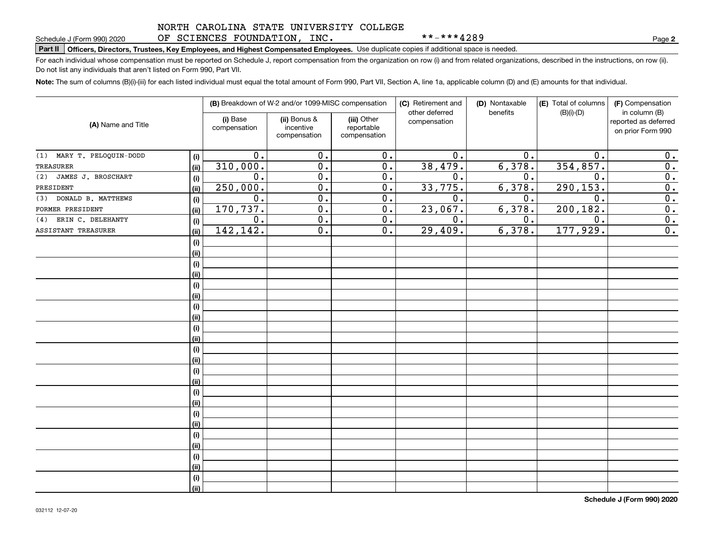### NORTH CAROLINA STATE UNIVERSITY COLLEGE OF SCIENCES FOUNDATION, INC.

\*\*-\*\*\*4289

**2**

# **Part II Officers, Directors, Trustees, Key Employees, and Highest Compensated Employees.**  Schedule J (Form 990) 2020 Page Use duplicate copies if additional space is needed.

For each individual whose compensation must be reported on Schedule J, report compensation from the organization on row (i) and from related organizations, described in the instructions, on row (ii). Do not list any individuals that aren't listed on Form 990, Part VII.

**Note:**  The sum of columns (B)(i)-(iii) for each listed individual must equal the total amount of Form 990, Part VII, Section A, line 1a, applicable column (D) and (E) amounts for that individual.

|                              |      |                          | (B) Breakdown of W-2 and/or 1099-MISC compensation |                                           | (C) Retirement and<br>other deferred | (D) Nontaxable<br>benefits | (E) Total of columns<br>$(B)(i)-(D)$ | (F) Compensation<br>in column (B)         |
|------------------------------|------|--------------------------|----------------------------------------------------|-------------------------------------------|--------------------------------------|----------------------------|--------------------------------------|-------------------------------------------|
| (A) Name and Title           |      | (i) Base<br>compensation | (ii) Bonus &<br>incentive<br>compensation          | (iii) Other<br>reportable<br>compensation | compensation                         |                            |                                      | reported as deferred<br>on prior Form 990 |
| MARY T. PELOQUIN-DODD<br>(1) | (i)  | 0.                       | $\overline{0}$ .                                   | $\overline{0}$ .                          | 0.                                   | 0.                         | 0.                                   | 0.                                        |
| <b>TREASURER</b>             | (ii) | 310,000.                 | $\overline{0}$ .                                   | $\overline{0}$ .                          | 38,479.                              | 6,378.                     | 354,857.                             | $\overline{0}$ .                          |
| JAMES J. BROSCHART<br>(2)    | (i)  | 0.                       | $\overline{0}$ .                                   | $\overline{0}$ .                          | $\overline{0}$ .                     | 0.                         | $\mathbf 0$                          | $\overline{0}$ .                          |
| PRESIDENT                    | (ii) | 250,000.                 | $\overline{0}$ .                                   | $\overline{0}$ .                          | 33,775.                              | 6,378.                     | 290, 153.                            | $\overline{0}$ .                          |
| DONALD B. MATTHEWS<br>(3)    | (i)  | 0.                       | $\overline{0}$ .                                   | 0.                                        | $\overline{0}$ .                     | 0.                         | $\mathbf 0$                          | $\overline{0}$ .                          |
| FORMER PRESIDENT             | (ii) | 170, 737.                | $\overline{0}$ .                                   | $\overline{0}$ .                          | 23,067.                              | 6,378.                     | 200, 182.                            | $\overline{0}$ .                          |
| ERIN C. DELEHANTY<br>(4)     | (i)  | 0.                       | $\overline{0}$ .                                   | 0.                                        | 0.                                   | 0.                         | 0.                                   | $\overline{0}$ .                          |
| ASSISTANT TREASURER          | (ii) | 142, 142.                | $\overline{0}$ .                                   | 0.                                        | 29,409.                              | 6,378.                     | 177,929.                             | 0.                                        |
|                              | (i)  |                          |                                                    |                                           |                                      |                            |                                      |                                           |
|                              | (ii) |                          |                                                    |                                           |                                      |                            |                                      |                                           |
|                              | (i)  |                          |                                                    |                                           |                                      |                            |                                      |                                           |
|                              | (ii) |                          |                                                    |                                           |                                      |                            |                                      |                                           |
|                              | (i)  |                          |                                                    |                                           |                                      |                            |                                      |                                           |
|                              | (ii) |                          |                                                    |                                           |                                      |                            |                                      |                                           |
|                              | (i)  |                          |                                                    |                                           |                                      |                            |                                      |                                           |
|                              | (ii) |                          |                                                    |                                           |                                      |                            |                                      |                                           |
|                              | (i)  |                          |                                                    |                                           |                                      |                            |                                      |                                           |
|                              | (ii) |                          |                                                    |                                           |                                      |                            |                                      |                                           |
|                              | (i)  |                          |                                                    |                                           |                                      |                            |                                      |                                           |
|                              | (ii) |                          |                                                    |                                           |                                      |                            |                                      |                                           |
|                              | (i)  |                          |                                                    |                                           |                                      |                            |                                      |                                           |
|                              | (ii) |                          |                                                    |                                           |                                      |                            |                                      |                                           |
|                              | (i)  |                          |                                                    |                                           |                                      |                            |                                      |                                           |
|                              | (ii) |                          |                                                    |                                           |                                      |                            |                                      |                                           |
|                              | (i)  |                          |                                                    |                                           |                                      |                            |                                      |                                           |
|                              | (ii) |                          |                                                    |                                           |                                      |                            |                                      |                                           |
|                              | (i)  |                          |                                                    |                                           |                                      |                            |                                      |                                           |
|                              | (ii) |                          |                                                    |                                           |                                      |                            |                                      |                                           |
|                              | (i)  |                          |                                                    |                                           |                                      |                            |                                      |                                           |
|                              | (ii) |                          |                                                    |                                           |                                      |                            |                                      |                                           |
|                              | (i)  |                          |                                                    |                                           |                                      |                            |                                      |                                           |
|                              | (ii) |                          |                                                    |                                           |                                      |                            |                                      |                                           |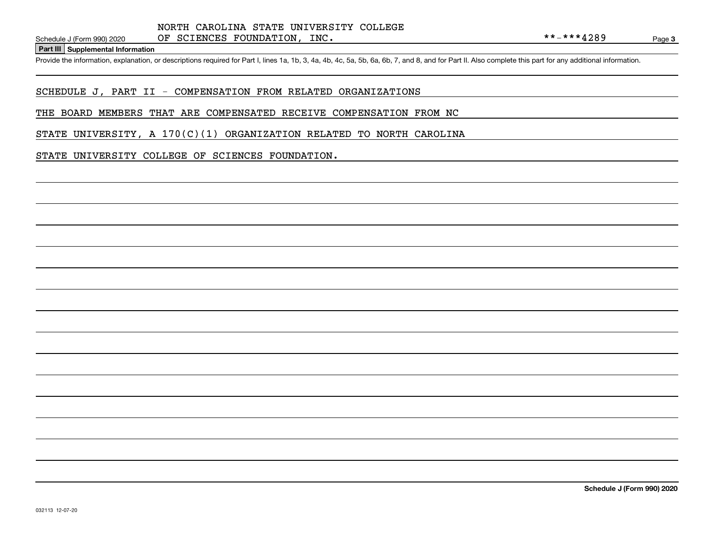**Part III Supplemental Information**

Schedule J (Form 990) 2020 OF SCIENCES FOUNDATION, INC.<br>Part III Supplemental Information<br>Provide the information, explanation, or descriptions required for Part I, lines 1a, 1b, 3, 4a, 4b, 4c, 5a, 5b, 6a, 6b, 7, and 8, a

# SCHEDULE J, PART II - COMPENSATION FROM RELATED ORGANIZATIONS

#### THE BOARD MEMBERS THAT ARE COMPENSATED RECEIVE COMPENSATION FROM NC

STATE UNIVERSITY, A  $170(C)(1)$  ORGANIZATION RELATED TO NORTH CAROLINA

### STATE UNIVERSITY COLLEGE OF SCIENCES FOUNDATION.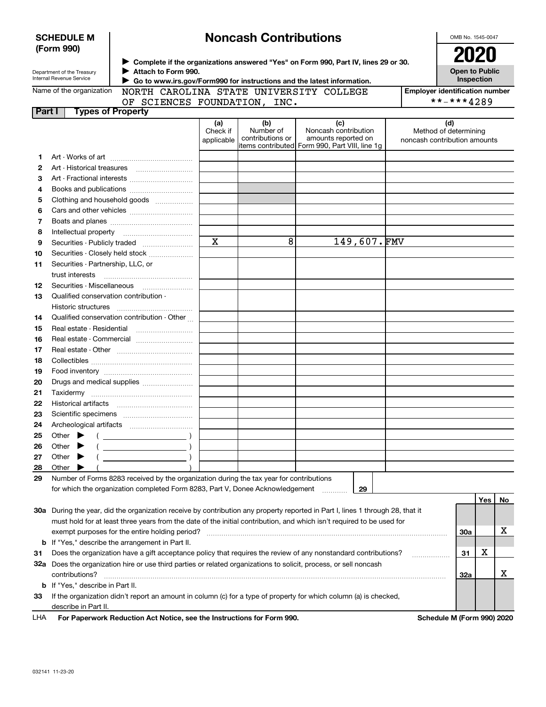|          | <b>SCHEDULE M</b>                                                                                                                             |                                                                                         | <b>Noncash Contributions</b> |                  | OMB No. 1545-0047                                                                                                              |                                       |                                     |     |    |
|----------|-----------------------------------------------------------------------------------------------------------------------------------------------|-----------------------------------------------------------------------------------------|------------------------------|------------------|--------------------------------------------------------------------------------------------------------------------------------|---------------------------------------|-------------------------------------|-----|----|
|          | (Form 990)                                                                                                                                    |                                                                                         |                              |                  |                                                                                                                                |                                       | 2020                                |     |    |
|          |                                                                                                                                               | > Complete if the organizations answered "Yes" on Form 990, Part IV, lines 29 or 30.    |                              |                  |                                                                                                                                |                                       |                                     |     |    |
|          | Department of the Treasury<br>Internal Revenue Service                                                                                        | Attach to Form 990.                                                                     |                              |                  |                                                                                                                                |                                       | <b>Open to Public</b><br>Inspection |     |    |
|          | Go to www.irs.gov/Form990 for instructions and the latest information.<br>Name of the organization<br>NORTH CAROLINA STATE UNIVERSITY COLLEGE |                                                                                         |                              |                  |                                                                                                                                |                                       |                                     |     |    |
|          |                                                                                                                                               |                                                                                         |                              |                  |                                                                                                                                | <b>Employer identification number</b> |                                     |     |    |
| Part I   |                                                                                                                                               | OF SCIENCES FOUNDATION, INC.<br><b>Types of Property</b>                                |                              |                  |                                                                                                                                |                                       | **-***4289                          |     |    |
|          |                                                                                                                                               |                                                                                         | (a)                          | (b)              | (c)                                                                                                                            |                                       | (d)                                 |     |    |
|          |                                                                                                                                               |                                                                                         | Check if                     | Number of        | Noncash contribution                                                                                                           |                                       | Method of determining               |     |    |
|          |                                                                                                                                               |                                                                                         | applicable                   | contributions or | amounts reported on<br>items contributed Form 990, Part VIII, line 1g                                                          |                                       | noncash contribution amounts        |     |    |
|          |                                                                                                                                               |                                                                                         |                              |                  |                                                                                                                                |                                       |                                     |     |    |
| 1.<br>2  |                                                                                                                                               |                                                                                         |                              |                  |                                                                                                                                |                                       |                                     |     |    |
| З        |                                                                                                                                               |                                                                                         |                              |                  |                                                                                                                                |                                       |                                     |     |    |
| 4        |                                                                                                                                               |                                                                                         |                              |                  |                                                                                                                                |                                       |                                     |     |    |
| 5        |                                                                                                                                               | Clothing and household goods                                                            |                              |                  |                                                                                                                                |                                       |                                     |     |    |
| 6        |                                                                                                                                               |                                                                                         |                              |                  |                                                                                                                                |                                       |                                     |     |    |
| 7        |                                                                                                                                               |                                                                                         |                              |                  |                                                                                                                                |                                       |                                     |     |    |
| 8        | Intellectual property                                                                                                                         |                                                                                         |                              |                  |                                                                                                                                |                                       |                                     |     |    |
| 9        |                                                                                                                                               |                                                                                         | $\mathbf X$                  | 8                | 149,607.FMV                                                                                                                    |                                       |                                     |     |    |
| 10       |                                                                                                                                               | Securities - Closely held stock                                                         |                              |                  |                                                                                                                                |                                       |                                     |     |    |
| 11       | Securities - Partnership, LLC, or                                                                                                             |                                                                                         |                              |                  |                                                                                                                                |                                       |                                     |     |    |
|          | trust interests                                                                                                                               |                                                                                         |                              |                  |                                                                                                                                |                                       |                                     |     |    |
| 12       | Securities - Miscellaneous                                                                                                                    |                                                                                         |                              |                  |                                                                                                                                |                                       |                                     |     |    |
| 13       | Qualified conservation contribution -                                                                                                         |                                                                                         |                              |                  |                                                                                                                                |                                       |                                     |     |    |
|          | Historic structures                                                                                                                           |                                                                                         |                              |                  |                                                                                                                                |                                       |                                     |     |    |
| 14       |                                                                                                                                               | Qualified conservation contribution - Other                                             |                              |                  |                                                                                                                                |                                       |                                     |     |    |
| 15       |                                                                                                                                               | Real estate - Residential                                                               |                              |                  |                                                                                                                                |                                       |                                     |     |    |
| 16       |                                                                                                                                               | Real estate - Commercial                                                                |                              |                  |                                                                                                                                |                                       |                                     |     |    |
| 17       |                                                                                                                                               |                                                                                         |                              |                  |                                                                                                                                |                                       |                                     |     |    |
| 18       |                                                                                                                                               |                                                                                         |                              |                  |                                                                                                                                |                                       |                                     |     |    |
| 19       |                                                                                                                                               |                                                                                         |                              |                  |                                                                                                                                |                                       |                                     |     |    |
| 20       |                                                                                                                                               | Drugs and medical supplies                                                              |                              |                  |                                                                                                                                |                                       |                                     |     |    |
| 21       |                                                                                                                                               |                                                                                         |                              |                  |                                                                                                                                |                                       |                                     |     |    |
| 22       |                                                                                                                                               |                                                                                         |                              |                  |                                                                                                                                |                                       |                                     |     |    |
| 23       |                                                                                                                                               |                                                                                         |                              |                  |                                                                                                                                |                                       |                                     |     |    |
| 24       |                                                                                                                                               |                                                                                         |                              |                  |                                                                                                                                |                                       |                                     |     |    |
| 25       | Other                                                                                                                                         |                                                                                         |                              |                  |                                                                                                                                |                                       |                                     |     |    |
| 26       | Other                                                                                                                                         | $\overline{\phantom{a}}$ )                                                              |                              |                  |                                                                                                                                |                                       |                                     |     |    |
| 27       | Other                                                                                                                                         |                                                                                         |                              |                  |                                                                                                                                |                                       |                                     |     |    |
| 28<br>29 | Other                                                                                                                                         | Number of Forms 8283 received by the organization during the tax year for contributions |                              |                  |                                                                                                                                |                                       |                                     |     |    |
|          |                                                                                                                                               | for which the organization completed Form 8283, Part V, Donee Acknowledgement           |                              |                  | 29                                                                                                                             |                                       |                                     |     |    |
|          |                                                                                                                                               |                                                                                         |                              |                  |                                                                                                                                |                                       |                                     | Yes | No |
|          |                                                                                                                                               |                                                                                         |                              |                  | 30a During the year, did the organization receive by contribution any property reported in Part I, lines 1 through 28, that it |                                       |                                     |     |    |
|          |                                                                                                                                               |                                                                                         |                              |                  | must hold for at least three years from the date of the initial contribution, and which isn't required to be used for          |                                       |                                     |     |    |
|          |                                                                                                                                               | exempt purposes for the entire holding period?                                          |                              |                  |                                                                                                                                |                                       | 30a                                 |     | х  |
|          |                                                                                                                                               | <b>b</b> If "Yes," describe the arrangement in Part II.                                 |                              |                  |                                                                                                                                |                                       |                                     |     |    |
| 31       | Does the organization have a gift acceptance policy that requires the review of any nonstandard contributions?<br>.                           |                                                                                         |                              |                  |                                                                                                                                |                                       |                                     | х   |    |
|          | 32a Does the organization hire or use third parties or related organizations to solicit, process, or sell noncash                             |                                                                                         |                              |                  |                                                                                                                                |                                       |                                     |     |    |
|          | contributions?                                                                                                                                |                                                                                         |                              |                  |                                                                                                                                |                                       | 32a                                 |     | X  |
|          | <b>b</b> If "Yes," describe in Part II.                                                                                                       |                                                                                         |                              |                  |                                                                                                                                |                                       |                                     |     |    |
| 33       |                                                                                                                                               |                                                                                         |                              |                  | If the organization didn't report an amount in column (c) for a type of property for which column (a) is checked,              |                                       |                                     |     |    |
|          | describe in Part II.                                                                                                                          |                                                                                         |                              |                  |                                                                                                                                |                                       |                                     |     |    |
|          |                                                                                                                                               |                                                                                         |                              |                  |                                                                                                                                |                                       |                                     |     |    |

**For Paperwork Reduction Act Notice, see the Instructions for Form 990. Schedule M (Form 990) 2020** LHA

 $\mathbf{I}$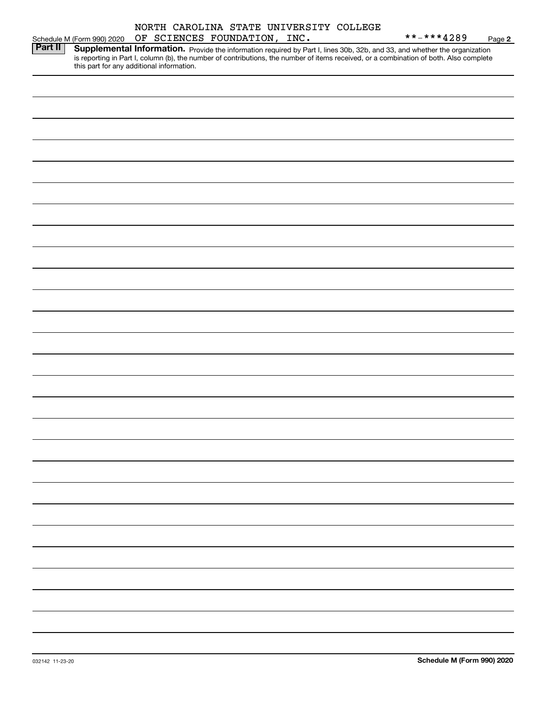|                |                                           |  |                              |  | NORTH CAROLINA STATE UNIVERSITY COLLEGE |                                                                                                                                                                                                                                     |        |
|----------------|-------------------------------------------|--|------------------------------|--|-----------------------------------------|-------------------------------------------------------------------------------------------------------------------------------------------------------------------------------------------------------------------------------------|--------|
|                | Schedule M (Form 990) 2020                |  | OF SCIENCES FOUNDATION, INC. |  |                                         | **-***4289                                                                                                                                                                                                                          | Page 2 |
| <b>Part II</b> | this part for any additional information. |  |                              |  |                                         | <b>Supplemental Information.</b> Provide the information required by Part I, lines 30b, 32b, and 33, and whether the organization is reporting in Part I, column (b), the number of contributions, the number of items received, or |        |
|                |                                           |  |                              |  |                                         |                                                                                                                                                                                                                                     |        |
|                |                                           |  |                              |  |                                         |                                                                                                                                                                                                                                     |        |
|                |                                           |  |                              |  |                                         |                                                                                                                                                                                                                                     |        |
|                |                                           |  |                              |  |                                         |                                                                                                                                                                                                                                     |        |
|                |                                           |  |                              |  |                                         |                                                                                                                                                                                                                                     |        |
|                |                                           |  |                              |  |                                         |                                                                                                                                                                                                                                     |        |
|                |                                           |  |                              |  |                                         |                                                                                                                                                                                                                                     |        |
|                |                                           |  |                              |  |                                         |                                                                                                                                                                                                                                     |        |
|                |                                           |  |                              |  |                                         |                                                                                                                                                                                                                                     |        |
|                |                                           |  |                              |  |                                         |                                                                                                                                                                                                                                     |        |
|                |                                           |  |                              |  |                                         |                                                                                                                                                                                                                                     |        |
|                |                                           |  |                              |  |                                         |                                                                                                                                                                                                                                     |        |
|                |                                           |  |                              |  |                                         |                                                                                                                                                                                                                                     |        |
|                |                                           |  |                              |  |                                         |                                                                                                                                                                                                                                     |        |
|                |                                           |  |                              |  |                                         |                                                                                                                                                                                                                                     |        |
|                |                                           |  |                              |  |                                         |                                                                                                                                                                                                                                     |        |
|                |                                           |  |                              |  |                                         |                                                                                                                                                                                                                                     |        |
|                |                                           |  |                              |  |                                         |                                                                                                                                                                                                                                     |        |
|                |                                           |  |                              |  |                                         |                                                                                                                                                                                                                                     |        |
|                |                                           |  |                              |  |                                         |                                                                                                                                                                                                                                     |        |
|                |                                           |  |                              |  |                                         |                                                                                                                                                                                                                                     |        |
|                |                                           |  |                              |  |                                         |                                                                                                                                                                                                                                     |        |
|                |                                           |  |                              |  |                                         |                                                                                                                                                                                                                                     |        |
|                |                                           |  |                              |  |                                         |                                                                                                                                                                                                                                     |        |
|                |                                           |  |                              |  |                                         |                                                                                                                                                                                                                                     |        |
|                |                                           |  |                              |  |                                         |                                                                                                                                                                                                                                     |        |
|                |                                           |  |                              |  |                                         |                                                                                                                                                                                                                                     |        |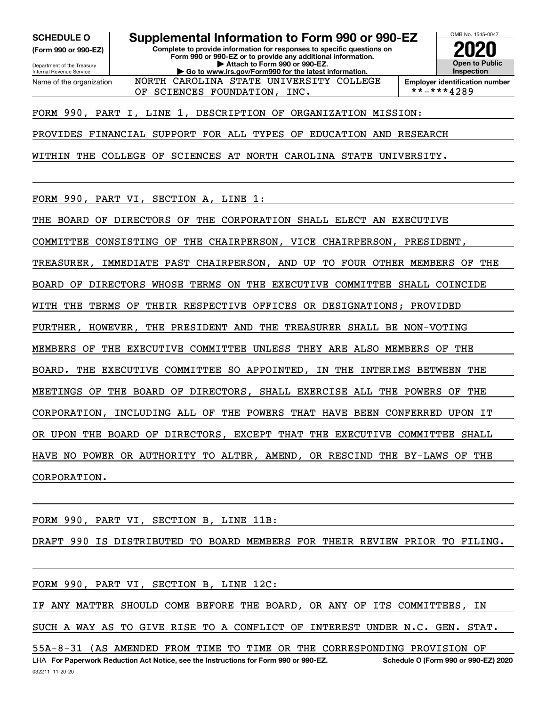**(Form 990 or 990-EZ)**

Department of the Treasury Internal Revenue Service Name of the organization

**SCHEDULE O Supplemental Information to Form 990 or 990-EZ**

**Complete to provide information for responses to specific questions on Form 990 or 990-EZ or to provide any additional information. | Attach to Form 990 or 990-EZ. | Go to www.irs.gov/Form990 for the latest information.** NORTH CAROLINA STATE UNIVERSITY COLLEGE



**Employer identification number**<br>\*\*-\*\*\*4289

FORM 990, PART I, LINE 1, DESCRIPTION OF ORGANIZATION MISSION:

OF SCIENCES FOUNDATION, INC.

PROVIDES FINANCIAL SUPPORT FOR ALL TYPES OF EDUCATION AND RESEARCH

WITHIN THE COLLEGE OF SCIENCES AT NORTH CAROLINA STATE UNIVERSITY.

FORM 990, PART VI, SECTION A, LINE 1:

THE BOARD OF DIRECTORS OF THE CORPORATION SHALL ELECT AN EXECUTIVE

COMMITTEE CONSISTING OF THE CHAIRPERSON, VICE CHAIRPERSON, PRESIDENT,

TREASURER, IMMEDIATE PAST CHAIRPERSON, AND UP TO FOUR OTHER MEMBERS OF THE

BOARD OF DIRECTORS WHOSE TERMS ON THE EXECUTIVE COMMITTEE SHALL COINCIDE

WITH THE TERMS OF THEIR RESPECTIVE OFFICES OR DESIGNATIONS; PROVIDED

FURTHER, HOWEVER, THE PRESIDENT AND THE TREASURER SHALL BE NON-VOTING

MEMBERS OF THE EXECUTIVE COMMITTEE UNLESS THEY ARE ALSO MEMBERS OF THE

BOARD. THE EXECUTIVE COMMITTEE SO APPOINTED, IN THE INTERIMS BETWEEN THE

MEETINGS OF THE BOARD OF DIRECTORS, SHALL EXERCISE ALL THE POWERS OF THE

CORPORATION, INCLUDING ALL OF THE POWERS THAT HAVE BEEN CONFERRED UPON IT

OR UPON THE BOARD OF DIRECTORS, EXCEPT THAT THE EXECUTIVE COMMITTEE SHALL

HAVE NO POWER OR AUTHORITY TO ALTER, AMEND, OR RESCIND THE BY-LAWS OF THE

CORPORATION.

FORM 990, PART VI, SECTION B, LINE 11B:

DRAFT 990 IS DISTRIBUTED TO BOARD MEMBERS FOR THEIR REVIEW PRIOR TO FILING.

FORM 990, PART VI, SECTION B, LINE 12C:

IF ANY MATTER SHOULD COME BEFORE THE BOARD, OR ANY OF ITS COMMITTEES, IN SUCH A WAY AS TO GIVE RISE TO A CONFLICT OF INTEREST UNDER N.C. GEN. STAT.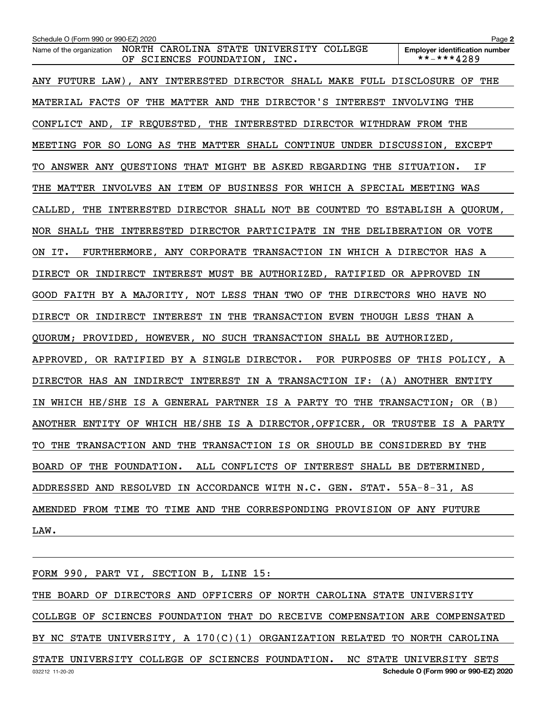| Schedule O (Form 990 or 990-EZ) 2020                                                                | Page 2                                              |
|-----------------------------------------------------------------------------------------------------|-----------------------------------------------------|
| NORTH CAROLINA STATE UNIVERSITY COLLEGE<br>Name of the organization<br>OF SCIENCES FOUNDATION, INC. | <b>Employer identification number</b><br>**-***4289 |
| ANY FUTURE LAW), ANY INTERESTED DIRECTOR SHALL MAKE FULL DISCLOSURE OF THE                          |                                                     |
| MATERIAL FACTS OF THE MATTER AND THE DIRECTOR'S INTEREST INVOLVING THE                              |                                                     |
| CONFLICT AND, IF REQUESTED, THE INTERESTED DIRECTOR WITHDRAW FROM THE                               |                                                     |
| MEETING FOR SO LONG AS THE MATTER SHALL CONTINUE UNDER DISCUSSION, EXCEPT                           |                                                     |
| TO ANSWER ANY QUESTIONS THAT MIGHT BE ASKED REGARDING THE SITUATION.                                | ΙF                                                  |
| THE MATTER INVOLVES AN ITEM OF BUSINESS FOR WHICH A SPECIAL MEETING WAS                             |                                                     |
| CALLED, THE INTERESTED DIRECTOR SHALL NOT BE COUNTED TO ESTABLISH A QUORUM,                         |                                                     |
| NOR SHALL THE INTERESTED DIRECTOR PARTICIPATE IN THE DELIBERATION OR VOTE                           |                                                     |
| FURTHERMORE, ANY CORPORATE TRANSACTION IN WHICH A DIRECTOR HAS A<br>ON IT.                          |                                                     |
| DIRECT OR INDIRECT INTEREST MUST BE AUTHORIZED, RATIFIED OR APPROVED IN                             |                                                     |
| GOOD FAITH BY A MAJORITY, NOT LESS THAN TWO OF THE DIRECTORS WHO HAVE NO                            |                                                     |
| DIRECT OR INDIRECT INTEREST IN THE TRANSACTION EVEN THOUGH LESS THAN A                              |                                                     |
| QUORUM; PROVIDED, HOWEVER, NO SUCH TRANSACTION SHALL BE AUTHORIZED,                                 |                                                     |
| APPROVED, OR RATIFIED BY A SINGLE DIRECTOR. FOR PURPOSES OF THIS POLICY, A                          |                                                     |
| DIRECTOR HAS AN INDIRECT INTEREST IN A TRANSACTION IF: (A) ANOTHER ENTITY                           |                                                     |
| WHICH HE/SHE IS A GENERAL PARTNER IS A PARTY TO THE TRANSACTION; OR (B)                             |                                                     |
| ANOTHER ENTITY OF WHICH HE/SHE IS A DIRECTOR, OFFICER, OR TRUSTEE IS A PARTY                        |                                                     |
| TO THE TRANSACTION AND THE TRANSACTION IS OR SHOULD BE CONSIDERED BY THE                            |                                                     |
| BOARD OF THE FOUNDATION. ALL CONFLICTS OF INTEREST SHALL BE DETERMINED,                             |                                                     |
| ADDRESSED AND RESOLVED IN ACCORDANCE WITH N.C. GEN. STAT. 55A-8-31, AS                              |                                                     |
| AMENDED FROM TIME TO TIME AND THE CORRESPONDING PROVISION OF ANY FUTURE                             |                                                     |
| LAW.                                                                                                |                                                     |

032212 11-20-20 **Schedule O (Form 990 or 990-EZ) 2020** FORM 990, PART VI, SECTION B, LINE 15: THE BOARD OF DIRECTORS AND OFFICERS OF NORTH CAROLINA STATE UNIVERSITY COLLEGE OF SCIENCES FOUNDATION THAT DO RECEIVE COMPENSATION ARE COMPENSATED BY NC STATE UNIVERSITY, A 170(C)(1) ORGANIZATION RELATED TO NORTH CAROLINA STATE UNIVERSITY COLLEGE OF SCIENCES FOUNDATION. NC STATE UNIVERSITY SETS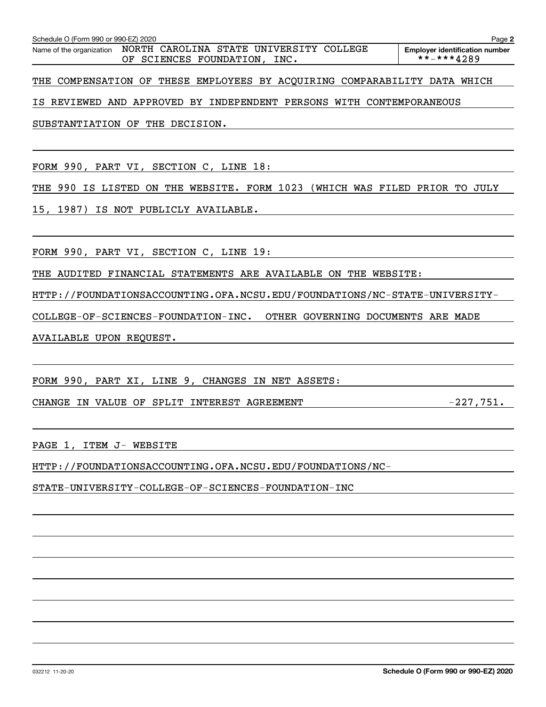**2**

THE COMPENSATION OF THESE EMPLOYEES BY ACQUIRING COMPARABILITY DATA WHICH

IS REVIEWED AND APPROVED BY INDEPENDENT PERSONS WITH CONTEMPORANEOUS

SUBSTANTIATION OF THE DECISION.

FORM 990, PART VI, SECTION C, LINE 18:

THE 990 IS LISTED ON THE WEBSITE. FORM 1023 (WHICH WAS FILED PRIOR TO JULY

15, 1987) IS NOT PUBLICLY AVAILABLE.

FORM 990, PART VI, SECTION C, LINE 19:

THE AUDITED FINANCIAL STATEMENTS ARE AVAILABLE ON THE WEBSITE:

HTTP://FOUNDATIONSACCOUNTING.OFA.NCSU.EDU/FOUNDATIONS/NC-STATE-UNIVERSITY-

COLLEGE-OF-SCIENCES-FOUNDATION-INC. OTHER GOVERNING DOCUMENTS ARE MADE

AVAILABLE UPON REQUEST.

FORM 990, PART XI, LINE 9, CHANGES IN NET ASSETS:

CHANGE IN VALUE OF SPLIT INTEREST AGREEMENT  $-227,751$ .

PAGE 1, ITEM J- WEBSITE

HTTP://FOUNDATIONSACCOUNTING.OFA.NCSU.EDU/FOUNDATIONS/NC-

STATE-UNIVERSITY-COLLEGE-OF-SCIENCES-FOUNDATION-INC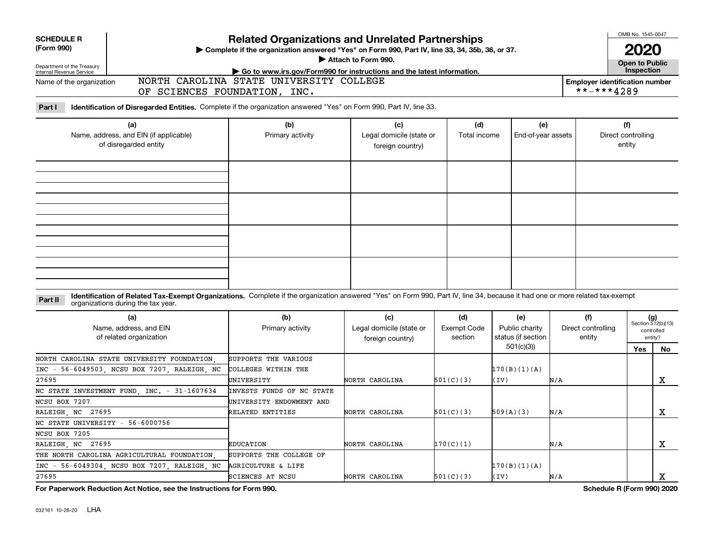| <b>SCHEDULE R</b><br>(Form 990)                                        |                                                                                                                                                                                                                    | <b>Related Organizations and Unrelated Partnerships</b><br>Complete if the organization answered "Yes" on Form 990, Part IV, line 33, 34, 35b, 36, or 37. |                                                     | OMB No. 1545-0047                    |                                             |                                     |                                                     |     |                                                      |
|------------------------------------------------------------------------|--------------------------------------------------------------------------------------------------------------------------------------------------------------------------------------------------------------------|-----------------------------------------------------------------------------------------------------------------------------------------------------------|-----------------------------------------------------|--------------------------------------|---------------------------------------------|-------------------------------------|-----------------------------------------------------|-----|------------------------------------------------------|
| Department of the Treasury                                             |                                                                                                                                                                                                                    | Attach to Form 990.                                                                                                                                       |                                                     |                                      | <b>Open to Public</b>                       |                                     |                                                     |     |                                                      |
| Internal Revenue Service<br>Name of the organization                   |                                                                                                                                                                                                                    | Go to www.irs.gov/Form990 for instructions and the latest information.<br>NORTH CAROLINA STATE UNIVERSITY COLLEGE                                         |                                                     |                                      |                                             |                                     | Inspection<br><b>Employer identification number</b> |     |                                                      |
|                                                                        | OF SCIENCES FOUNDATION, INC.                                                                                                                                                                                       |                                                                                                                                                           |                                                     |                                      |                                             |                                     | **-***4289                                          |     |                                                      |
| Part I                                                                 | Identification of Disregarded Entities. Complete if the organization answered "Yes" on Form 990, Part IV, line 33.                                                                                                 |                                                                                                                                                           |                                                     |                                      |                                             |                                     |                                                     |     |                                                      |
| (a)<br>Name, address, and EIN (if applicable)<br>of disregarded entity |                                                                                                                                                                                                                    | (b)<br>Primary activity                                                                                                                                   | (c)<br>Legal domicile (state or<br>foreign country) | (d)<br>Total income                  | (e)<br>End-of-year assets                   |                                     | (f)<br>Direct controlling<br>entity                 |     |                                                      |
|                                                                        |                                                                                                                                                                                                                    |                                                                                                                                                           |                                                     |                                      |                                             |                                     |                                                     |     |                                                      |
| Part II                                                                | Identification of Related Tax-Exempt Organizations. Complete if the organization answered "Yes" on Form 990, Part IV, line 34, because it had one or more related tax-exempt<br>organizations during the tax year. |                                                                                                                                                           |                                                     |                                      |                                             |                                     |                                                     |     |                                                      |
| (a)<br>Name, address, and EIN<br>of related organization               |                                                                                                                                                                                                                    | (b)<br>Primary activity                                                                                                                                   | (c)<br>Legal domicile (state or<br>foreign country) | (d)<br><b>Exempt Code</b><br>section | (e)<br>Public charity<br>status (if section | (f)<br>Direct controlling<br>entity |                                                     |     | $(g)$<br>Section 512(b)(13)<br>controlled<br>entity? |
|                                                                        |                                                                                                                                                                                                                    |                                                                                                                                                           |                                                     |                                      | 501(c)(3)                                   |                                     |                                                     | Yes | No                                                   |
| $INC -$<br>27695                                                       | NORTH CAROLINA STATE UNIVERSITY FOUNDATION<br>56-6049503 NCSU BOX 7207 RALEIGH NC                                                                                                                                  | SUPPORTS THE VARIOUS<br>COLLEGES WITHIN THE<br>UNIVERSITY                                                                                                 | NORTH CAROLINA                                      | 501(C)(3)                            | 170(B)(1)(A)<br>(IV)                        | N/A                                 |                                                     |     | $\mathbf X$                                          |
|                                                                        | NC STATE INVESTMENT FUND, INC. - 31-1607634                                                                                                                                                                        | INVESTS FUNDS OF NC STATE                                                                                                                                 |                                                     |                                      |                                             |                                     |                                                     |     |                                                      |
| NCSU BOX 7207                                                          |                                                                                                                                                                                                                    | UNIVERSITY ENDOWMENT AND                                                                                                                                  |                                                     |                                      |                                             |                                     |                                                     |     |                                                      |
| RALEIGH NC 27695                                                       |                                                                                                                                                                                                                    | RELATED ENTITIES                                                                                                                                          | NORTH CAROLINA                                      | 501(C)(3)                            | 509(A)(3)                                   | N/A                                 |                                                     |     | $\mathbf X$                                          |
| NC STATE UNIVERSITY - 56-6000756                                       |                                                                                                                                                                                                                    |                                                                                                                                                           |                                                     |                                      |                                             |                                     |                                                     |     |                                                      |
| NCSU BOX 7205                                                          |                                                                                                                                                                                                                    |                                                                                                                                                           |                                                     |                                      |                                             |                                     |                                                     |     |                                                      |
| RALEIGH NC 27695                                                       |                                                                                                                                                                                                                    | <b>EDUCATION</b>                                                                                                                                          | NORTH CAROLINA                                      | 170(C)(1)                            |                                             | N/A                                 |                                                     |     | X                                                    |
|                                                                        | THE NORTH CAROLINA AGRICULTURAL FOUNDATION                                                                                                                                                                         | SUPPORTS THE COLLEGE OF                                                                                                                                   |                                                     |                                      |                                             |                                     |                                                     |     |                                                      |
| $INC -$                                                                | 56-6049304, NCSU BOX 7207, RALEIGH, NC                                                                                                                                                                             | <b>AGRICULTURE &amp; LIFE</b>                                                                                                                             |                                                     |                                      | 170(B)(1)(A)                                |                                     |                                                     |     |                                                      |
| 27695                                                                  |                                                                                                                                                                                                                    | SCIENCES AT NCSU                                                                                                                                          | NORTH CAROLINA                                      | 501(C)(3)                            | (IV)                                        | N/A                                 |                                                     |     | X                                                    |

**For Paperwork Reduction Act Notice, see the Instructions for Form 990. Schedule R (Form 990) 2020**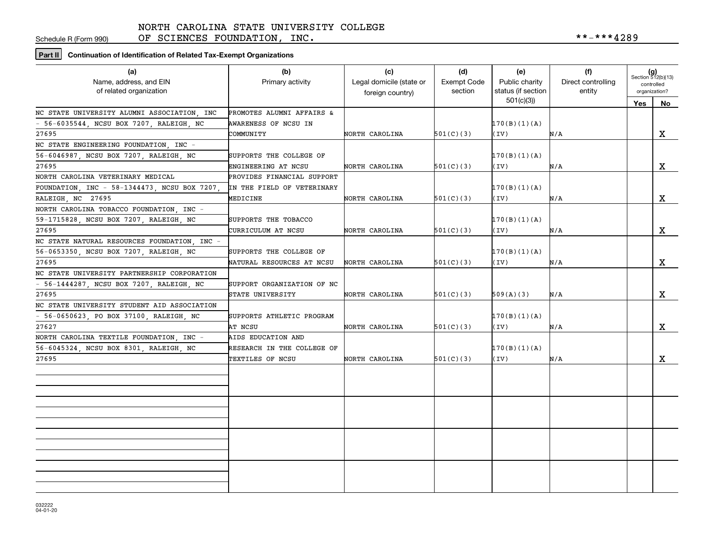Schedule R (Form 990)

OF SCIENCES FOUNDATION, INC.  $***-***4289$ 

**Part II Continuation of Identification of Related Tax-Exempt Organizations**

| (a)<br>Name, address, and EIN<br>of related organization | (b)<br>Primary activity    | (c)<br>Legal domicile (state or<br>foreign country) | (d)<br>Exempt Code<br>section | (e)<br>Public charity<br>status (if section | (f)<br>Direct controlling<br>entity | $(g)$<br>Section 512(b)(13)<br>controlled<br>organization? |             |
|----------------------------------------------------------|----------------------------|-----------------------------------------------------|-------------------------------|---------------------------------------------|-------------------------------------|------------------------------------------------------------|-------------|
|                                                          |                            |                                                     |                               | 501(c)(3)                                   |                                     | Yes                                                        | No          |
| NC STATE UNIVERSITY ALUMNI ASSOCIATION, INC              | PROMOTES ALUMNI AFFAIRS &  |                                                     |                               |                                             |                                     |                                                            |             |
| - 56-6035544, NCSU BOX 7207, RALEIGH, NC                 | AWARENESS OF NCSU IN       |                                                     |                               | 170(B)(1)(A)                                |                                     |                                                            |             |
| 27695                                                    | COMMUNITY                  | NORTH CAROLINA                                      | 501(C)(3)                     | (IV)                                        | N/A                                 |                                                            | x           |
| NC STATE ENGINEERING FOUNDATION, INC -                   |                            |                                                     |                               |                                             |                                     |                                                            |             |
| 56-6046987, NCSU BOX 7207, RALEIGH, NC                   | SUPPORTS THE COLLEGE OF    |                                                     |                               | 170(B)(1)(A)                                |                                     |                                                            |             |
| 27695                                                    | ENGINEERING AT NCSU        | NORTH CAROLINA                                      | 501(C)(3)                     | (IV)                                        | N/A                                 |                                                            | X           |
| NORTH CAROLINA VETERINARY MEDICAL                        | PROVIDES FINANCIAL SUPPORT |                                                     |                               |                                             |                                     |                                                            |             |
| FOUNDATION, INC - 58-1344473, NCSU BOX 7207,             | IN THE FIELD OF VETERINARY |                                                     |                               | 170(B)(1)(A)                                |                                     |                                                            |             |
| RALEIGH, NC 27695                                        | MEDICINE                   | NORTH CAROLINA                                      | 501(C)(3)                     | (IV)                                        | N/A                                 |                                                            | $\mathbf X$ |
| NORTH CAROLINA TOBACCO FOUNDATION, INC -                 |                            |                                                     |                               |                                             |                                     |                                                            |             |
| 59-1715828, NCSU BOX 7207, RALEIGH, NC                   | SUPPORTS THE TOBACCO       |                                                     |                               | 170(B)(1)(A)                                |                                     |                                                            |             |
| 27695                                                    | CURRICULUM AT NCSU         | NORTH CAROLINA                                      | 501(C)(3)                     | (IV)                                        | N/A                                 |                                                            | X           |
| NC STATE NATURAL RESOURCES FOUNDATION INC -              |                            |                                                     |                               |                                             |                                     |                                                            |             |
| 56-0653350, NCSU BOX 7207, RALEIGH, NC                   | SUPPORTS THE COLLEGE OF    |                                                     |                               | 170(B)(1)(A)                                |                                     |                                                            |             |
| 27695                                                    | NATURAL RESOURCES AT NCSU  | NORTH CAROLINA                                      | 501(C)(3)                     | (IV)                                        | N/A                                 |                                                            | X           |
| NC STATE UNIVERSITY PARTNERSHIP CORPORATION              |                            |                                                     |                               |                                             |                                     |                                                            |             |
| - 56-1444287, NCSU BOX 7207, RALEIGH, NC                 | SUPPORT ORGANIZATION OF NC |                                                     |                               |                                             |                                     |                                                            |             |
| 27695                                                    | STATE UNIVERSITY           | NORTH CAROLINA                                      | 501(C)(3)                     | 509(A)(3)                                   | N/A                                 |                                                            | X           |
| NC STATE UNIVERSITY STUDENT AID ASSOCIATION              |                            |                                                     |                               |                                             |                                     |                                                            |             |
| - 56-0650623, PO BOX 37100, RALEIGH, NC                  | SUPPORTS ATHLETIC PROGRAM  |                                                     |                               | 170(B)(1)(A)                                |                                     |                                                            |             |
| 27627                                                    | AT NCSU                    | NORTH CAROLINA                                      | 501(C)(3)                     | (IV)                                        | N/A                                 |                                                            | $\mathbf X$ |
| NORTH CAROLINA TEXTILE FOUNDATION, INC -                 | AIDS EDUCATION AND         |                                                     |                               |                                             |                                     |                                                            |             |
| 56-6045324, NCSU BOX 8301, RALEIGH, NC                   | RESEARCH IN THE COLLEGE OF |                                                     |                               | 170(B)(1)(A)                                |                                     |                                                            |             |
| 27695                                                    | TEXTILES OF NCSU           | NORTH CAROLINA                                      | 501(C)(3)                     | (IV)                                        | N/A                                 |                                                            | X           |
|                                                          |                            |                                                     |                               |                                             |                                     |                                                            |             |
|                                                          |                            |                                                     |                               |                                             |                                     |                                                            |             |
|                                                          |                            |                                                     |                               |                                             |                                     |                                                            |             |
|                                                          |                            |                                                     |                               |                                             |                                     |                                                            |             |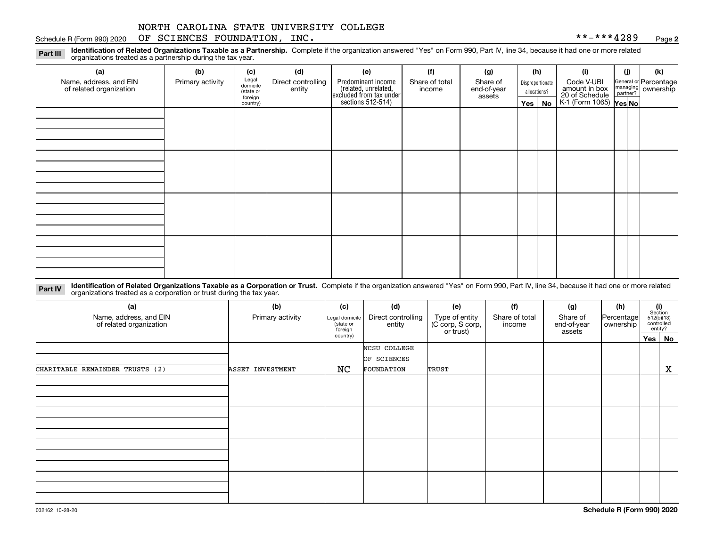### Schedule R (Form 990) 2020 Page OF SCIENCES FOUNDATION, INC. \*\*-\*\*\*4289

**2**

**Identification of Related Organizations Taxable as a Partnership.** Complete if the organization answered "Yes" on Form 990, Part IV, line 34, because it had one or more related **Part III** organizations treated as a partnership during the tax year.

| (a)                                               | (b)              | (c)                  | (d)                          | (e)                                                                 | (f)                      | (g)                     |                                  | (h) | (i)                                                       | (i) | (k)                            |
|---------------------------------------------------|------------------|----------------------|------------------------------|---------------------------------------------------------------------|--------------------------|-------------------------|----------------------------------|-----|-----------------------------------------------------------|-----|--------------------------------|
| Name, address, and EIN<br>of related organization | Primary activity | Legal<br>domicile    | Direct controlling<br>entity | Predominant income                                                  | Share of total<br>income | Share of<br>end-of-year | Disproportionate<br>allocations? |     | Code V-UBI                                                |     | General or Percentage          |
|                                                   |                  | (state or<br>foreign |                              |                                                                     |                          | assets                  |                                  |     |                                                           |     | managing<br>partner? Ownership |
|                                                   |                  | country)             |                              | related, unrelated,<br>excluded from tax under<br>sections 512-514) |                          |                         | Yes $ $                          | No  | amount in box<br>20 of Schedule<br>K-1 (Form 1065) Yes No |     |                                |
|                                                   |                  |                      |                              |                                                                     |                          |                         |                                  |     |                                                           |     |                                |
|                                                   |                  |                      |                              |                                                                     |                          |                         |                                  |     |                                                           |     |                                |
|                                                   |                  |                      |                              |                                                                     |                          |                         |                                  |     |                                                           |     |                                |
|                                                   |                  |                      |                              |                                                                     |                          |                         |                                  |     |                                                           |     |                                |
|                                                   |                  |                      |                              |                                                                     |                          |                         |                                  |     |                                                           |     |                                |
|                                                   |                  |                      |                              |                                                                     |                          |                         |                                  |     |                                                           |     |                                |
|                                                   |                  |                      |                              |                                                                     |                          |                         |                                  |     |                                                           |     |                                |
|                                                   |                  |                      |                              |                                                                     |                          |                         |                                  |     |                                                           |     |                                |
|                                                   |                  |                      |                              |                                                                     |                          |                         |                                  |     |                                                           |     |                                |
|                                                   |                  |                      |                              |                                                                     |                          |                         |                                  |     |                                                           |     |                                |
|                                                   |                  |                      |                              |                                                                     |                          |                         |                                  |     |                                                           |     |                                |
|                                                   |                  |                      |                              |                                                                     |                          |                         |                                  |     |                                                           |     |                                |
|                                                   |                  |                      |                              |                                                                     |                          |                         |                                  |     |                                                           |     |                                |
|                                                   |                  |                      |                              |                                                                     |                          |                         |                                  |     |                                                           |     |                                |
|                                                   |                  |                      |                              |                                                                     |                          |                         |                                  |     |                                                           |     |                                |
|                                                   |                  |                      |                              |                                                                     |                          |                         |                                  |     |                                                           |     |                                |
|                                                   |                  |                      |                              |                                                                     |                          |                         |                                  |     |                                                           |     |                                |

**Identification of Related Organizations Taxable as a Corporation or Trust.** Complete if the organization answered "Yes" on Form 990, Part IV, line 34, because it had one or more related **Part IV** organizations treated as a corporation or trust during the tax year.

| (a)<br>Name, address, and EIN<br>of related organization | (b)<br>Primary activity | (c)<br>Legal domicile<br>(state or<br>foreign | (d)<br>Direct controlling<br>entity | (e)<br>Type of entity<br>(C corp, S corp,<br>or trust) | (f)<br>Share of total<br>income | (g)<br>Share of<br>end-of-year<br>assets | (h)<br> Percentage <br>ownership | $\begin{array}{c} \textbf{(i)}\\ \text{Section}\\ 512 \text{(b)} \text{(13)}\\ \text{controlled}\\ \text{entity?} \end{array}$ |        |
|----------------------------------------------------------|-------------------------|-----------------------------------------------|-------------------------------------|--------------------------------------------------------|---------------------------------|------------------------------------------|----------------------------------|--------------------------------------------------------------------------------------------------------------------------------|--------|
|                                                          |                         | country)                                      |                                     |                                                        |                                 |                                          |                                  |                                                                                                                                | Yes No |
|                                                          |                         |                                               | NCSU COLLEGE<br>OF SCIENCES         |                                                        |                                 |                                          |                                  |                                                                                                                                |        |
| CHARITABLE REMAINDER TRUSTS (2)                          | ASSET INVESTMENT        | NC                                            | FOUNDATION                          | TRUST                                                  |                                 |                                          |                                  |                                                                                                                                | X      |
|                                                          |                         |                                               |                                     |                                                        |                                 |                                          |                                  |                                                                                                                                |        |
|                                                          |                         |                                               |                                     |                                                        |                                 |                                          |                                  |                                                                                                                                |        |
|                                                          |                         |                                               |                                     |                                                        |                                 |                                          |                                  |                                                                                                                                |        |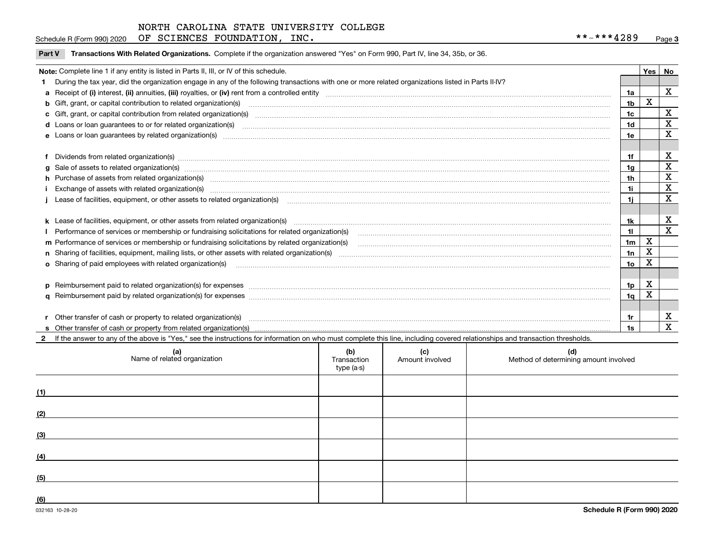Schedule R (Form 990) 2020 Page OF SCIENCES FOUNDATION, INC. \*\*-\*\*\*4289

|  | Part V Transactions With Related Organizations. Complete if the organization answered "Yes" on Form 990, Part IV, line 34, 35b, or 36. |  |  |
|--|----------------------------------------------------------------------------------------------------------------------------------------|--|--|
|--|----------------------------------------------------------------------------------------------------------------------------------------|--|--|

| Note: Complete line 1 if any entity is listed in Parts II, III, or IV of this schedule. |                                                                                                                                                                                                                                |                |             |    |  |  |
|-----------------------------------------------------------------------------------------|--------------------------------------------------------------------------------------------------------------------------------------------------------------------------------------------------------------------------------|----------------|-------------|----|--|--|
|                                                                                         | During the tax year, did the organization engage in any of the following transactions with one or more related organizations listed in Parts II-IV?                                                                            |                | Yes I       | No |  |  |
|                                                                                         |                                                                                                                                                                                                                                | 1a             |             | x  |  |  |
|                                                                                         | b Gift, grant, or capital contribution to related organization(s) manufactured contains and contribution to related organization(s)                                                                                            | 1b             | х           |    |  |  |
|                                                                                         | c Gift, grant, or capital contribution from related organization(s) material content and contribution from related organization(s) material content and content and contribution from related organization(s) material content | 1c             |             | X  |  |  |
|                                                                                         |                                                                                                                                                                                                                                | 1d             |             | X  |  |  |
|                                                                                         | e Loans or loan guarantees by related organization(s) encontraction contains and contain a construction of the state of the state organization (s) encoderation and construction of the state of the state of the state of the | 1e             |             | X  |  |  |
|                                                                                         |                                                                                                                                                                                                                                |                |             |    |  |  |
|                                                                                         | f Dividends from related organization(s) material contracts and contracts are contracted as a contract of the contract of the contract of the contract of the contract of the contract of the contract of the contract of the  | 1f             |             | X  |  |  |
|                                                                                         | g Sale of assets to related organization(s) www.communicallycommunicallycommunicallycommunicallycommunicallycommunicallycommunicallycommunicallycommunicallycommunicallycommunicallycommunicallycommunicallycommunicallycommun | 1 <sub>g</sub> |             | X  |  |  |
|                                                                                         | h Purchase of assets from related organization(s) manufactured and content to content the content of assets from related organization(s)                                                                                       | 1h             |             | X  |  |  |
|                                                                                         | Exchange of assets with related organization(s) manufactured content to the content of the content of the content of the content of the content of the content of the content of the content of the content of the content of  | 1i             |             | X  |  |  |
|                                                                                         | Lease of facilities, equipment, or other assets to related organization(s) manufaction content to the content of the content of the content of the content of the content of the content of the content of the content of the  | 1i             |             | X  |  |  |
|                                                                                         |                                                                                                                                                                                                                                |                |             |    |  |  |
|                                                                                         |                                                                                                                                                                                                                                | 1k             |             | X  |  |  |
|                                                                                         | Performance of services or membership or fundraising solicitations for related organization(s) [11] processors content to the service or membership or fundraising solicitations for related organization(s) [11] processors c | 11             |             | X  |  |  |
|                                                                                         |                                                                                                                                                                                                                                | 1 <sub>m</sub> | $\mathbf X$ |    |  |  |
|                                                                                         |                                                                                                                                                                                                                                | 1n             | x           |    |  |  |
|                                                                                         |                                                                                                                                                                                                                                | 1o             | x           |    |  |  |
|                                                                                         |                                                                                                                                                                                                                                |                |             |    |  |  |
|                                                                                         | p Reimbursement paid to related organization(s) for expenses [111] resummand content to content the set of the set of the set of the set of the set of the set of the set of the set of the set of the set of the set of the s | 1 <sub>p</sub> | x           |    |  |  |
|                                                                                         |                                                                                                                                                                                                                                | 1q             | x           |    |  |  |
|                                                                                         |                                                                                                                                                                                                                                |                |             |    |  |  |
|                                                                                         |                                                                                                                                                                                                                                | 1r             |             | X  |  |  |
|                                                                                         |                                                                                                                                                                                                                                | 1s             |             | X  |  |  |

2 If the answer to any of the above is "Yes," see the instructions for information on who must complete this line, including covered relationships and transaction thresholds.

|     | (a)<br>Name of related organization | (b)<br>Transaction<br>type (a-s) | (c)<br>Amount involved | (d)<br>Method of determining amount involved |
|-----|-------------------------------------|----------------------------------|------------------------|----------------------------------------------|
| (1) |                                     |                                  |                        |                                              |
| (2) |                                     |                                  |                        |                                              |
| (3) |                                     |                                  |                        |                                              |
| (4) |                                     |                                  |                        |                                              |
| (5) |                                     |                                  |                        |                                              |
| (6) |                                     |                                  |                        |                                              |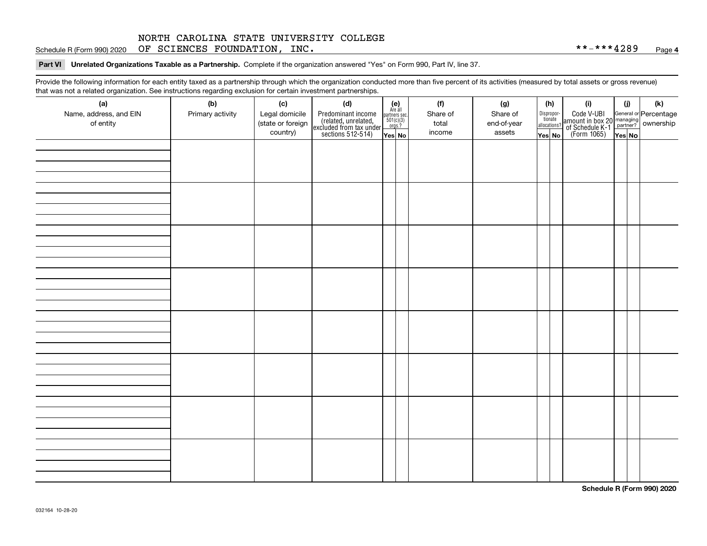**Part VI Unrelated Organizations Taxable as a Partnership. Complete if the organization answered "Yes" on Form 990, Part IV, line 37.** 

Provide the following information for each entity taxed as a partnership through which the organization conducted more than five percent of its activities (measured by total assets or gross revenue) that was not a related organization. See instructions regarding exclusion for certain investment partnerships.

| - - - - -<br>(a)                    | − ອ−<br>. <del>.</del><br>(b) | (c)                                 | (d)                                                                                        |                                                                                                                  | (f)               | (g)                     |              | (h)                   | (i)                                                                                          | (i)    | (k) |
|-------------------------------------|-------------------------------|-------------------------------------|--------------------------------------------------------------------------------------------|------------------------------------------------------------------------------------------------------------------|-------------------|-------------------------|--------------|-----------------------|----------------------------------------------------------------------------------------------|--------|-----|
| Name, address, and EIN<br>of entity | Primary activity              | Legal domicile<br>(state or foreign | Predominant income<br>(related, unrelated,<br>excluded from tax under<br>sections 512-514) | $\begin{array}{c} \textbf{(e)}\\ \text{Are all} \\ \text{partners sec.}\\ 501(c)(3)\\ \text{orgs.?} \end{array}$ | Share of<br>total | Share of<br>end-of-year | allocations? | Dispropor-<br>tionate | Code V-UBI<br>amount in box 20 managing<br>of Schedule K-1 partner?<br>(Form 1065)<br>ves No |        |     |
|                                     |                               | country)                            |                                                                                            | Yes No                                                                                                           | income            | assets                  | Yes No       |                       |                                                                                              | Yes No |     |
|                                     |                               |                                     |                                                                                            |                                                                                                                  |                   |                         |              |                       |                                                                                              |        |     |
|                                     |                               |                                     |                                                                                            |                                                                                                                  |                   |                         |              |                       |                                                                                              |        |     |
|                                     |                               |                                     |                                                                                            |                                                                                                                  |                   |                         |              |                       |                                                                                              |        |     |
|                                     |                               |                                     |                                                                                            |                                                                                                                  |                   |                         |              |                       |                                                                                              |        |     |
|                                     |                               |                                     |                                                                                            |                                                                                                                  |                   |                         |              |                       |                                                                                              |        |     |
|                                     |                               |                                     |                                                                                            |                                                                                                                  |                   |                         |              |                       |                                                                                              |        |     |
|                                     |                               |                                     |                                                                                            |                                                                                                                  |                   |                         |              |                       |                                                                                              |        |     |
|                                     |                               |                                     |                                                                                            |                                                                                                                  |                   |                         |              |                       |                                                                                              |        |     |
|                                     |                               |                                     |                                                                                            |                                                                                                                  |                   |                         |              |                       |                                                                                              |        |     |
|                                     |                               |                                     |                                                                                            |                                                                                                                  |                   |                         |              |                       |                                                                                              |        |     |
|                                     |                               |                                     |                                                                                            |                                                                                                                  |                   |                         |              |                       |                                                                                              |        |     |
|                                     |                               |                                     |                                                                                            |                                                                                                                  |                   |                         |              |                       |                                                                                              |        |     |
|                                     |                               |                                     |                                                                                            |                                                                                                                  |                   |                         |              |                       |                                                                                              |        |     |
|                                     |                               |                                     |                                                                                            |                                                                                                                  |                   |                         |              |                       |                                                                                              |        |     |
|                                     |                               |                                     |                                                                                            |                                                                                                                  |                   |                         |              |                       |                                                                                              |        |     |
|                                     |                               |                                     |                                                                                            |                                                                                                                  |                   |                         |              |                       |                                                                                              |        |     |
|                                     |                               |                                     |                                                                                            |                                                                                                                  |                   |                         |              |                       |                                                                                              |        |     |
|                                     |                               |                                     |                                                                                            |                                                                                                                  |                   |                         |              |                       |                                                                                              |        |     |
|                                     |                               |                                     |                                                                                            |                                                                                                                  |                   |                         |              |                       |                                                                                              |        |     |
|                                     |                               |                                     |                                                                                            |                                                                                                                  |                   |                         |              |                       |                                                                                              |        |     |
|                                     |                               |                                     |                                                                                            |                                                                                                                  |                   |                         |              |                       |                                                                                              |        |     |
|                                     |                               |                                     |                                                                                            |                                                                                                                  |                   |                         |              |                       |                                                                                              |        |     |
|                                     |                               |                                     |                                                                                            |                                                                                                                  |                   |                         |              |                       |                                                                                              |        |     |
|                                     |                               |                                     |                                                                                            |                                                                                                                  |                   |                         |              |                       |                                                                                              |        |     |
|                                     |                               |                                     |                                                                                            |                                                                                                                  |                   |                         |              |                       |                                                                                              |        |     |
|                                     |                               |                                     |                                                                                            |                                                                                                                  |                   |                         |              |                       |                                                                                              |        |     |
|                                     |                               |                                     |                                                                                            |                                                                                                                  |                   |                         |              |                       |                                                                                              |        |     |
|                                     |                               |                                     |                                                                                            |                                                                                                                  |                   |                         |              |                       |                                                                                              |        |     |
|                                     |                               |                                     |                                                                                            |                                                                                                                  |                   |                         |              |                       |                                                                                              |        |     |
|                                     |                               |                                     |                                                                                            |                                                                                                                  |                   |                         |              |                       |                                                                                              |        |     |
|                                     |                               |                                     |                                                                                            |                                                                                                                  |                   |                         |              |                       |                                                                                              |        |     |
|                                     |                               |                                     |                                                                                            |                                                                                                                  |                   |                         |              |                       |                                                                                              |        |     |

**Schedule R (Form 990) 2020**